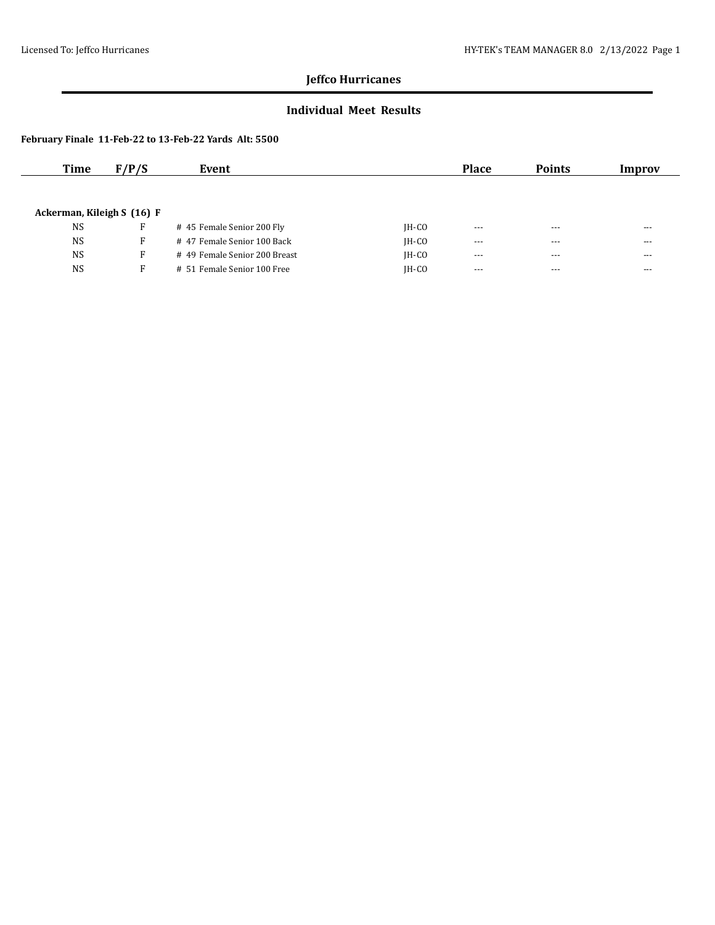### **Individual Meet Results**

| Time                       | F/P/S | Event                         |         | <b>Place</b> | <b>Points</b> | Improv  |
|----------------------------|-------|-------------------------------|---------|--------------|---------------|---------|
|                            |       |                               |         |              |               |         |
|                            |       |                               |         |              |               |         |
| Ackerman, Kileigh S (16) F |       |                               |         |              |               |         |
| <b>NS</b>                  | F     | #45 Female Senior 200 Fly     | IH-CO   | $\cdots$     | $- - -$       | $- - -$ |
| <b>NS</b>                  | F     | #47 Female Senior 100 Back    | $IH-CO$ | $- - -$      | $- - -$       | $- - -$ |
| <b>NS</b>                  | F.    | # 49 Female Senior 200 Breast | $IH-CO$ | $\cdots$     | $- - -$       | $- - -$ |
| <b>NS</b>                  | F.    | # 51 Female Senior 100 Free   | $IH-CO$ | $- - -$      | $- - -$       | $--$    |
|                            |       |                               |         |              |               |         |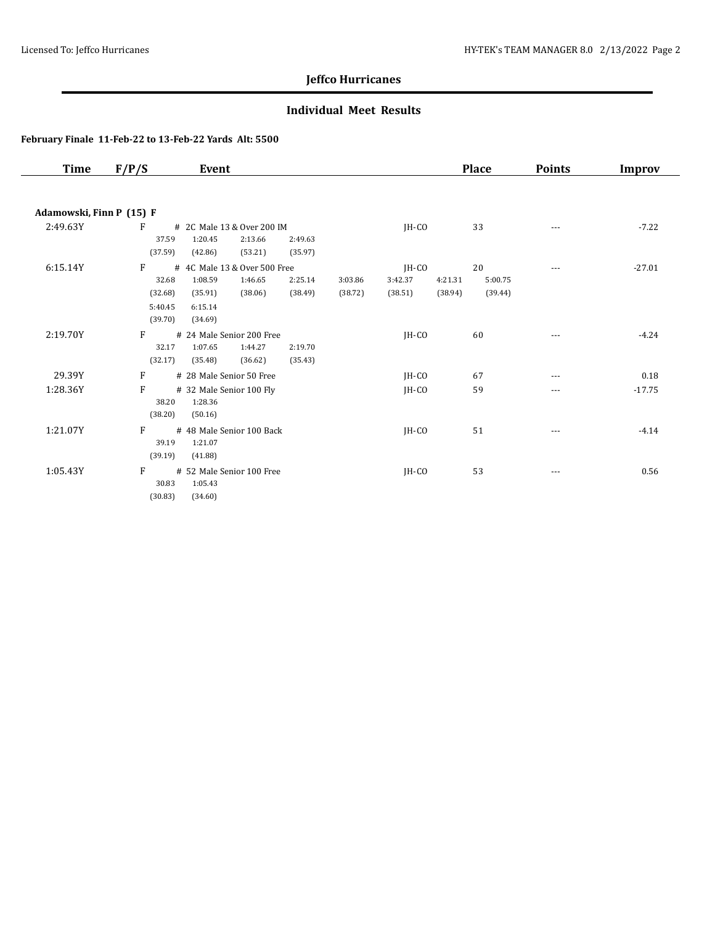### **Individual Meet Results**

| Time                     | F/P/S   | Event                        |         |         |         |         | <b>Place</b> | <b>Points</b> | <b>Improv</b> |
|--------------------------|---------|------------------------------|---------|---------|---------|---------|--------------|---------------|---------------|
|                          |         |                              |         |         |         |         |              |               |               |
| Adamowski, Finn P (15) F |         |                              |         |         |         |         |              |               |               |
| 2:49.63Y                 | F       | # 2C Male 13 & Over 200 IM   |         |         | $IH-CO$ |         | 33           | $---$         | $-7.22$       |
|                          | 37.59   | 1:20.45<br>2:13.66           | 2:49.63 |         |         |         |              |               |               |
|                          | (37.59) | (53.21)<br>(42.86)           | (35.97) |         |         |         |              |               |               |
| 6:15.14Y                 | F       | # 4C Male 13 & Over 500 Free |         |         | $IH-CO$ |         | 20           | $---$         | $-27.01$      |
|                          | 32.68   | 1:08.59<br>1:46.65           | 2:25.14 | 3:03.86 | 3:42.37 | 4:21.31 | 5:00.75      |               |               |
|                          | (32.68) | (38.06)<br>(35.91)           | (38.49) | (38.72) | (38.51) | (38.94) | (39.44)      |               |               |
|                          | 5:40.45 | 6:15.14                      |         |         |         |         |              |               |               |
|                          | (39.70) | (34.69)                      |         |         |         |         |              |               |               |
| 2:19.70Y                 | F       | # 24 Male Senior 200 Free    |         |         | $IH-CO$ |         | 60           |               | $-4.24$       |
|                          | 32.17   | 1:07.65<br>1:44.27           | 2:19.70 |         |         |         |              |               |               |
|                          | (32.17) | (35.48)<br>(36.62)           | (35.43) |         |         |         |              |               |               |
| 29.39Y                   | F       | # 28 Male Senior 50 Free     |         |         | IH-CO   |         | 67           | $---$         | 0.18          |
| 1:28.36Y                 | F       | # 32 Male Senior 100 Fly     |         |         | IH-CO   |         | 59           | ---           | $-17.75$      |
|                          | 38.20   | 1:28.36                      |         |         |         |         |              |               |               |
|                          | (38.20) | (50.16)                      |         |         |         |         |              |               |               |
| 1:21.07Y                 | F       | # 48 Male Senior 100 Back    |         |         | IH-CO   |         | 51           | $\cdots$      | $-4.14$       |
|                          | 39.19   | 1:21.07                      |         |         |         |         |              |               |               |
|                          | (39.19) | (41.88)                      |         |         |         |         |              |               |               |
| 1:05.43Y                 | F       | # 52 Male Senior 100 Free    |         |         | JH-CO   |         | 53           | ---           | 0.56          |
|                          | 30.83   | 1:05.43                      |         |         |         |         |              |               |               |
|                          | (30.83) | (34.60)                      |         |         |         |         |              |               |               |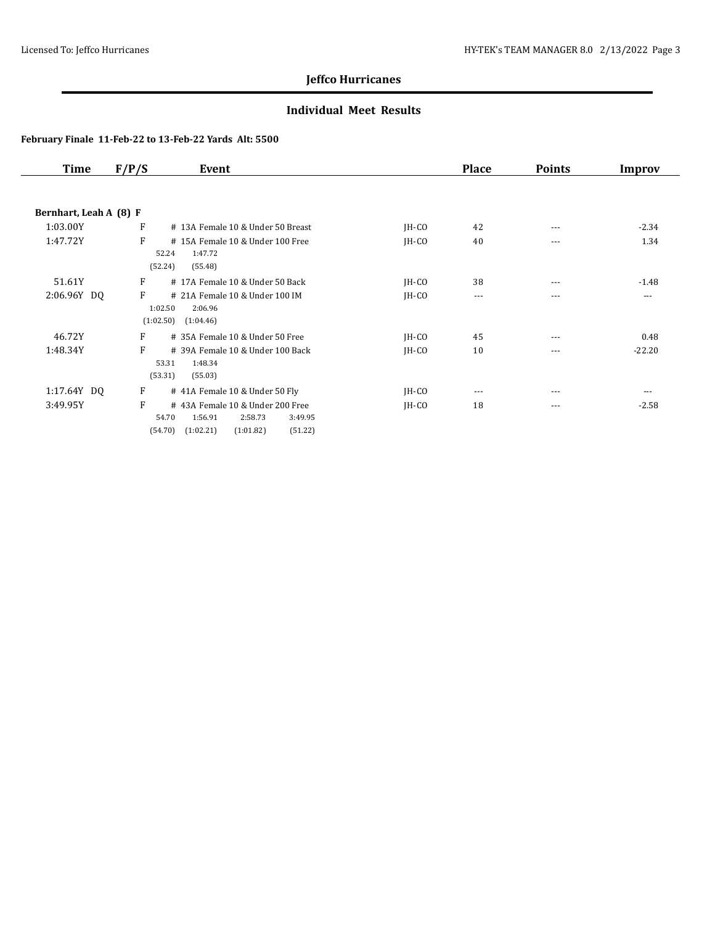### **Individual Meet Results**

| Time                   | F/P/S | Event                                        |         | <b>Place</b> | <b>Points</b> | Improv   |
|------------------------|-------|----------------------------------------------|---------|--------------|---------------|----------|
|                        |       |                                              |         |              |               |          |
| Bernhart, Leah A (8) F |       |                                              |         |              |               |          |
| 1:03.00Y               | F     | # 13A Female 10 & Under 50 Breast            | $IH-CO$ | 42           | $---$         | $-2.34$  |
| 1:47.72Y               | F     | #15A Female 10 & Under 100 Free              | $IH-CO$ | 40           | $---$         | 1.34     |
|                        |       | 52.24<br>1:47.72                             |         |              |               |          |
|                        |       | (55.48)<br>(52.24)                           |         |              |               |          |
| 51.61Y                 | F     | #17A Female 10 & Under 50 Back               | $IH-CO$ | 38           | $---$         | $-1.48$  |
| 2:06.96Y DQ            | F     | # 21A Female 10 & Under 100 IM               | $IH-CO$ | $\cdots$     | $---$         | $---$    |
|                        |       | 1:02.50<br>2:06.96                           |         |              |               |          |
|                        |       | (1:02.50)<br>(1:04.46)                       |         |              |               |          |
| 46.72Y                 | F     | # 35A Female 10 & Under 50 Free              | $IH-CO$ | 45           | $---$         | 0.48     |
| 1:48.34Y               | F     | # 39A Female 10 & Under 100 Back             | $IH-CO$ | 10           | $---$         | $-22.20$ |
|                        |       | 53.31<br>1:48.34                             |         |              |               |          |
|                        |       | (53.31)<br>(55.03)                           |         |              |               |          |
| 1:17.64Y DQ            | F     | # 41A Female 10 & Under 50 Fly               | $IH-CO$ | $---$        | $---$         | $---$    |
| 3:49.95Y               | F     | #43A Female 10 & Under 200 Free              | $IH-CO$ | 18           | $---$         | $-2.58$  |
|                        |       | 54.70<br>1:56.91<br>2:58.73<br>3:49.95       |         |              |               |          |
|                        |       | (1:02.21)<br>(54.70)<br>(1:01.82)<br>(51.22) |         |              |               |          |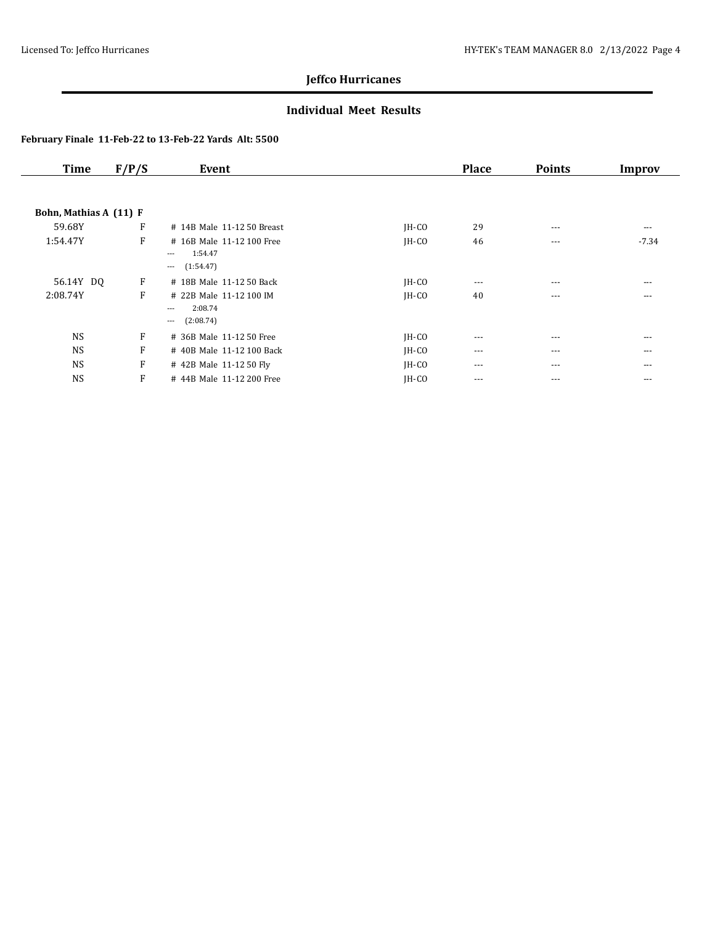### **Individual Meet Results**

| <b>Time</b>            | F/P/S | Event                                                             |         | <b>Place</b> | <b>Points</b> | Improv  |
|------------------------|-------|-------------------------------------------------------------------|---------|--------------|---------------|---------|
|                        |       |                                                                   |         |              |               |         |
| Bohn, Mathias A (11) F |       |                                                                   |         |              |               |         |
| 59.68Y                 | F     | # 14B Male 11-12 50 Breast                                        | $IH-CO$ | 29           | $---$         | ---     |
| 1:54.47Y               | F     | # 16B Male 11-12 100 Free<br>1:54.47<br>$---$                     | $IH-CO$ | 46           | $---$         | $-7.34$ |
|                        |       | (1:54.47)<br>$\cdots$                                             |         |              |               |         |
| 56.14Y DQ              | F     | # 18B Male 11-12 50 Back                                          | $IH-CO$ | $---$        | $---$         | $---$   |
| 2:08.74Y               | F     | # 22B Male 11-12 100 IM<br>2:08.74<br>$---$<br>(2:08.74)<br>$---$ | JH-CO   | 40           | $---$         | ---     |
| <b>NS</b>              | F     | # 36B Male 11-12 50 Free                                          | $IH-CO$ | $--$         | ---           | ---     |
| <b>NS</b>              | F     | # 40B Male 11-12 100 Back                                         | JH-CO   | $\cdots$     | $---$         | $---$   |
| <b>NS</b>              | F     | # 42B Male 11-12 50 Fly                                           | JH-CO   | $\cdots$     | $---$         | $---$   |
| <b>NS</b>              | F     | #44B Male 11-12 200 Free                                          | JH-CO   | $\cdots$     | ---           | $---$   |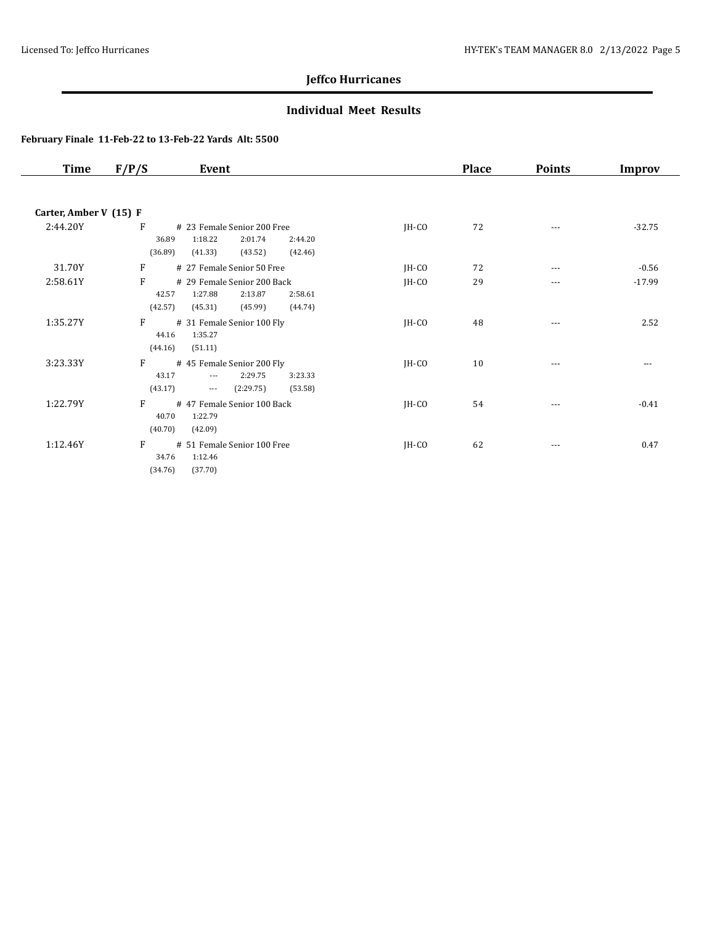### **Individual Meet Results**

| <b>Time</b>            | F/P/S<br>Event                                                                                                                                |         | <b>Place</b> | <b>Points</b> | <b>Improv</b> |
|------------------------|-----------------------------------------------------------------------------------------------------------------------------------------------|---------|--------------|---------------|---------------|
|                        |                                                                                                                                               |         |              |               |               |
| Carter, Amber V (15) F |                                                                                                                                               |         |              |               |               |
| 2:44.20Y               | $\mathbf{F}$<br># 23 Female Senior 200 Free<br>1:18.22<br>2:01.74<br>36.89<br>2:44.20<br>(36.89)<br>(41.33)<br>(43.52)<br>(42.46)             | $IH-CO$ | 72           | ---           | $-32.75$      |
| 31.70Y                 | F<br># 27 Female Senior 50 Free                                                                                                               | JH-CO   | 72           | $---$         | $-0.56$       |
| 2:58.61Y               | F<br># 29 Female Senior 200 Back<br>1:27.88<br>2:13.87<br>42.57<br>2:58.61<br>(42.57)<br>(45.31)<br>(45.99)<br>(44.74)                        | JH-CO   | 29           | ---           | $-17.99$      |
| 1:35.27Y               | F<br># 31 Female Senior 100 Fly<br>1:35.27<br>44.16<br>(44.16)<br>(51.11)                                                                     | JH-CO   | 48           | $---$         | 2.52          |
| 3:23.33Y               | $F \sim$<br>#45 Female Senior 200 Fly<br>43.17<br>2:29.75<br>3:23.33<br>$\overline{\phantom{a}}$<br>(43.17)<br>(53.58)<br>(2:29.75)<br>$\sim$ | $IH-CO$ | 10           | $\cdots$      | ---           |
| 1:22.79Y               | F<br># 47 Female Senior 100 Back<br>40.70<br>1:22.79<br>(40.70)<br>(42.09)                                                                    | JH-CO   | 54           | ---           | $-0.41$       |
| 1:12.46Y               | F<br># 51 Female Senior 100 Free<br>34.76<br>1:12.46<br>(34.76)<br>(37.70)                                                                    | $IH-CO$ | 62           | ---           | 0.47          |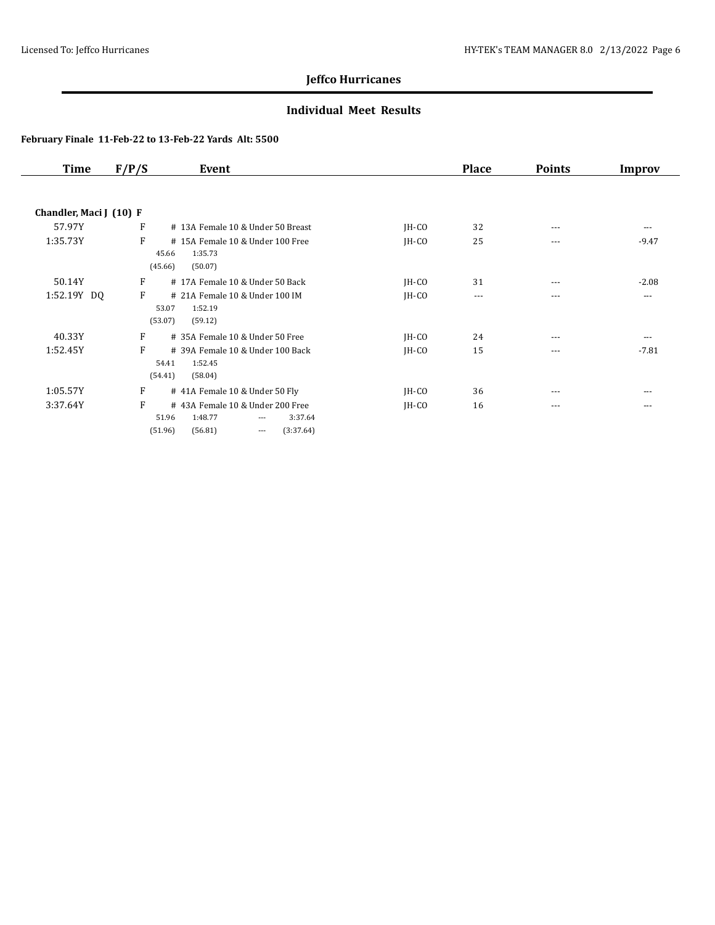### **Individual Meet Results**

| Time                    | F/P/S | Event                                                       |         | <b>Place</b> | <b>Points</b> | Improv   |
|-------------------------|-------|-------------------------------------------------------------|---------|--------------|---------------|----------|
|                         |       |                                                             |         |              |               |          |
| Chandler, Maci J (10) F |       |                                                             |         |              |               |          |
| 57.97Y                  | F     | # 13A Female 10 & Under 50 Breast                           | $IH-CO$ | 32           | $---$         | $\cdots$ |
| 1:35.73Y                | F     | #15A Female 10 & Under 100 Free                             | $IH-CO$ | 25           | $---$         | $-9.47$  |
|                         |       | 1:35.73<br>45.66                                            |         |              |               |          |
|                         |       | (45.66)<br>(50.07)                                          |         |              |               |          |
| 50.14Y                  | F     | #17A Female 10 & Under 50 Back                              | $IH-CO$ | 31           | $---$         | $-2.08$  |
| 1:52.19Y DQ             | F     | # 21A Female 10 & Under 100 IM                              | $IH-CO$ | $\cdots$     | $- - -$       | $---$    |
|                         |       | 1:52.19<br>53.07                                            |         |              |               |          |
|                         |       | (53.07)<br>(59.12)                                          |         |              |               |          |
| 40.33Y                  | F     | # 35A Female 10 & Under 50 Free                             | $IH-CO$ | 24           | $- - -$       | ---      |
| 1:52.45Y                | F     | # 39A Female 10 & Under 100 Back                            | $IH-CO$ | 15           | $---$         | $-7.81$  |
|                         |       | 1:52.45<br>54.41                                            |         |              |               |          |
|                         |       | (54.41)<br>(58.04)                                          |         |              |               |          |
| 1:05.57Y                | F     | #41A Female 10 & Under 50 Fly                               | $IH-CO$ | 36           | $---$         | ---      |
| 3:37.64Y                | F     | #43A Female 10 & Under 200 Free                             | $IH-CO$ | 16           | $- - -$       | $---$    |
|                         |       | 1:48.77<br>51.96<br>3:37.64<br>$---$                        |         |              |               |          |
|                         |       | (3:37.64)<br>(51.96)<br>(56.81)<br>$\overline{\phantom{a}}$ |         |              |               |          |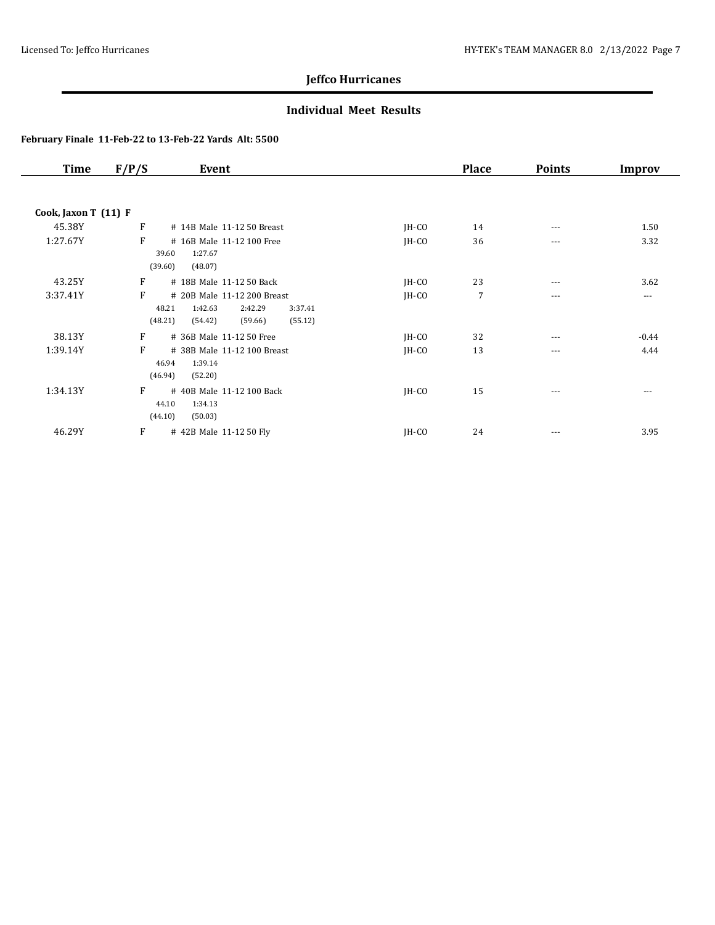### **Individual Meet Results**

| <b>Time</b>          | F/P/S      | Event                                                        |         | <b>Place</b>   | <b>Points</b> | Improv   |
|----------------------|------------|--------------------------------------------------------------|---------|----------------|---------------|----------|
|                      |            |                                                              |         |                |               |          |
| Cook, Jaxon T (11) F |            |                                                              |         |                |               |          |
| 45.38Y               | F          | # 14B Male 11-12 50 Breast                                   | $IH-CO$ | 14             | ---           | 1.50     |
| 1:27.67Y             | F<br>39.60 | # 16B Male 11-12 100 Free<br>1:27.67                         | $IH-CO$ | 36             | ---           | 3.32     |
|                      | (39.60)    | (48.07)                                                      |         |                |               |          |
| 43.25Y               | F          | # 18B Male 11-12 50 Back                                     | $IH-CO$ | 23             | ---           | 3.62     |
| 3:37.41Y             | F<br>48.21 | # 20B Male 11-12 200 Breast<br>1:42.63<br>2:42.29<br>3:37.41 | $IH-CO$ | $\overline{7}$ | ---           | $\cdots$ |
|                      | (48.21)    | (59.66)<br>(55.12)<br>(54.42)                                |         |                |               |          |
| 38.13Y               | F          | # 36B Male 11-12 50 Free                                     | $IH-CO$ | 32             | ---           | $-0.44$  |
| 1:39.14Y             | F<br>46.94 | # 38B Male 11-12 100 Breast<br>1:39.14                       | $IH-CO$ | 13             | ---           | 4.44     |
|                      | (46.94)    | (52.20)                                                      |         |                |               |          |
| 1:34.13Y             | F<br>44.10 | #40B Male 11-12 100 Back<br>1:34.13                          | $IH-CO$ | 15             | $\cdots$      | $- - -$  |
|                      | (44.10)    | (50.03)                                                      |         |                |               |          |
| 46.29Y               | F          | # 42B Male 11-12 50 Fly                                      | JH-CO   | 24             | $\cdots$      | 3.95     |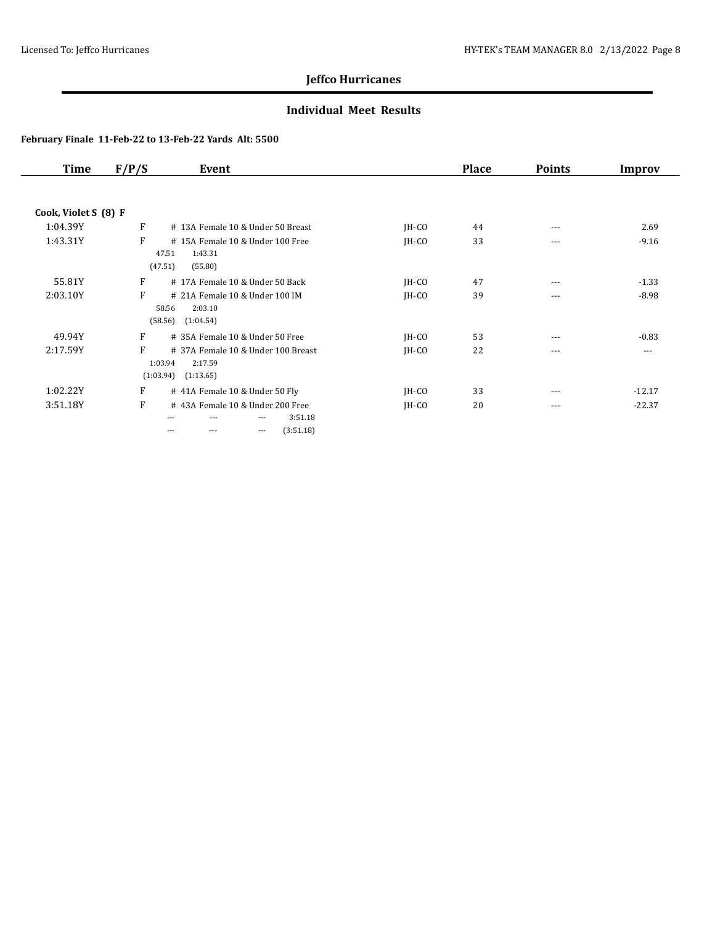### **Individual Meet Results**

| <b>Time</b>          | F/P/S                     | Event                                                                                                     |         | <b>Place</b> | <b>Points</b> | Improv   |
|----------------------|---------------------------|-----------------------------------------------------------------------------------------------------------|---------|--------------|---------------|----------|
|                      |                           |                                                                                                           |         |              |               |          |
| Cook, Violet S (8) F |                           |                                                                                                           |         |              |               |          |
| 1:04.39Y             | F                         | # 13A Female 10 & Under 50 Breast                                                                         | $IH-CO$ | 44           | $\cdots$      | 2.69     |
| 1:43.31Y             | F<br>47.51                | #15A Female 10 & Under 100 Free<br>1:43.31                                                                | $IH-CO$ | 33           | ---           | $-9.16$  |
|                      | (47.51)                   | (55.80)                                                                                                   |         |              |               |          |
| 55.81Y               | F                         | # 17A Female 10 & Under 50 Back                                                                           | $IH-CO$ | 47           | ---           | $-1.33$  |
| 2:03.10Y             | F<br>58.56                | # 21A Female 10 & Under 100 IM<br>2:03.10                                                                 | $IH-CO$ | 39           | ---           | $-8.98$  |
|                      | (58.56)                   | (1:04.54)                                                                                                 |         |              |               |          |
| 49.94Y               | F                         | # 35A Female 10 & Under 50 Free                                                                           | $IH-CO$ | 53           | $---$         | $-0.83$  |
| 2:17.59Y             | F<br>1:03.94<br>(1.03.94) | # 37A Female 10 & Under 100 Breast<br>2:17.59<br>(1:13.65)                                                | $IH-CO$ | 22           | ---           | ---      |
| 1:02.22Y             | F                         | # 41A Female 10 & Under 50 Fly                                                                            | $IH-CO$ | 33           | ---           | $-12.17$ |
| 3:51.18Y             | F                         | #43A Female 10 & Under 200 Free<br>3:51.18<br>$- - -$<br>---<br>(3:51.18)<br>$\cdots$<br>$- - -$<br>$---$ | $IH-CO$ | 20           | $\cdots$      | $-22.37$ |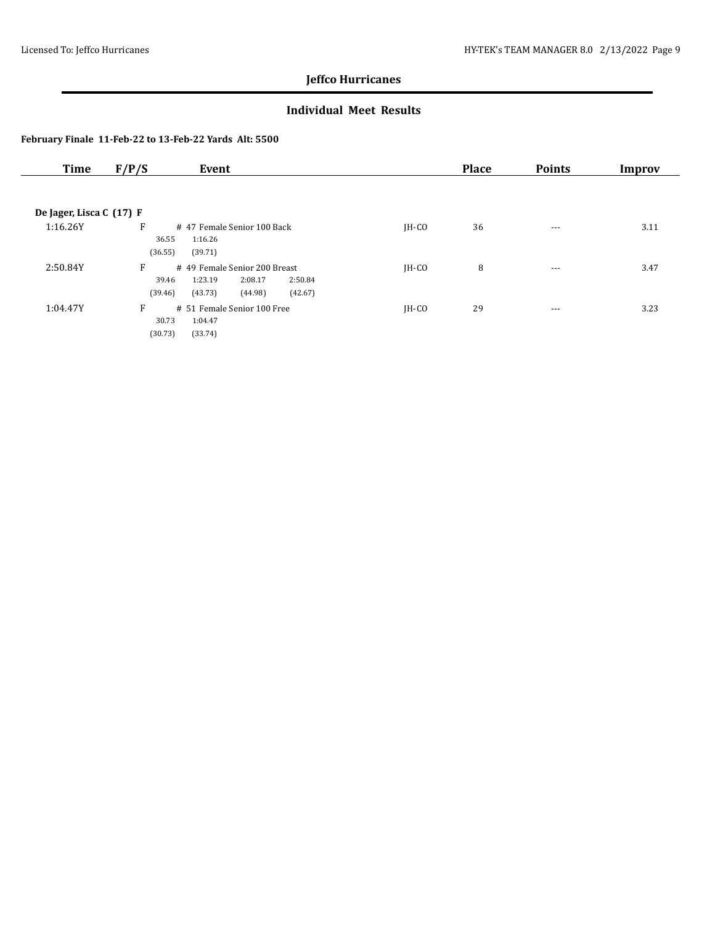### **Individual Meet Results**

| <b>Time</b>              | F/P/S<br>Event                                                                                                           |         | <b>Place</b> | <b>Points</b> | Improv |
|--------------------------|--------------------------------------------------------------------------------------------------------------------------|---------|--------------|---------------|--------|
|                          |                                                                                                                          |         |              |               |        |
| De Jager, Lisca C (17) F |                                                                                                                          |         |              |               |        |
| 1:16.26Y                 | F<br>#47 Female Senior 100 Back<br>36.55<br>1:16.26<br>(36.55)<br>(39.71)                                                | IH-CO   | 36           | $--$          | 3.11   |
| 2:50.84Y                 | F<br># 49 Female Senior 200 Breast<br>1:23.19<br>2:08.17<br>2:50.84<br>39.46<br>(39.46)<br>(42.67)<br>(43.73)<br>(44.98) | IH-CO   | 8            | $---$         | 3.47   |
| 1:04.47Y                 | F<br># 51 Female Senior 100 Free<br>30.73<br>1:04.47<br>(30.73)<br>(33.74)                                               | $IH-CO$ | 29           | $\cdots$      | 3.23   |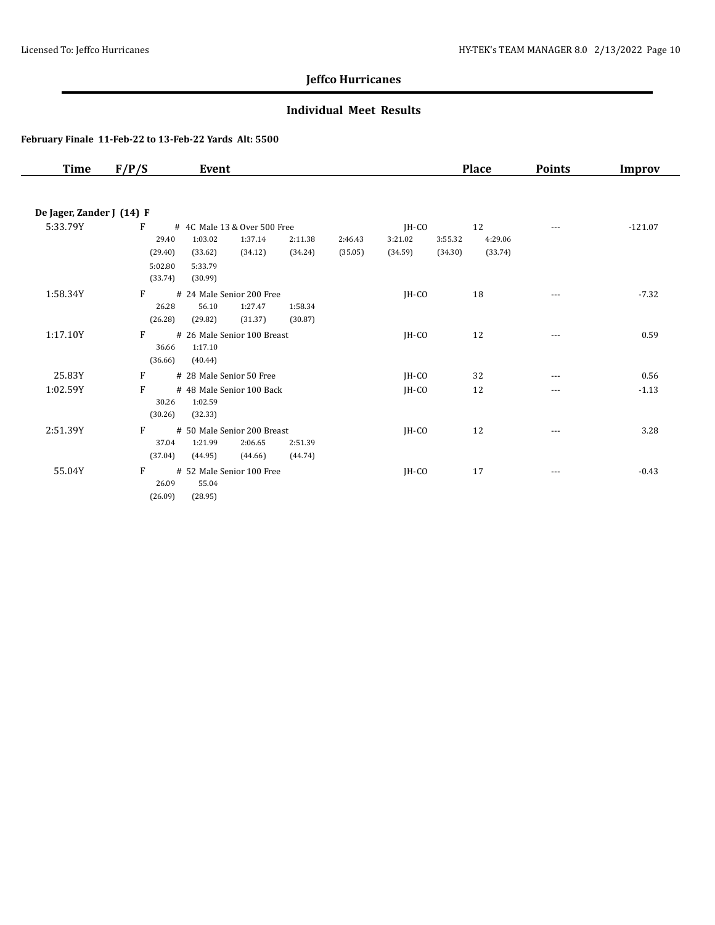### **Individual Meet Results**

| Time                      | F/P/S   | Event                        |         |         |         |         | <b>Place</b> | <b>Points</b>                                                                                                                                                                                                                                                                                                                                                                                | Improv    |
|---------------------------|---------|------------------------------|---------|---------|---------|---------|--------------|----------------------------------------------------------------------------------------------------------------------------------------------------------------------------------------------------------------------------------------------------------------------------------------------------------------------------------------------------------------------------------------------|-----------|
|                           |         |                              |         |         |         |         |              |                                                                                                                                                                                                                                                                                                                                                                                              |           |
| De Jager, Zander J (14) F |         |                              |         |         |         |         |              |                                                                                                                                                                                                                                                                                                                                                                                              |           |
| 5:33.79Y                  | F       | # 4C Male 13 & Over 500 Free |         |         | JH-CO   |         | 12           | ---                                                                                                                                                                                                                                                                                                                                                                                          | $-121.07$ |
|                           | 29.40   | 1:03.02<br>1:37.14           | 2:11.38 | 2:46.43 | 3:21.02 | 3:55.32 | 4:29.06      |                                                                                                                                                                                                                                                                                                                                                                                              |           |
|                           | (29.40) | (33.62)<br>(34.12)           | (34.24) | (35.05) | (34.59) | (34.30) | (33.74)      |                                                                                                                                                                                                                                                                                                                                                                                              |           |
|                           | 5:02.80 | 5:33.79                      |         |         |         |         |              |                                                                                                                                                                                                                                                                                                                                                                                              |           |
|                           | (33.74) | (30.99)                      |         |         |         |         |              |                                                                                                                                                                                                                                                                                                                                                                                              |           |
| 1:58.34Y                  | F       | # 24 Male Senior 200 Free    |         |         | $IH-CO$ |         | 18           | $\frac{1}{2} \frac{1}{2} \frac{1}{2} \frac{1}{2} \frac{1}{2} \frac{1}{2} \frac{1}{2} \frac{1}{2} \frac{1}{2} \frac{1}{2} \frac{1}{2} \frac{1}{2} \frac{1}{2} \frac{1}{2} \frac{1}{2} \frac{1}{2} \frac{1}{2} \frac{1}{2} \frac{1}{2} \frac{1}{2} \frac{1}{2} \frac{1}{2} \frac{1}{2} \frac{1}{2} \frac{1}{2} \frac{1}{2} \frac{1}{2} \frac{1}{2} \frac{1}{2} \frac{1}{2} \frac{1}{2} \frac{$ | $-7.32$   |
|                           | 26.28   | 56.10<br>1:27.47             | 1:58.34 |         |         |         |              |                                                                                                                                                                                                                                                                                                                                                                                              |           |
|                           | (26.28) | (29.82)<br>(31.37)           | (30.87) |         |         |         |              |                                                                                                                                                                                                                                                                                                                                                                                              |           |
| 1:17.10Y                  | F       | # 26 Male Senior 100 Breast  |         |         | $IH-CO$ |         | 12           | $\cdots$                                                                                                                                                                                                                                                                                                                                                                                     | 0.59      |
|                           | 36.66   | 1:17.10                      |         |         |         |         |              |                                                                                                                                                                                                                                                                                                                                                                                              |           |
|                           | (36.66) | (40.44)                      |         |         |         |         |              |                                                                                                                                                                                                                                                                                                                                                                                              |           |
| 25.83Y                    | F       | # 28 Male Senior 50 Free     |         |         | $IH-CO$ |         | 32           | ---                                                                                                                                                                                                                                                                                                                                                                                          | 0.56      |
| 1:02.59Y                  | F       | # 48 Male Senior 100 Back    |         |         | $IH-CO$ |         | 12           | $---$                                                                                                                                                                                                                                                                                                                                                                                        | $-1.13$   |
|                           | 30.26   | 1:02.59                      |         |         |         |         |              |                                                                                                                                                                                                                                                                                                                                                                                              |           |
|                           | (30.26) | (32.33)                      |         |         |         |         |              |                                                                                                                                                                                                                                                                                                                                                                                              |           |
| 2:51.39Y                  | F       | # 50 Male Senior 200 Breast  |         |         | $IH-CO$ |         | 12           | $---$                                                                                                                                                                                                                                                                                                                                                                                        | 3.28      |
|                           | 37.04   | 1:21.99<br>2:06.65           | 2:51.39 |         |         |         |              |                                                                                                                                                                                                                                                                                                                                                                                              |           |
|                           | (37.04) | (44.95)<br>(44.66)           | (44.74) |         |         |         |              |                                                                                                                                                                                                                                                                                                                                                                                              |           |
| 55.04Y                    | F       | # 52 Male Senior 100 Free    |         |         | JH-CO   |         | 17           | $\cdots$                                                                                                                                                                                                                                                                                                                                                                                     | $-0.43$   |
|                           | 26.09   | 55.04                        |         |         |         |         |              |                                                                                                                                                                                                                                                                                                                                                                                              |           |
|                           | (26.09) | (28.95)                      |         |         |         |         |              |                                                                                                                                                                                                                                                                                                                                                                                              |           |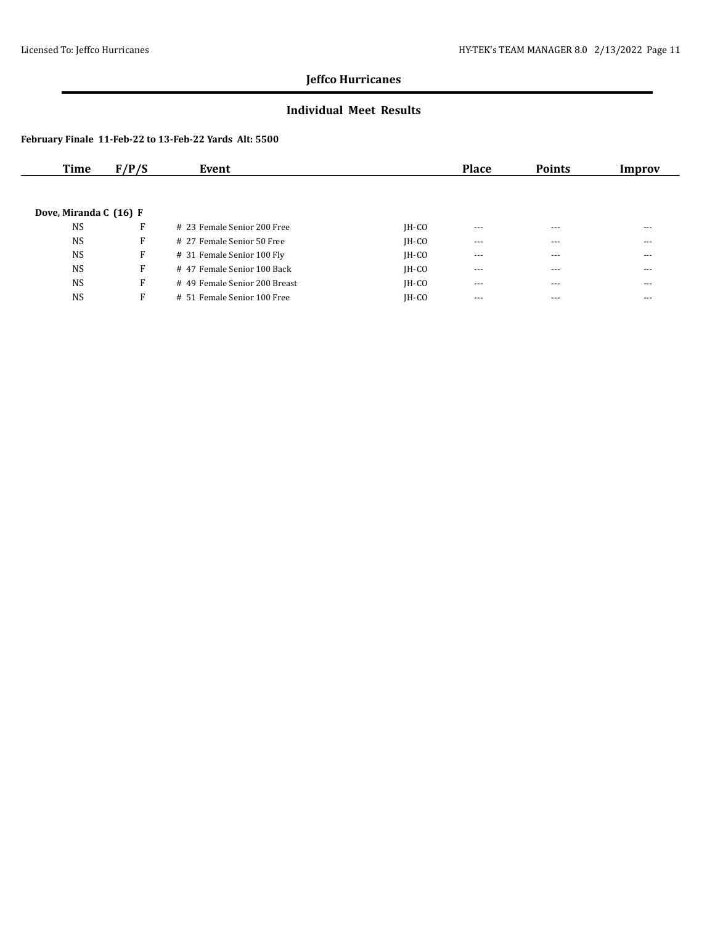### **Individual Meet Results**

| Time                   | F/P/S | Event                         |         | Place   | <b>Points</b> | Improv |
|------------------------|-------|-------------------------------|---------|---------|---------------|--------|
|                        |       |                               |         |         |               |        |
|                        |       |                               |         |         |               |        |
| Dove, Miranda C (16) F |       |                               |         |         |               |        |
| <b>NS</b>              | F     | # 23 Female Senior 200 Free   | $IH-CO$ | $- - -$ | $---$         | $---$  |
| <b>NS</b>              | F     | # 27 Female Senior 50 Free    | $IH-CO$ | $- - -$ | $- - -$       | $---$  |
| <b>NS</b>              | F     | # 31 Female Senior 100 Fly    | $IH-CO$ | $---$   | $- - -$       | $---$  |
| <b>NS</b>              | F     | # 47 Female Senior 100 Back   | $IH-CO$ | $- - -$ | $- - -$       | $---$  |
| <b>NS</b>              | F     | # 49 Female Senior 200 Breast | $IH-CO$ | $---$   | ---           | ---    |
| <b>NS</b>              | F     | # 51 Female Senior 100 Free   | $IH-CO$ | $- - -$ | $- - -$       | $---$  |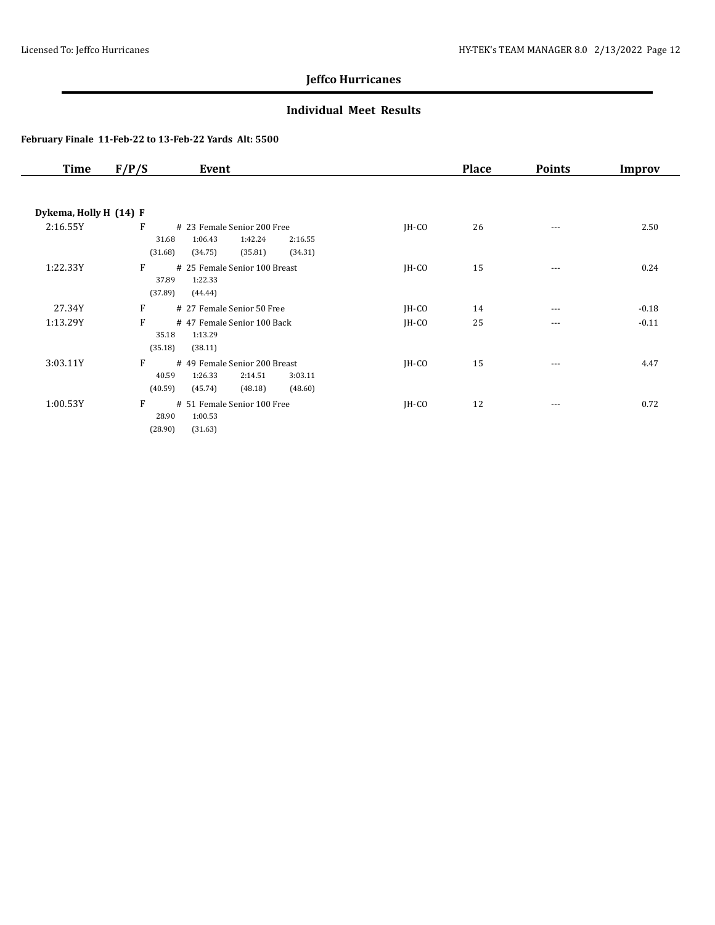### **Individual Meet Results**

| Time                   | F/P/S<br>Event                                                                                                           |         | <b>Place</b> | <b>Points</b> | Improv  |
|------------------------|--------------------------------------------------------------------------------------------------------------------------|---------|--------------|---------------|---------|
| Dykema, Holly H (14) F |                                                                                                                          |         |              |               |         |
| 2:16.55Y               | F<br># 23 Female Senior 200 Free<br>1:06.43<br>1:42.24<br>31.68<br>2:16.55<br>(31.68)<br>(34.75)<br>(35.81)<br>(34.31)   | $IH-CO$ | 26           | $\cdots$      | 2.50    |
| 1:22.33Y               | F<br># 25 Female Senior 100 Breast<br>37.89<br>1:22.33<br>(37.89)<br>(44.44)                                             | $IH-CO$ | 15           | ---           | 0.24    |
| 27.34Y                 | F<br># 27 Female Senior 50 Free                                                                                          | $IH-CO$ | 14           | $\cdots$      | $-0.18$ |
| 1:13.29Y               | F<br>#47 Female Senior 100 Back<br>35.18<br>1:13.29<br>(35.18)<br>(38.11)                                                | $IH-CO$ | 25           | $\cdots$      | $-0.11$ |
| 3:03.11Y               | F<br># 49 Female Senior 200 Breast<br>40.59<br>1:26.33<br>2:14.51<br>3:03.11<br>(40.59)<br>(45.74)<br>(48.18)<br>(48.60) | $IH-CO$ | 15           | ---           | 4.47    |
| 1:00.53Y               | F<br># 51 Female Senior 100 Free<br>28.90<br>1:00.53<br>(28.90)<br>(31.63)                                               | $IH-CO$ | 12           | $\cdots$      | 0.72    |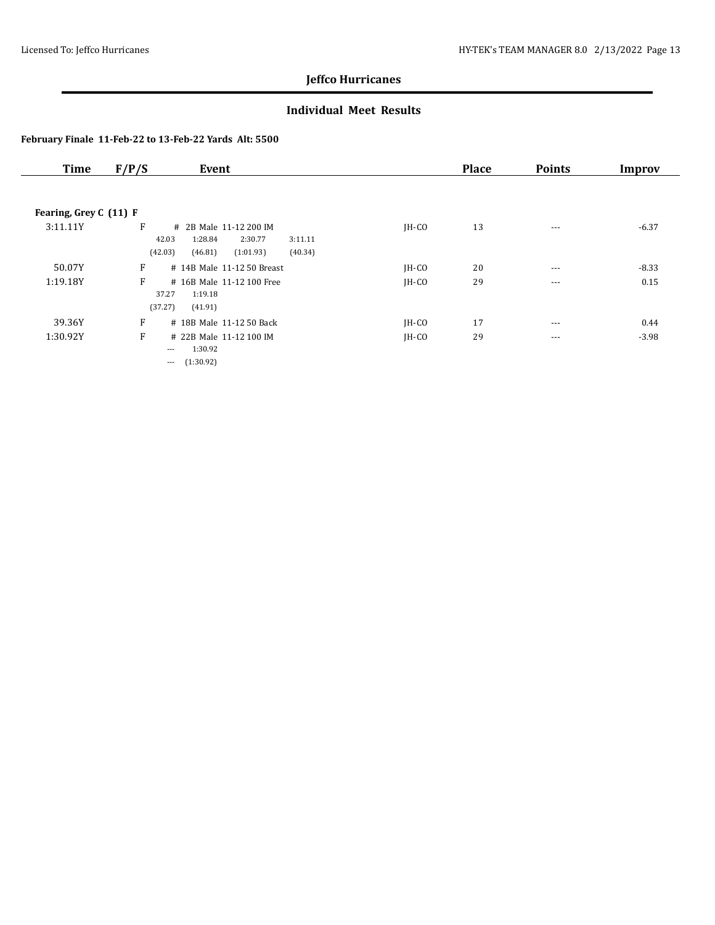### **Individual Meet Results**

| <b>Time</b>            | F/P/S                 | Event                                                   |         | <b>Place</b> | <b>Points</b> | Improv  |
|------------------------|-----------------------|---------------------------------------------------------|---------|--------------|---------------|---------|
|                        |                       |                                                         |         |              |               |         |
| Fearing, Grey C (11) F |                       |                                                         |         |              |               |         |
| 3:11.11Y               | F<br>42.03            | # 2B Male 11-12 200 IM<br>1:28.84<br>2:30.77<br>3:11.11 | $IH-CO$ | 13           | $\cdots$      | $-6.37$ |
|                        | (42.03)               | (40.34)<br>(46.81)<br>(1:01.93)                         |         |              |               |         |
| 50.07Y                 | F                     | # 14B Male 11-12 50 Breast                              | $IH-CO$ | 20           | $\cdots$      | $-8.33$ |
| 1:19.18Y               | F<br>37.27<br>(37.27) | # 16B Male 11-12 100 Free<br>1:19.18<br>(41.91)         | $IH-CO$ | 29           | $- - -$       | 0.15    |
| 39.36Y                 | F                     | # 18B Male 11-12 50 Back                                | $IH-CO$ | 17           | $---$         | 0.44    |
| 1:30.92Y               | F<br>---<br>$\cdots$  | # 22B Male 11-12 100 IM<br>1:30.92<br>(1:30.92)         | $IH-CO$ | 29           | $- - -$       | $-3.98$ |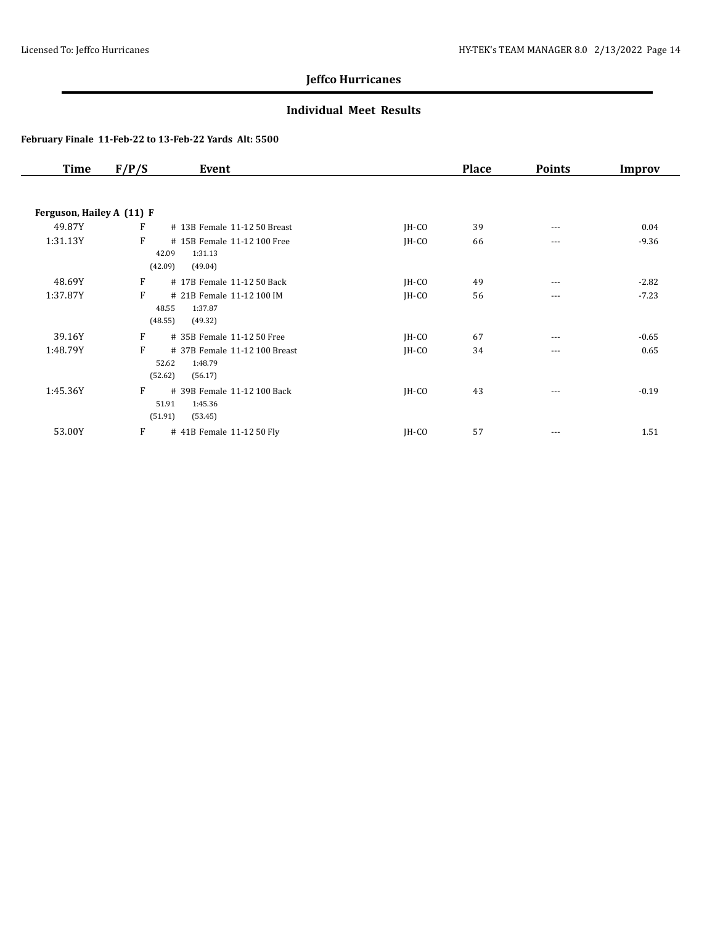### **Individual Meet Results**

| <b>Time</b>               | F/P/S | Event                         |         | <b>Place</b> | <b>Points</b> | Improv  |
|---------------------------|-------|-------------------------------|---------|--------------|---------------|---------|
|                           |       |                               |         |              |               |         |
| Ferguson, Hailey A (11) F |       |                               |         |              |               |         |
| 49.87Y                    | F     | # 13B Female 11-12 50 Breast  | JH-CO   | 39           | ---           | 0.04    |
| 1:31.13Y                  | F     | # 15B Female 11-12 100 Free   | JH-CO   | 66           | ---           | $-9.36$ |
|                           |       | 42.09<br>1:31.13              |         |              |               |         |
|                           |       | (42.09)<br>(49.04)            |         |              |               |         |
| 48.69Y                    | F     | # 17B Female 11-12 50 Back    | $IH-CO$ | 49           | ---           | $-2.82$ |
| 1:37.87Y                  | F     | # 21B Female 11-12 100 IM     | $IH-CO$ | 56           | $\cdots$      | $-7.23$ |
|                           |       | 48.55<br>1:37.87              |         |              |               |         |
|                           |       | (48.55)<br>(49.32)            |         |              |               |         |
| 39.16Y                    | F     | # 35B Female 11-12 50 Free    | $IH-CO$ | 67           | ---           | $-0.65$ |
| 1:48.79Y                  | F     | # 37B Female 11-12 100 Breast | JH-CO   | 34           | ---           | 0.65    |
|                           |       | 52.62<br>1:48.79              |         |              |               |         |
|                           |       | (52.62)<br>(56.17)            |         |              |               |         |
| 1:45.36Y                  | F     | # 39B Female 11-12 100 Back   | JH-CO   | 43           | $---$         | $-0.19$ |
|                           |       | 51.91<br>1:45.36              |         |              |               |         |
|                           |       | (51.91)<br>(53.45)            |         |              |               |         |
| 53.00Y                    | F     | # 41B Female 11-12 50 Fly     | IH-CO   | 57           | $---$         | 1.51    |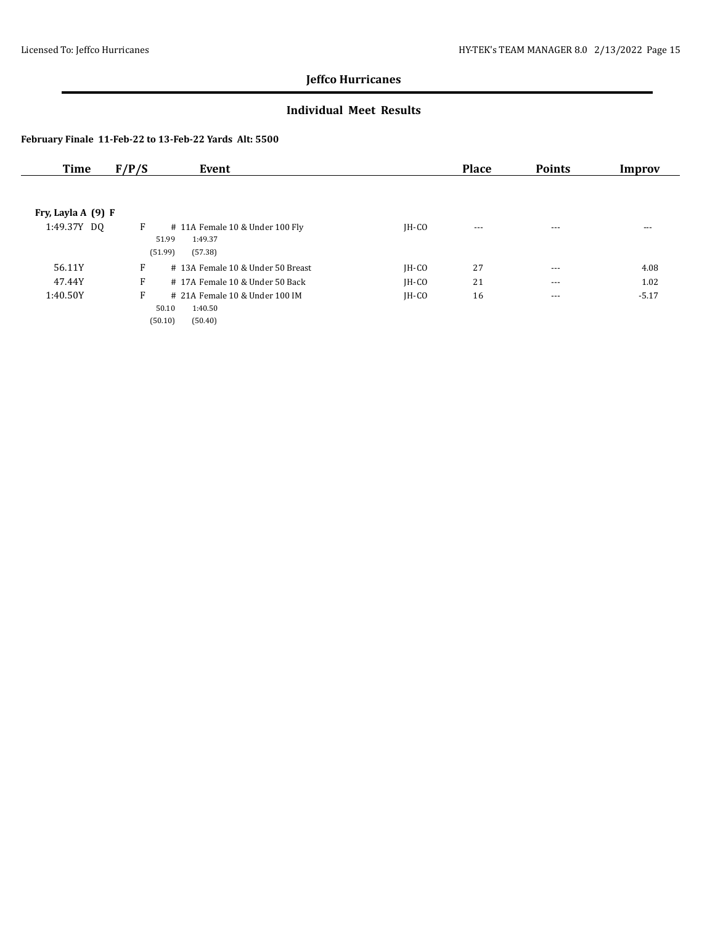### **Individual Meet Results**

| Time               | F/P/S<br>Event                                                                 |         | <b>Place</b> | <b>Points</b> | Improv  |
|--------------------|--------------------------------------------------------------------------------|---------|--------------|---------------|---------|
|                    |                                                                                |         |              |               |         |
| Fry, Layla A (9) F |                                                                                |         |              |               |         |
| 1:49.37Y DQ        | F<br># 11A Female 10 & Under 100 Fly<br>1:49.37<br>51.99<br>(51.99)<br>(57.38) | $IH-CO$ | $---$        | $- - -$       | $- - -$ |
| 56.11Y             | F<br># 13A Female 10 & Under 50 Breast                                         | $IH-CO$ | 27           | $- - -$       | 4.08    |
| 47.44Y             | F<br>#17A Female 10 & Under 50 Back                                            | $IH-CO$ | 21           | $---$         | 1.02    |
| 1:40.50Y           | F<br># 21A Female 10 & Under 100 IM<br>50.10<br>1:40.50                        | $IH-CO$ | 16           | $\cdots$      | $-5.17$ |
|                    | (50.10)<br>(50.40)                                                             |         |              |               |         |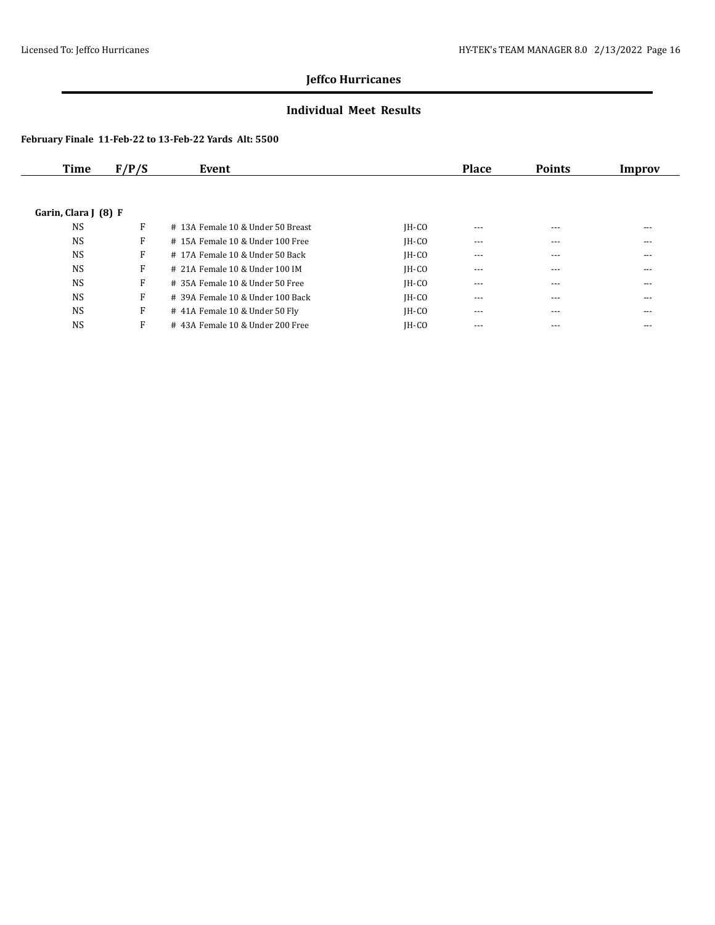### **Individual Meet Results**

| Time                 | F/P/S | Event                              |         | <b>Place</b> | <b>Points</b> | Improv |
|----------------------|-------|------------------------------------|---------|--------------|---------------|--------|
|                      |       |                                    |         |              |               |        |
| Garin, Clara J (8) F |       |                                    |         |              |               |        |
| <b>NS</b>            | F     | # 13A Female 10 & Under 50 Breast  | $IH-CO$ | $- - -$      | $- - -$       | ---    |
| <b>NS</b>            | F     | # 15A Female 10 & Under 100 Free   | $IH-CO$ | $---$        | $---$         | ---    |
| <b>NS</b>            | F     | # 17A Female 10 & Under 50 Back    | $IH-CO$ | $- - -$      | $---$         | ---    |
| <b>NS</b>            | F     | # 21A Female 10 & Under 100 IM     | $IH-CO$ | $---$        | $- - -$       | ---    |
| <b>NS</b>            | F     | # 35A Female 10 & Under 50 Free    | $IH-CO$ | $- - -$      | $- - -$       | $---$  |
| <b>NS</b>            | F     | $#$ 39A Female 10 & Under 100 Back | $IH-CO$ | $\cdots$     | $---$         | $---$  |
| <b>NS</b>            | F     | # 41A Female 10 & Under 50 Fly     | $IH-CO$ | $---$        | $- - -$       | ---    |
| <b>NS</b>            | F     | #43A Female 10 & Under 200 Free    | $IH-CO$ | $- - -$      | $- - -$       | ---    |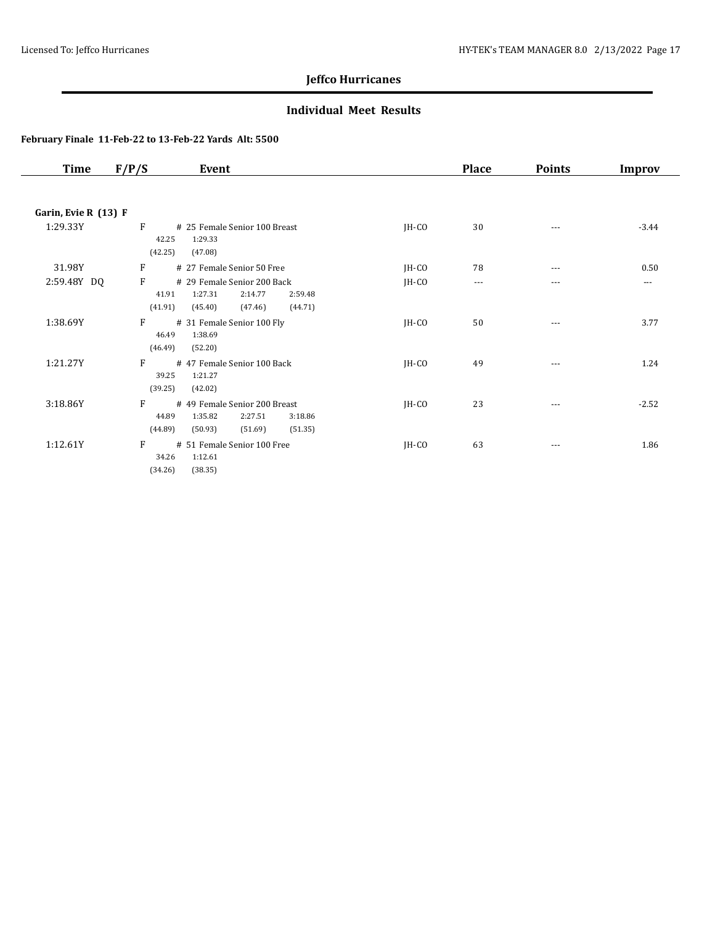### **Individual Meet Results**

| Time                 | F/P/S                        | Event                                                                                           |         | <b>Place</b> | <b>Points</b> | Improv  |
|----------------------|------------------------------|-------------------------------------------------------------------------------------------------|---------|--------------|---------------|---------|
|                      |                              |                                                                                                 |         |              |               |         |
| Garin, Evie R (13) F |                              |                                                                                                 |         |              |               |         |
| 1:29.33Y             | F<br>42.25<br>(42.25)        | # 25 Female Senior 100 Breast<br>1:29.33<br>(47.08)                                             | JH-CO   | 30           | ---           | $-3.44$ |
| 31.98Y               | F                            | # 27 Female Senior 50 Free                                                                      | JH-CO   | 78           | ---           | 0.50    |
| 2:59.48Y DQ          | F<br>41.91<br>(41.91)        | # 29 Female Senior 200 Back<br>1:27.31<br>2:14.77<br>2:59.48<br>$(45.40)$ $(47.46)$<br>(44.71)  | $IH-CO$ | $\cdots$     | ---           | ---     |
| 1:38.69Y             | $F \sim$<br>46.49<br>(46.49) | # 31 Female Senior 100 Fly<br>1:38.69<br>(52.20)                                                | JH-CO   | 50           | $\cdots$      | 3.77    |
| 1:21.27Y             | F<br>39.25<br>(39.25)        | #47 Female Senior 100 Back<br>1:21.27<br>(42.02)                                                | JH-CO   | 49           | ---           | 1.24    |
| 3:18.86Y             | F<br>44.89<br>(44.89)        | # 49 Female Senior 200 Breast<br>1:35.82<br>2:27.51<br>3:18.86<br>(50.93)<br>(51.69)<br>(51.35) | JH-CO   | 23           | ---           | $-2.52$ |
| 1:12.61Y             | F<br>34.26<br>(34.26)        | # 51 Female Senior 100 Free<br>1:12.61<br>(38.35)                                               | JH-CO   | 63           | $\cdots$      | 1.86    |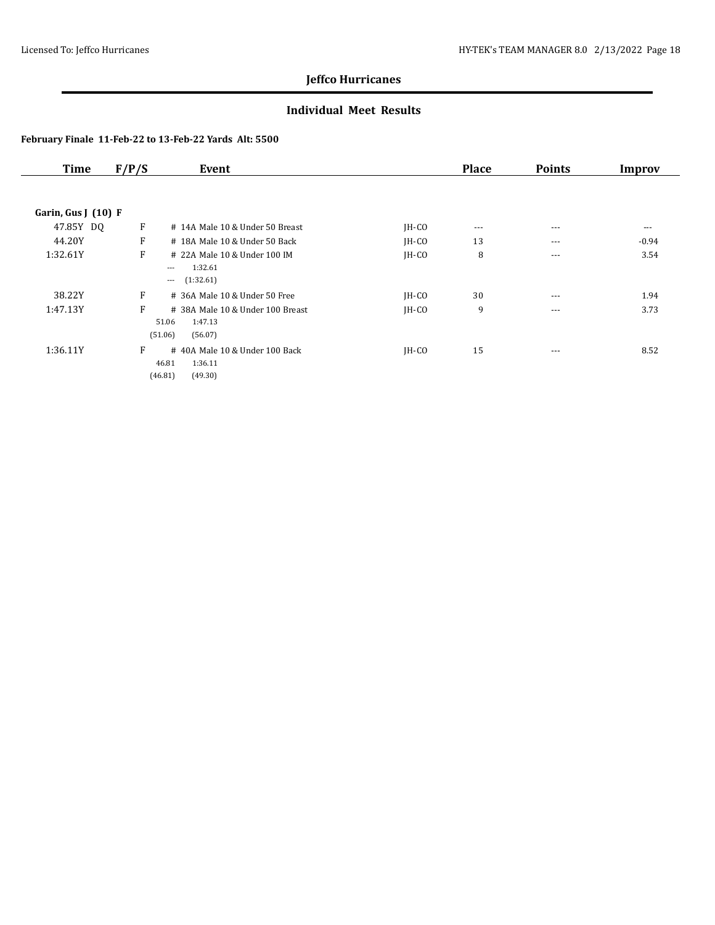### **Individual Meet Results**

| <b>Time</b>         | F/P/S | Event                            |         | <b>Place</b> | <b>Points</b> | Improv  |
|---------------------|-------|----------------------------------|---------|--------------|---------------|---------|
|                     |       |                                  |         |              |               |         |
| Garin, Gus $(10)$ F |       |                                  |         |              |               |         |
| 47.85Y DQ           | F     | # 14A Male 10 & Under 50 Breast  | $IH-CO$ | $\cdots$     | $---$         | ---     |
| 44.20Y              | F     | # 18A Male 10 & Under 50 Back    | $IH-CO$ | 13           | $---$         | $-0.94$ |
| 1:32.61Y            | F     | # 22A Male 10 & Under 100 IM     | $IH-CO$ | 8            | $---$         | 3.54    |
|                     |       | 1:32.61<br>$\cdots$              |         |              |               |         |
|                     |       | (1:32.61)<br>$\cdots$            |         |              |               |         |
| 38.22Y              | F     | $#$ 36A Male 10 & Under 50 Free  | $IH-CO$ | 30           | ---           | 1.94    |
| 1:47.13Y            | F     | # 38A Male 10 & Under 100 Breast | $IH-CO$ | 9            | $---$         | 3.73    |
|                     |       | 51.06<br>1:47.13                 |         |              |               |         |
|                     |       | (51.06)<br>(56.07)               |         |              |               |         |
| 1:36.11Y            | F     | #40A Male 10 & Under 100 Back    | JH-CO   | 15           | $---$         | 8.52    |
|                     |       | 1:36.11<br>46.81                 |         |              |               |         |
|                     |       | (46.81)<br>(49.30)               |         |              |               |         |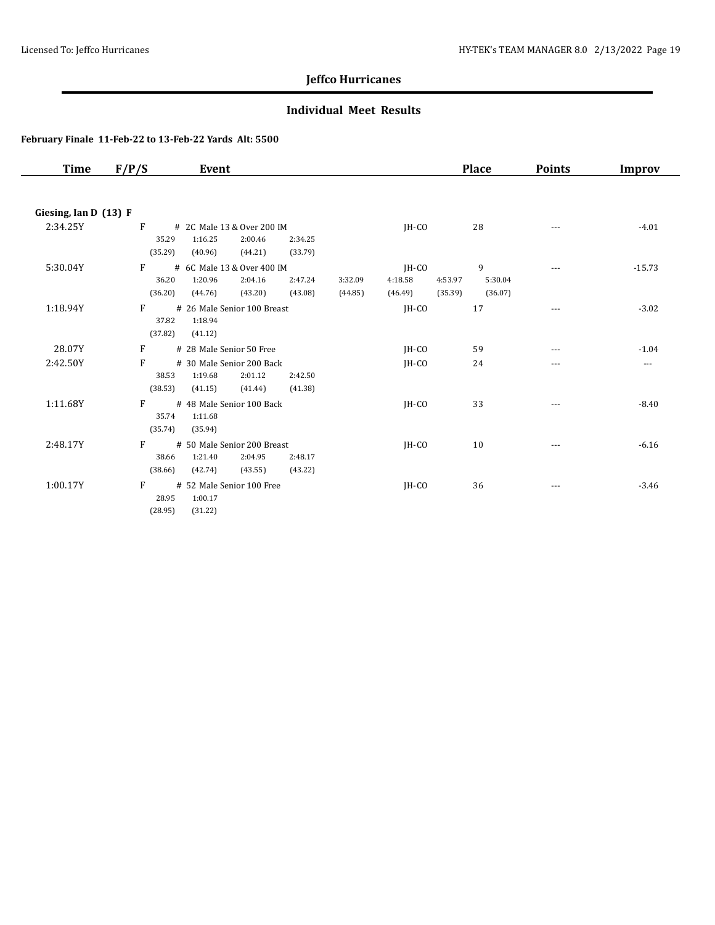### **Individual Meet Results**

| Time                  | F/P/S<br>Event                                                                                                                              |                                                   | <b>Place</b>            | <b>Points</b> | Improv   |
|-----------------------|---------------------------------------------------------------------------------------------------------------------------------------------|---------------------------------------------------|-------------------------|---------------|----------|
| Giesing, Ian D (13) F |                                                                                                                                             |                                                   |                         |               |          |
| 2:34.25Y              | F<br># 2C Male 13 & Over 200 IM<br>35.29<br>1:16.25<br>2:00.46<br>2:34.25<br>(35.29)<br>(40.96)<br>(44.21)<br>(33.79)                       | $IH-CO$                                           | 28                      | ---           | $-4.01$  |
| 5:30.04Y              | F<br># 6C Male 13 & Over 400 IM<br>2:04.16<br>36.20<br>1:20.96<br>2:47.24<br>3:32.09<br>(36.20)<br>(44.76)<br>(43.20)<br>(43.08)<br>(44.85) | JH-CO<br>4:53.97<br>4:18.58<br>(46.49)<br>(35.39) | 9<br>5:30.04<br>(36.07) | ---           | $-15.73$ |
| 1:18.94Y              | F<br># 26 Male Senior 100 Breast<br>37.82<br>1:18.94<br>(37.82)<br>(41.12)                                                                  | IH-CO                                             | 17                      | $\cdots$      | $-3.02$  |
| 28.07Y                | F<br># 28 Male Senior 50 Free                                                                                                               | $IH-CO$                                           | 59                      | ---           | $-1.04$  |
| 2:42.50Y              | F<br># 30 Male Senior 200 Back<br>1:19.68<br>2:01.12<br>38.53<br>2:42.50<br>(38.53)<br>(41.15)<br>(41.44)<br>(41.38)                        | IH-CO                                             | 24                      | ---           | $\cdots$ |
| 1:11.68Y              | F<br># 48 Male Senior 100 Back<br>35.74<br>1:11.68<br>(35.74)<br>(35.94)                                                                    | JH-CO                                             | 33                      | ---           | $-8.40$  |
| 2:48.17Y              | F<br># 50 Male Senior 200 Breast<br>38.66<br>1:21.40<br>2:04.95<br>2:48.17<br>(38.66)<br>(42.74)<br>(43.55)<br>(43.22)                      | IH-CO                                             | 10                      |               | $-6.16$  |
| 1:00.17Y              | F<br># 52 Male Senior 100 Free<br>28.95<br>1:00.17<br>(28.95)<br>(31.22)                                                                    | IH-CO                                             | 36                      | $- - -$       | $-3.46$  |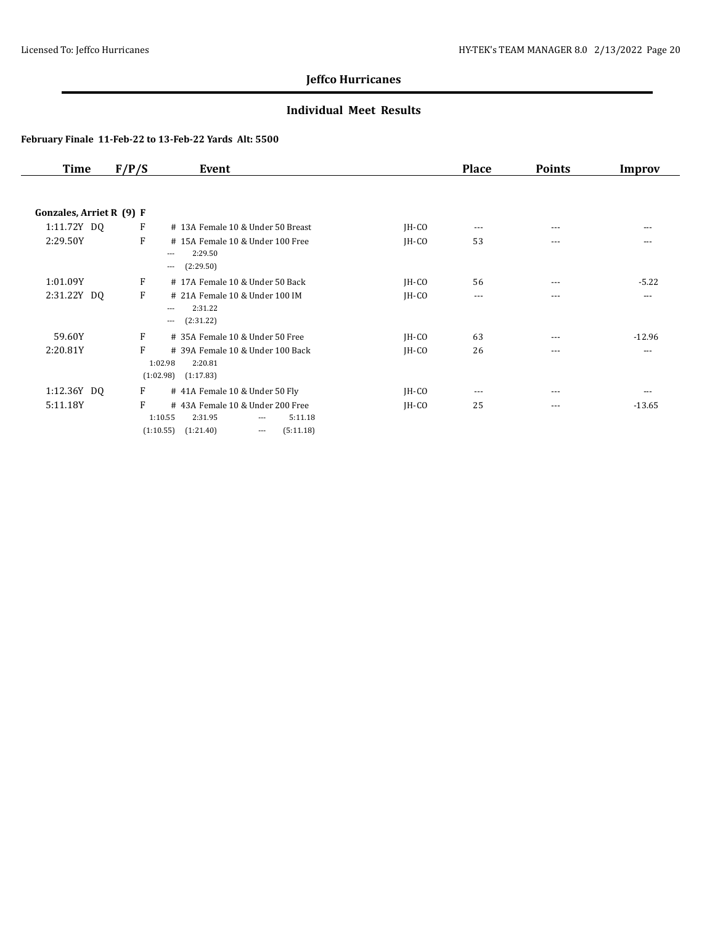### **Individual Meet Results**

| Time                     | F/P/S | Event                                                                                                                        |         | <b>Place</b> | <b>Points</b> | Improv   |
|--------------------------|-------|------------------------------------------------------------------------------------------------------------------------------|---------|--------------|---------------|----------|
|                          |       |                                                                                                                              |         |              |               |          |
| Gonzales, Arriet R (9) F |       |                                                                                                                              |         |              |               |          |
| 1:11.72Y DQ              | F     | # 13A Female 10 & Under 50 Breast                                                                                            | $IH-CO$ | $\cdots$     | $---$         | $---$    |
| 2:29.50Y                 | F     | #15A Female 10 & Under 100 Free<br>2:29.50<br>$---$<br>(2:29.50)<br>$---$                                                    | $IH-CO$ | 53           | $---$         | ---      |
| 1:01.09Y                 | F     | # 17A Female 10 & Under 50 Back                                                                                              | $IH-CO$ | 56           | $---$         | $-5.22$  |
| 2:31.22Y DQ              | F     | # 21A Female 10 & Under 100 IM<br>2:31.22<br>$\cdots$<br>(2:31.22)<br>$\cdots$                                               | $IH-CO$ | $\cdots$     | $- - -$       | $\cdots$ |
| 59.60Y                   | F     | # 35A Female 10 & Under 50 Free                                                                                              | $IH-CO$ | 63           | $---$         | $-12.96$ |
| 2:20.81Y                 | F     | # 39A Female 10 & Under 100 Back<br>1:02.98<br>2:20.81<br>(1:02.98)<br>(1:17.83)                                             | $IH-CO$ | 26           | ---           | ---      |
| 1:12.36Y DQ              | F     | # 41A Female 10 & Under 50 Fly                                                                                               | $IH-CO$ | $\cdots$     | $---$         | ---      |
| 5:11.18Y                 | F     | #43A Female 10 & Under 200 Free<br>1:10.55<br>2:31.95<br>5:11.18<br>$---$<br>(1:21.40)<br>(5:11.18)<br>(1:10.55)<br>$\cdots$ | $IH-CO$ | 25           | $\cdots$      | $-13.65$ |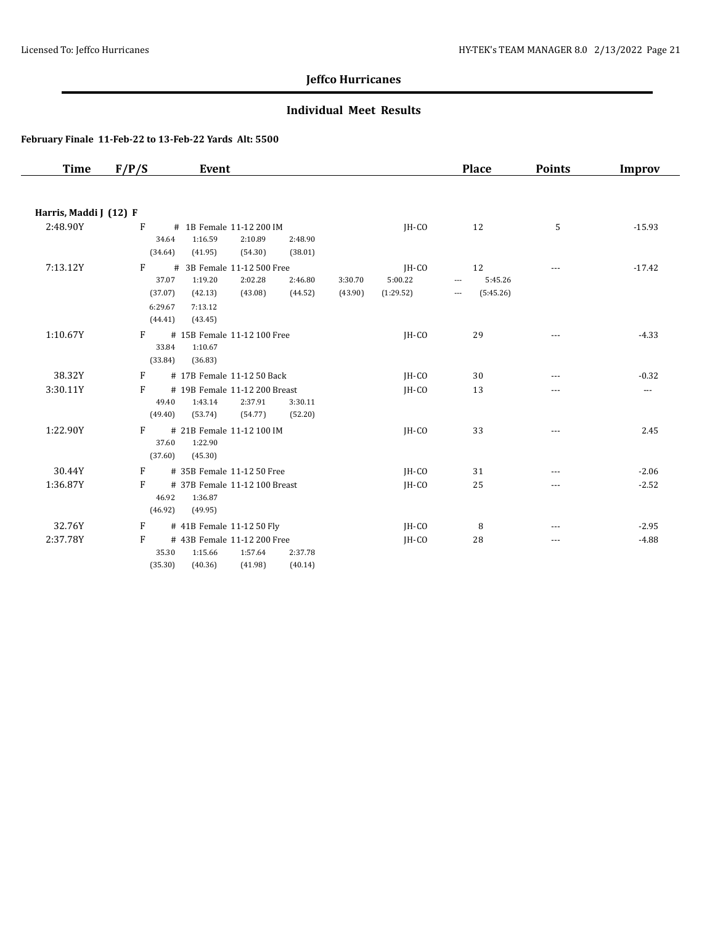### **Individual Meet Results**

| <b>Time</b>            | F/P/S                                            | Event                                                                                                            |                    |                               | <b>Place</b>                                                  | <b>Points</b> | <b>Improv</b> |
|------------------------|--------------------------------------------------|------------------------------------------------------------------------------------------------------------------|--------------------|-------------------------------|---------------------------------------------------------------|---------------|---------------|
|                        |                                                  |                                                                                                                  |                    |                               |                                                               |               |               |
| Harris, Maddi J (12) F |                                                  |                                                                                                                  |                    |                               |                                                               |               |               |
| 2:48.90Y               | F<br>34.64<br>(34.64)                            | # 1B Female 11-12 200 IM<br>1:16.59<br>2:10.89<br>2:48.90<br>(41.95)<br>(54.30)<br>(38.01)                       |                    | IH-CO                         | 12                                                            | 5             | $-15.93$      |
| 7:13.12Y               | F<br>#<br>37.07<br>(37.07)<br>6:29.67<br>(44.41) | 3B Female 11-12 500 Free<br>1:19.20<br>2:02.28<br>2:46.80<br>(44.52)<br>(42.13)<br>(43.08)<br>7:13.12<br>(43.45) | 3:30.70<br>(43.90) | JH-CO<br>5:00.22<br>(1:29.52) | 12<br>5:45.26<br>$\overline{\phantom{a}}$<br>(5:45.26)<br>--- | $\cdots$      | $-17.42$      |
| 1:10.67Y               | F<br>33.84<br>(33.84)                            | # 15B Female 11-12 100 Free<br>1:10.67<br>(36.83)                                                                |                    | IH-CO                         | 29                                                            | ---           | $-4.33$       |
| 38.32Y                 | F                                                | # 17B Female 11-12 50 Back                                                                                       |                    | JH-CO                         | 30                                                            | ---           | $-0.32$       |
| 3:30.11Y               | F<br>49.40<br>(49.40)                            | # 19B Female 11-12 200 Breast<br>1:43.14<br>2:37.91<br>3:30.11<br>(53.74)<br>(54.77)<br>(52.20)                  |                    | IH-CO                         | 13                                                            | ---           | ---           |
| 1:22.90Y               | F<br>37.60<br>(37.60)                            | # 21B Female 11-12 100 IM<br>1:22.90<br>(45.30)                                                                  |                    | $IH-CO$                       | 33                                                            | $\cdots$      | 2.45          |
| 30.44Y                 | F                                                | # 35B Female 11-12 50 Free                                                                                       |                    | IH-CO                         | 31                                                            | $---$         | $-2.06$       |
| 1:36.87Y               | F<br>46.92<br>(46.92)                            | # 37B Female 11-12 100 Breast<br>1:36.87<br>(49.95)                                                              |                    | IH-CO                         | 25                                                            | ---           | $-2.52$       |
| 32.76Y                 | F                                                | # 41B Female 11-12 50 Fly                                                                                        |                    | $IH-CO$                       | 8                                                             | $---$         | $-2.95$       |
| 2:37.78Y               | F<br>35.30<br>(35.30)                            | # 43B Female 11-12 200 Free<br>1:15.66<br>1:57.64<br>2:37.78<br>(40.14)<br>(40.36)<br>(41.98)                    |                    | JH-CO                         | 28                                                            | ---           | $-4.88$       |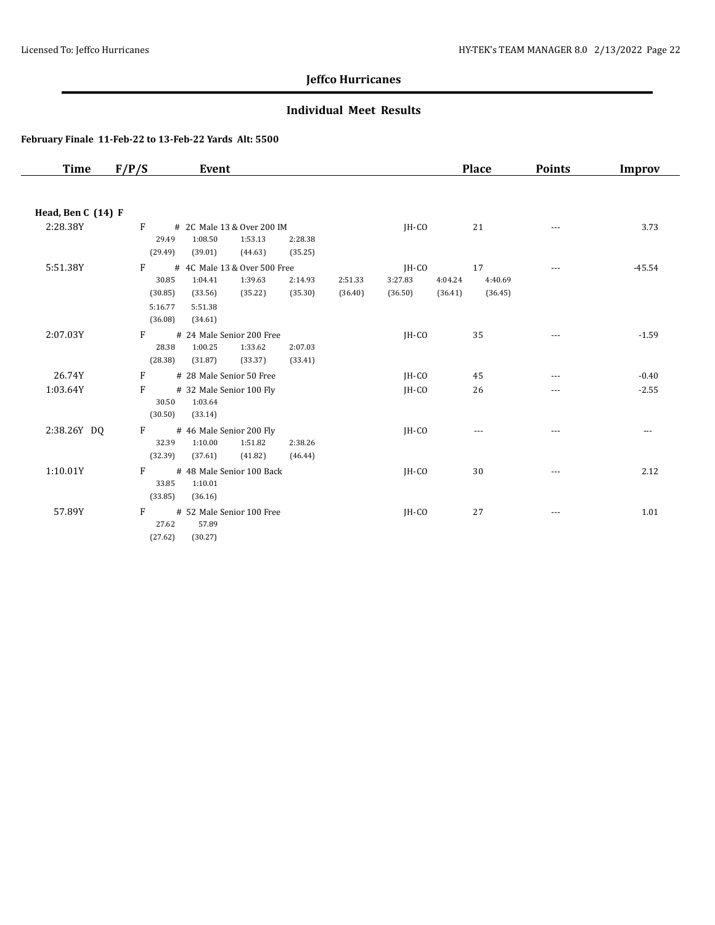### **Individual Meet Results**

| Time               | F/P/S              | Event                              |         |         |         |         | <b>Place</b> | <b>Points</b> | Improv   |
|--------------------|--------------------|------------------------------------|---------|---------|---------|---------|--------------|---------------|----------|
|                    |                    |                                    |         |         |         |         |              |               |          |
| Head, Ben C (14) F |                    |                                    |         |         |         |         |              |               |          |
| 2:28.38Y           | $\mathbf{F}$       | # 2C Male 13 & Over 200 IM         |         |         | $IH-CO$ |         | 21           | $\cdots$      | 3.73     |
|                    | 29.49              | 1:08.50<br>1:53.13                 | 2:28.38 |         |         |         |              |               |          |
|                    | (29.49)            | (39.01)<br>(44.63)                 | (35.25) |         |         |         |              |               |          |
| 5:51.38Y           | F                  | # 4C Male 13 & Over 500 Free       |         |         | JH-CO   |         | 17           | ---           | $-45.54$ |
|                    | 30.85              | 1:39.63<br>1:04.41                 | 2:14.93 | 2:51.33 | 3:27.83 | 4:04.24 | 4:40.69      |               |          |
|                    | (30.85)<br>5:16.77 | (35.22)<br>(33.56)<br>5:51.38      | (35.30) | (36.40) | (36.50) | (36.41) | (36.45)      |               |          |
|                    | (36.08)            | (34.61)                            |         |         |         |         |              |               |          |
| 2:07.03Y           | F                  | # 24 Male Senior 200 Free          |         |         | JH-CO   |         | 35           | ---           | $-1.59$  |
|                    | 28.38              | 1:33.62<br>1:00.25                 | 2:07.03 |         |         |         |              |               |          |
|                    | (28.38)            | (31.87)<br>(33.37)                 | (33.41) |         |         |         |              |               |          |
| 26.74Y             | F                  | # 28 Male Senior 50 Free           |         |         | $IH-CO$ |         | 45           | ---           | $-0.40$  |
| 1:03.64Y           | F                  | # 32 Male Senior 100 Fly           |         |         | $IH-CO$ |         | 26           | ---           | $-2.55$  |
|                    | 30.50              | 1:03.64                            |         |         |         |         |              |               |          |
|                    | (30.50)            | (33.14)                            |         |         |         |         |              |               |          |
| 2:38.26Y DQ        | F                  | # 46 Male Senior 200 Fly           |         |         | IH-CO   |         | $\cdots$     | ---           | $\cdots$ |
|                    | 32.39              | 1:51.82<br>1:10.00                 | 2:38.26 |         |         |         |              |               |          |
|                    | (32.39)            | (37.61)<br>(41.82)                 | (46.44) |         |         |         |              |               |          |
| 1:10.01Y           | $\mathbf{F}$       | # 48 Male Senior 100 Back          |         |         | $IH-CO$ |         | 30           | $\cdots$      | 2.12     |
|                    | 33.85<br>(33.85)   | 1:10.01<br>(36.16)                 |         |         |         |         |              |               |          |
|                    |                    |                                    |         |         |         |         |              |               |          |
| 57.89Y             | F<br>27.62         | # 52 Male Senior 100 Free<br>57.89 |         |         | $IH-CO$ |         | 27           | $\cdots$      | 1.01     |
|                    | (27.62)            | (30.27)                            |         |         |         |         |              |               |          |
|                    |                    |                                    |         |         |         |         |              |               |          |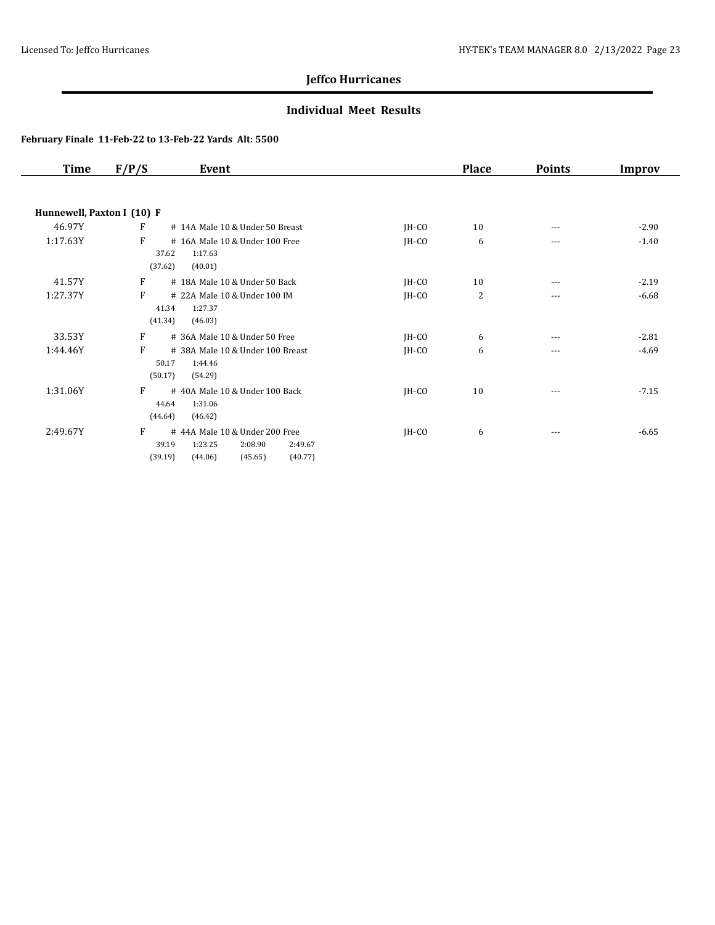### **Individual Meet Results**

| <b>Time</b>                | F/P/S                 | Event                                                                                           |         | <b>Place</b> | <b>Points</b> | Improv  |
|----------------------------|-----------------------|-------------------------------------------------------------------------------------------------|---------|--------------|---------------|---------|
|                            |                       |                                                                                                 |         |              |               |         |
| Hunnewell, Paxton I (10) F |                       |                                                                                                 |         |              |               |         |
| 46.97Y                     | F                     | # 14A Male 10 & Under 50 Breast                                                                 | $IH-CO$ | 10           | $\cdots$      | $-2.90$ |
| 1:17.63Y                   | F<br>37.62<br>(37.62) | # 16A Male 10 & Under 100 Free<br>1:17.63<br>(40.01)                                            | $IH-CO$ | 6            | ---           | $-1.40$ |
| 41.57Y                     | F                     | # 18A Male 10 & Under 50 Back                                                                   | $IH-CO$ | 10           | ---           | $-2.19$ |
| 1:27.37Y                   | F<br>41.34<br>(41.34) | # 22A Male 10 & Under 100 IM<br>1:27.37<br>(46.03)                                              | $IH-CO$ | 2            | ---           | $-6.68$ |
| 33.53Y                     | F                     | # 36A Male 10 & Under 50 Free                                                                   | JH-CO   | 6            |               | $-2.81$ |
| 1:44.46Y                   | F<br>50.17<br>(50.17) | # 38A Male 10 & Under 100 Breast<br>1:44.46<br>(54.29)                                          | $IH-CO$ | 6            | ---           | $-4.69$ |
| 1:31.06Y                   | F<br>44.64<br>(44.64) | #40A Male 10 & Under 100 Back<br>1:31.06<br>(46.42)                                             | $IH-CO$ | 10           | ---           | $-7.15$ |
| 2:49.67Y                   | F<br>39.19<br>(39.19) | #44A Male 10 & Under 200 Free<br>1:23.25<br>2:08.90<br>2:49.67<br>(45.65)<br>(40.77)<br>(44.06) | $IH-CO$ | 6            | ---           | $-6.65$ |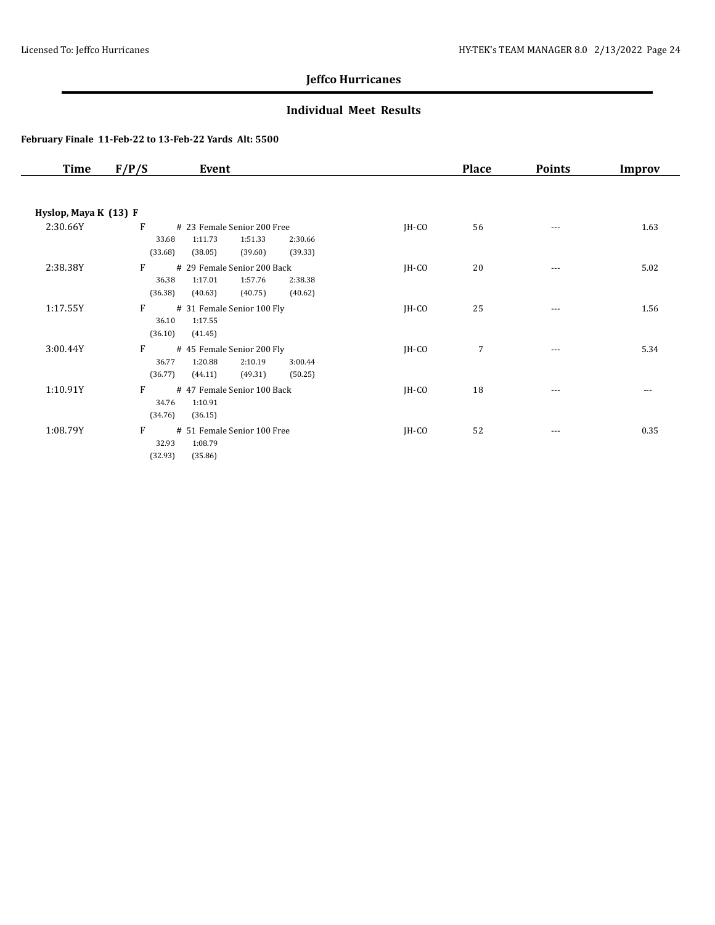### **Individual Meet Results**

| <b>Time</b>           | F/P/S<br>Event                                                                                                         |         | <b>Place</b> | <b>Points</b>        | Improv |
|-----------------------|------------------------------------------------------------------------------------------------------------------------|---------|--------------|----------------------|--------|
|                       |                                                                                                                        |         |              |                      |        |
| Hyslop, Maya K (13) F |                                                                                                                        |         |              |                      |        |
| 2:30.66Y              | F<br># 23 Female Senior 200 Free<br>1:11.73<br>33.68<br>1:51.33<br>2:30.66<br>(33.68)<br>(38.05)<br>(39.60)<br>(39.33) | $IH-CO$ | 56           | $\cdots$             | 1.63   |
| 2:38.38Y              | F<br># 29 Female Senior 200 Back<br>1:17.01<br>1:57.76<br>36.38<br>2:38.38<br>(36.38)<br>(40.75)<br>(40.63)<br>(40.62) | $IH-CO$ | 20           | $\sim$ $\sim$ $\sim$ | 5.02   |
| 1:17.55Y              | F<br># 31 Female Senior 100 Fly<br>36.10<br>1:17.55<br>(36.10)<br>(41.45)                                              | $IH-CO$ | 25           | $\cdots$             | 1.56   |
| 3:00.44Y              | F<br># 45 Female Senior 200 Fly<br>1:20.88<br>2:10.19<br>36.77<br>3:00.44<br>(36.77)<br>(49.31)<br>(50.25)<br>(44.11)  | JH-CO   | 7            | $\cdots$             | 5.34   |
| 1:10.91Y              | F<br>#47 Female Senior 100 Back<br>34.76<br>1:10.91<br>(34.76)<br>(36.15)                                              | JH-CO   | 18           | ---                  | ---    |
| 1:08.79Y              | F<br># 51 Female Senior 100 Free<br>32.93<br>1:08.79<br>(32.93)<br>(35.86)                                             | JH-CO   | 52           | $\cdots$             | 0.35   |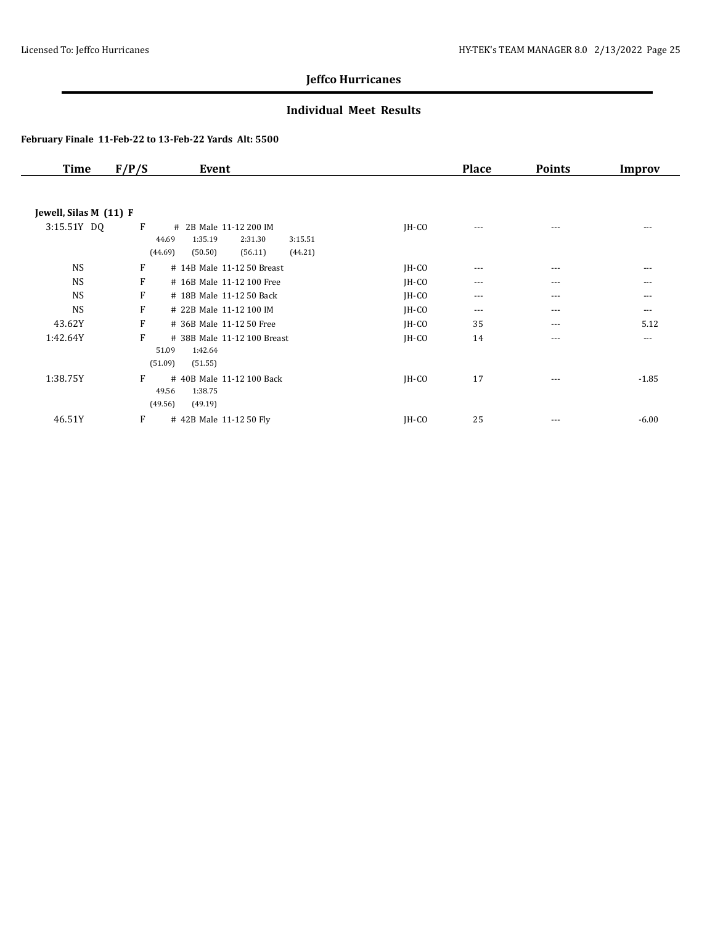### **Individual Meet Results**

| <b>Time</b>            | F/P/S<br>Event                                                                                                    |         | <b>Place</b> | <b>Points</b> | Improv   |
|------------------------|-------------------------------------------------------------------------------------------------------------------|---------|--------------|---------------|----------|
|                        |                                                                                                                   |         |              |               |          |
| Jewell, Silas M (11) F |                                                                                                                   |         |              |               |          |
| 3:15.51Y DQ            | F<br># 2B Male 11-12 200 IM<br>1:35.19<br>44.69<br>2:31.30<br>3:15.51<br>(44.69)<br>(50.50)<br>(56.11)<br>(44.21) | $IH-CO$ | $---$        | $---$         | ---      |
| <b>NS</b>              | F<br># 14B Male 11-12 50 Breast                                                                                   | $IH-CO$ | $\cdots$     | $---$         | ---      |
| <b>NS</b>              | F<br># 16B Male 11-12 100 Free                                                                                    | $IH-CO$ | $---$        | $---$         | ---      |
| <b>NS</b>              | F<br># 18B Male 11-12 50 Back                                                                                     | $IH-CO$ | ---          | $\cdots$      | ---      |
| <b>NS</b>              | F<br># 22B Male 11-12 100 IM                                                                                      | $IH-CO$ | $\cdots$     | $\cdots$      | $---$    |
| 43.62Y                 | F<br># 36B Male 11-12 50 Free                                                                                     | JH-CO   | 35           | $---$         | 5.12     |
| 1:42.64Y               | F<br># 38B Male 11-12 100 Breast<br>51.09<br>1:42.64<br>(51.09)<br>(51.55)                                        | $IH-CO$ | 14           | $\cdots$      | $\cdots$ |
| 1:38.75Y               | F<br># 40B Male 11-12 100 Back<br>49.56<br>1:38.75<br>(49.56)<br>(49.19)                                          | $IH-CO$ | 17           | $---$         | $-1.85$  |
| 46.51Y                 | F<br># 42B Male 11-12 50 Fly                                                                                      | IH-CO   | 25           | $\cdots$      | $-6.00$  |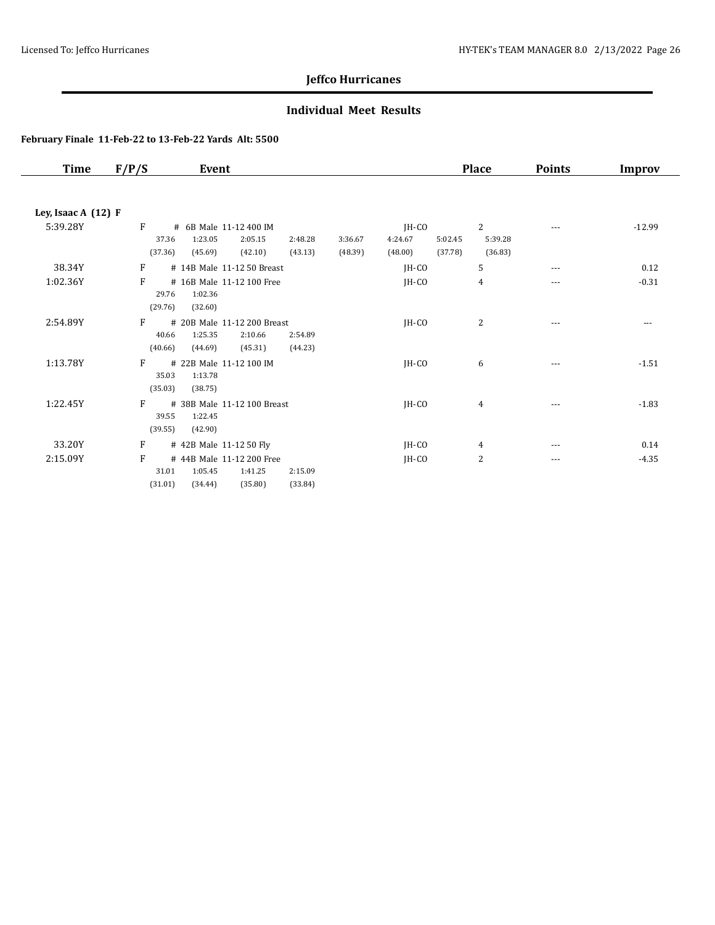### **Individual Meet Results**

| <b>Time</b>         | F/P/S                 | Event                                                                   |                    |                    |                               |                    | <b>Place</b>            | <b>Points</b> | <b>Improv</b> |
|---------------------|-----------------------|-------------------------------------------------------------------------|--------------------|--------------------|-------------------------------|--------------------|-------------------------|---------------|---------------|
| Ley, Isaac A (12) F |                       |                                                                         |                    |                    |                               |                    |                         |               |               |
| 5:39.28Y            | F<br>37.36<br>(37.36) | # 6B Male 11-12 400 IM<br>1:23.05<br>2:05.15<br>(42.10)<br>(45.69)      | 2:48.28<br>(43.13) | 3:36.67<br>(48.39) | $IH-CO$<br>4:24.67<br>(48.00) | 5:02.45<br>(37.78) | 2<br>5:39.28<br>(36.83) | ---           | $-12.99$      |
| 38.34Y              | F                     | # 14B Male 11-12 50 Breast                                              |                    |                    | JH-CO                         |                    | 5                       | $- - -$       | 0.12          |
| 1:02.36Y            | F<br>29.76<br>(29.76) | # 16B Male 11-12 100 Free<br>1:02.36<br>(32.60)                         |                    |                    | JH-CO                         |                    | 4                       | $---$         | $-0.31$       |
| 2:54.89Y            | F<br>40.66<br>(40.66) | # 20B Male 11-12 200 Breast<br>1:25.35<br>2:10.66<br>(44.69)<br>(45.31) | 2:54.89<br>(44.23) |                    | $IH-CO$                       |                    | 2                       | $---$         | $---$         |
| 1:13.78Y            | F<br>35.03<br>(35.03) | # 22B Male 11-12 100 IM<br>1:13.78<br>(38.75)                           |                    |                    | IH-CO                         |                    | 6                       | $---$         | $-1.51$       |
| 1:22.45Y            | F<br>39.55<br>(39.55) | # 38B Male 11-12 100 Breast<br>1:22.45<br>(42.90)                       |                    |                    | JH-CO                         |                    | 4                       | $- - -$       | $-1.83$       |
| 33.20Y              | F                     | # 42B Male 11-12 50 Fly                                                 |                    |                    | JH-CO                         |                    | 4                       | $- - -$       | 0.14          |
| 2:15.09Y            | F<br>31.01<br>(31.01) | # 44B Male 11-12 200 Free<br>1:05.45<br>1:41.25<br>(35.80)<br>(34.44)   | 2:15.09<br>(33.84) |                    | JH-CO                         |                    | 2                       | $\cdots$      | $-4.35$       |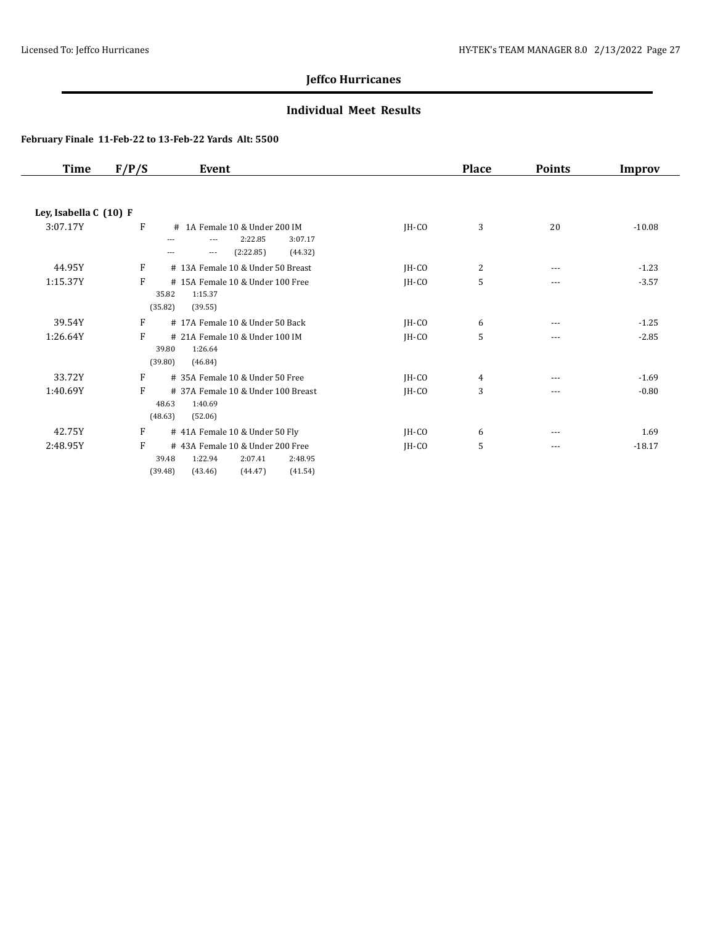### **Individual Meet Results**

| <b>Time</b>            | F/P/S | Event                                                                                                                             |         | <b>Place</b> | <b>Points</b> | <b>Improv</b> |
|------------------------|-------|-----------------------------------------------------------------------------------------------------------------------------------|---------|--------------|---------------|---------------|
|                        |       |                                                                                                                                   |         |              |               |               |
| Ley, Isabella C (10) F |       |                                                                                                                                   |         |              |               |               |
| 3:07.17Y               | F     | # 1A Female 10 & Under 200 IM<br>2:22.85<br>3:07.17<br>$\cdots$<br>---<br>(2:22.85)<br>(44.32)<br>$\overline{\phantom{a}}$<br>--- | JH-CO   | 3            | 20            | $-10.08$      |
| 44.95Y                 | F     | # 13A Female 10 & Under 50 Breast                                                                                                 | JH-CO   | 2            | $\cdots$      | $-1.23$       |
| 1:15.37Y               | F     | #15A Female 10 & Under 100 Free<br>35.82<br>1:15.37<br>(35.82)<br>(39.55)                                                         | JH-CO   | 5            | $---$         | $-3.57$       |
| 39.54Y                 | F     | #17A Female 10 & Under 50 Back                                                                                                    | JH-CO   | 6            | $\cdots$      | $-1.25$       |
| 1:26.64Y               | F     | # 21A Female 10 & Under 100 IM<br>39.80<br>1:26.64<br>(39.80)<br>(46.84)                                                          | $IH-CO$ | 5            | $- - -$       | $-2.85$       |
| 33.72Y                 | F     | # 35A Female 10 & Under 50 Free                                                                                                   | JH-CO   | 4            | $\cdots$      | $-1.69$       |
| 1:40.69Y               | F     | # 37A Female 10 & Under 100 Breast<br>48.63<br>1:40.69<br>(48.63)<br>(52.06)                                                      | IH-CO   | 3            | ---           | $-0.80$       |
| 42.75Y                 | F     | # 41A Female 10 & Under 50 Fly                                                                                                    | $IH-CO$ | 6            | $---$         | 1.69          |
| 2:48.95Y               | F     | #43A Female 10 & Under 200 Free<br>39.48<br>1:22.94<br>2:07.41<br>2:48.95<br>(39.48)<br>(41.54)<br>(43.46)<br>(44.47)             | $IH-CO$ | 5            | ---           | $-18.17$      |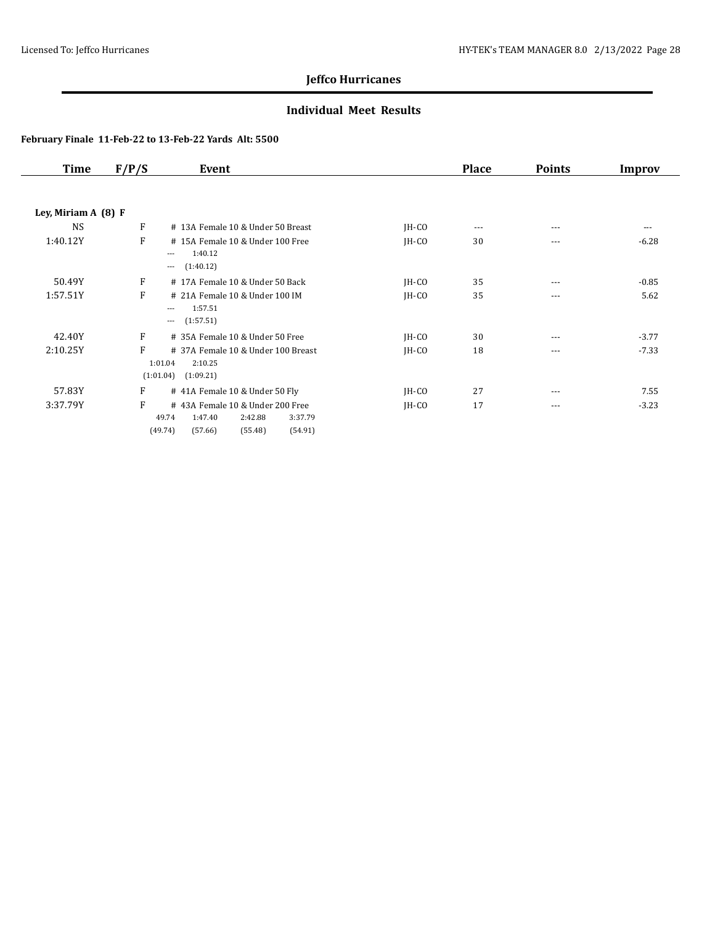### **Individual Meet Results**

| <b>Time</b>           | F/P/S        | Event                                                                                                                 |         | <b>Place</b> | <b>Points</b> | Improv  |
|-----------------------|--------------|-----------------------------------------------------------------------------------------------------------------------|---------|--------------|---------------|---------|
|                       |              |                                                                                                                       |         |              |               |         |
| Ley, Miriam A $(8)$ F |              |                                                                                                                       |         |              |               |         |
| <b>NS</b>             | F            | # 13A Female 10 & Under 50 Breast                                                                                     | $IH-CO$ | $---$        | ---           | ---     |
| 1:40.12Y              | F            | #15A Female 10 & Under 100 Free<br>1:40.12<br>$\cdots$<br>(1:40.12)<br>$\cdots$                                       | $IH-CO$ | 30           | ---           | $-6.28$ |
|                       |              |                                                                                                                       |         |              |               |         |
| 50.49Y                | $\mathbf{F}$ | #17A Female 10 & Under 50 Back                                                                                        | $IH-CO$ | 35           | ---           | $-0.85$ |
| 1:57.51Y              | F            | # 21A Female 10 & Under 100 IM<br>1:57.51<br>$---$<br>(1:57.51)<br>$\cdots$                                           | $IH-CO$ | 35           | $\cdots$      | 5.62    |
| 42.40Y                | F            | # 35A Female 10 & Under 50 Free                                                                                       | $IH-CO$ | 30           | ---           | $-3.77$ |
| 2:10.25Y              | F            | # 37A Female 10 & Under 100 Breast<br>1:01.04<br>2:10.25<br>(1:01.04)<br>(1:09.21)                                    | $IH-CO$ | 18           | $\cdots$      | $-7.33$ |
| 57.83Y                | F            | #41A Female 10 & Under 50 Fly                                                                                         | $IH-CO$ | 27           | $---$         | 7.55    |
| 3:37.79Y              | F            | #43A Female 10 & Under 200 Free<br>49.74<br>1:47.40<br>2:42.88<br>3:37.79<br>(49.74)<br>(57.66)<br>(55.48)<br>(54.91) | $IH-CO$ | 17           | $\cdots$      | $-3.23$ |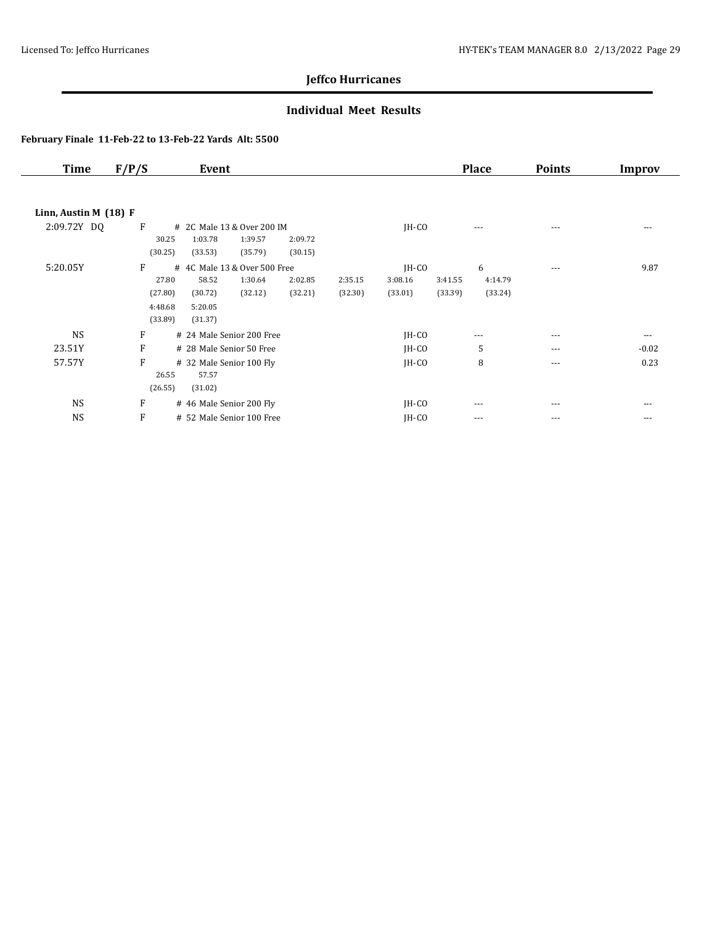### **Individual Meet Results**

| <b>Time</b>             | F/P/S   | Event                        |         |         |         |         |         | <b>Place</b> | <b>Points</b> | Improv   |
|-------------------------|---------|------------------------------|---------|---------|---------|---------|---------|--------------|---------------|----------|
|                         |         |                              |         |         |         |         |         |              |               |          |
| Linn, Austin M $(18)$ F |         |                              |         |         |         |         |         |              |               |          |
| 2:09.72Y DQ             | F       | # 2C Male 13 & Over 200 IM   |         |         |         | $IH-CO$ |         | $---$        | $---$         | $- - -$  |
|                         | 30.25   | 1:03.78                      | 1:39.57 | 2:09.72 |         |         |         |              |               |          |
|                         | (30.25) | (33.53)                      | (35.79) | (30.15) |         |         |         |              |               |          |
| 5:20.05Y                | F       | # 4C Male 13 & Over 500 Free |         |         |         | $IH-CO$ |         | 6            | $\cdots$      | 9.87     |
|                         | 27.80   | 58.52                        | 1:30.64 | 2:02.85 | 2:35.15 | 3:08.16 | 3:41.55 | 4:14.79      |               |          |
|                         | (27.80) | (30.72)                      | (32.12) | (32.21) | (32.30) | (33.01) | (33.39) | (33.24)      |               |          |
|                         | 4:48.68 | 5:20.05                      |         |         |         |         |         |              |               |          |
|                         | (33.89) | (31.37)                      |         |         |         |         |         |              |               |          |
| <b>NS</b>               | F       | # 24 Male Senior 200 Free    |         |         |         | $IH-CO$ |         | $\cdots$     | ---           | $\cdots$ |
| 23.51Y                  | F       | # 28 Male Senior 50 Free     |         |         |         | $IH-CO$ |         | 5            | ---           | $-0.02$  |
| 57.57Y                  | F       | # 32 Male Senior 100 Fly     |         |         |         | $IH-CO$ |         | 8            | $---$         | 0.23     |
|                         | 26.55   | 57.57                        |         |         |         |         |         |              |               |          |
|                         | (26.55) | (31.02)                      |         |         |         |         |         |              |               |          |
| <b>NS</b>               | F       | # 46 Male Senior 200 Fly     |         |         |         | $IH-CO$ |         | ---          | ---           | ---      |
| <b>NS</b>               | F       | # 52 Male Senior 100 Free    |         |         |         | JH-CO   |         | $---$        | ---           | $---$    |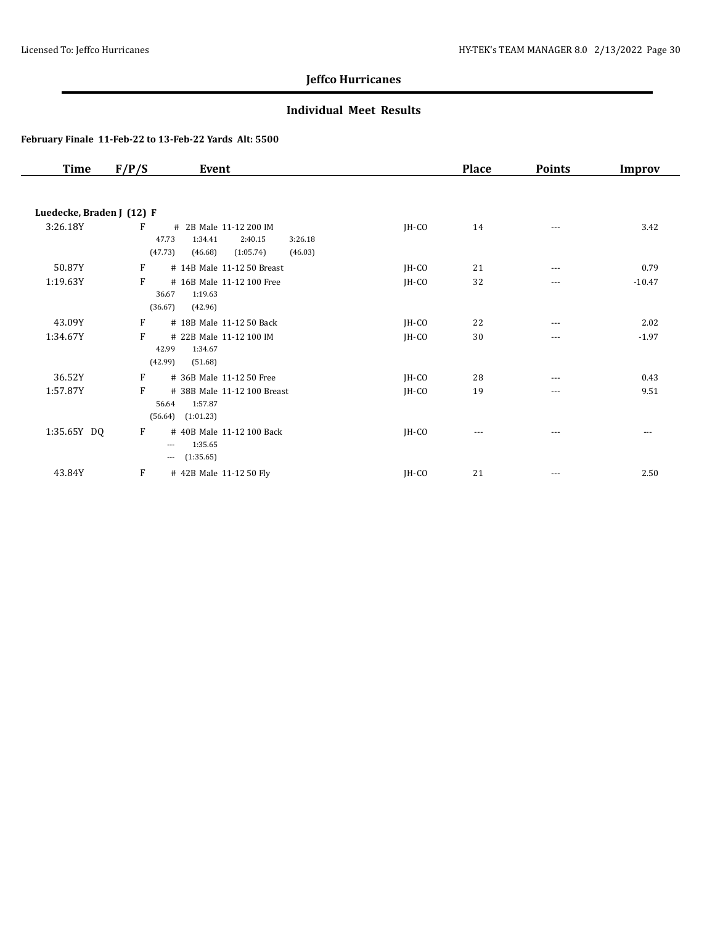### **Individual Meet Results**

| <b>Time</b>               | F/P/S                 | Event                                                                                      |         | <b>Place</b> | <b>Points</b> | Improv   |
|---------------------------|-----------------------|--------------------------------------------------------------------------------------------|---------|--------------|---------------|----------|
|                           |                       |                                                                                            |         |              |               |          |
| Luedecke, Braden J (12) F |                       |                                                                                            |         |              |               |          |
| 3:26.18Y                  | F<br>47.73<br>(47.73) | # 2B Male 11-12 200 IM<br>1:34.41<br>2:40.15<br>3:26.18<br>(1:05.74)<br>(46.03)<br>(46.68) | $IH-CO$ | 14           | $---$         | 3.42     |
| 50.87Y                    | F                     | # 14B Male 11-12 50 Breast                                                                 | JH-CO   | 21           | $---$         | 0.79     |
| 1:19.63Y                  | F<br>36.67<br>(36.67) | # 16B Male 11-12 100 Free<br>1:19.63<br>(42.96)                                            | JH-CO   | 32           | $---$         | $-10.47$ |
| 43.09Y                    | F                     | # 18B Male 11-12 50 Back                                                                   | JH-CO   | 22           | ---           | 2.02     |
| 1:34.67Y                  | F<br>42.99<br>(42.99) | # 22B Male 11-12 100 IM<br>1:34.67<br>(51.68)                                              | JH-CO   | 30           | ---           | $-1.97$  |
| 36.52Y                    | F                     | # 36B Male 11-12 50 Free                                                                   | JH-CO   | 28           | ---           | 0.43     |
| 1:57.87Y                  | F<br>56.64<br>(56.64) | # 38B Male 11-12 100 Breast<br>1:57.87<br>(1:01.23)                                        | JH-CO   | 19           | $---$         | 9.51     |
| 1:35.65Y DQ               | F<br>$---$<br>$- - -$ | # 40B Male 11-12 100 Back<br>1:35.65<br>(1:35.65)                                          | JH-CO   | $---$        | ---           | $---$    |
| 43.84Y                    | F                     | # 42B Male 11-12 50 Fly                                                                    | JH-CO   | 21           | $- - -$       | 2.50     |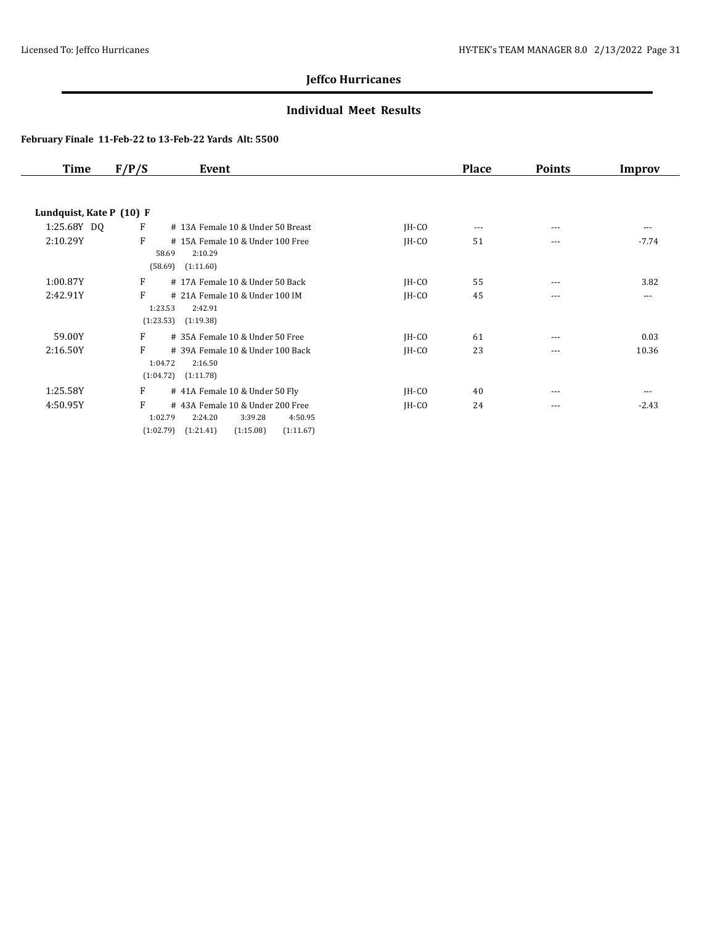### **Individual Meet Results**

| Time                     | F/P/S | Event                                            |         | <b>Place</b> | <b>Points</b> | Improv  |
|--------------------------|-------|--------------------------------------------------|---------|--------------|---------------|---------|
|                          |       |                                                  |         |              |               |         |
| Lundquist, Kate P (10) F |       |                                                  |         |              |               |         |
| 1:25.68Y DQ              | F     | # 13A Female 10 & Under 50 Breast                | $IH-CO$ | $---$        | $---$         | ---     |
| 2:10.29Y                 | F     | #15A Female 10 & Under 100 Free                  | $IH-CO$ | 51           | $---$         | $-7.74$ |
|                          |       | 58.69<br>2:10.29                                 |         |              |               |         |
|                          |       | (58.69)<br>(1:11.60)                             |         |              |               |         |
| 1:00.87Y                 | F     | #17A Female 10 & Under 50 Back                   | $IH-CO$ | 55           | $--$          | 3.82    |
| 2:42.91Y                 | F     | # 21A Female 10 & Under 100 IM                   | IH-CO   | 45           | $---$         | $---$   |
|                          |       | 1:23.53<br>2:42.91                               |         |              |               |         |
|                          |       | (1:23.53)<br>(1:19.38)                           |         |              |               |         |
| 59.00Y                   | F     | # 35A Female 10 & Under 50 Free                  | $IH-CO$ | 61           | $---$         | 0.03    |
| 2:16.50Y                 | F     | # 39A Female 10 & Under 100 Back                 | $IH-CO$ | 23           | $---$         | 10.36   |
|                          |       | 1:04.72<br>2:16.50                               |         |              |               |         |
|                          |       | (1:04.72)<br>(1:11.78)                           |         |              |               |         |
| 1:25.58Y                 | F     | # 41A Female 10 & Under 50 Fly                   | $IH-CO$ | 40           | $---$         | $---$   |
| 4:50.95Y                 | F     | #43A Female 10 & Under 200 Free                  | $IH-CO$ | 24           | $---$         | $-2.43$ |
|                          |       | 1:02.79<br>2:24.20<br>3:39.28<br>4:50.95         |         |              |               |         |
|                          |       | (1:21.41)<br>(1:15.08)<br>(1:02.79)<br>(1:11.67) |         |              |               |         |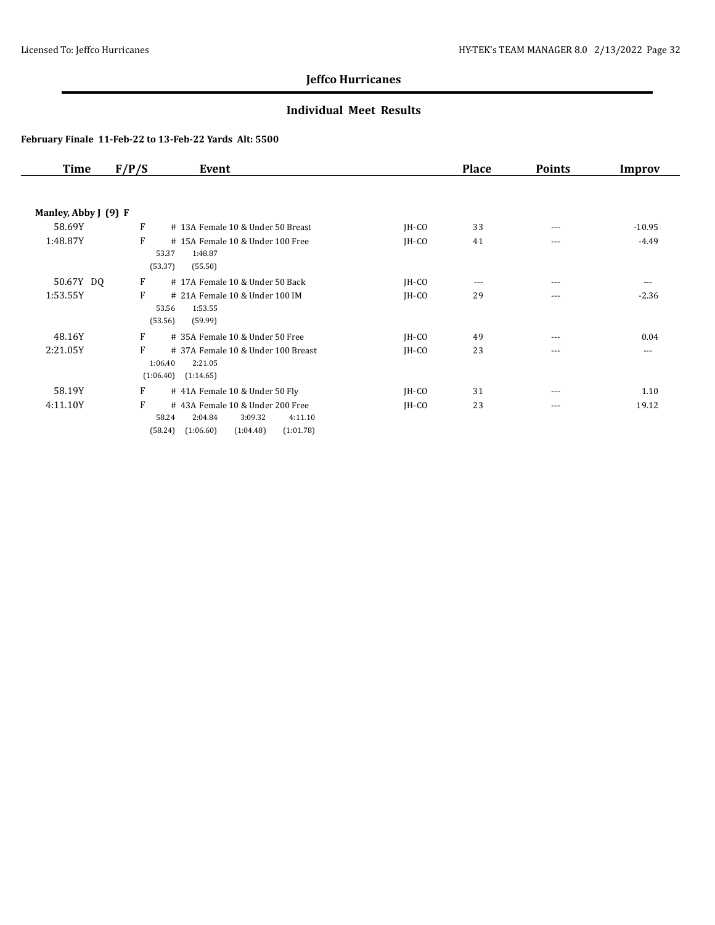### **Individual Meet Results**

| Time                 | F/P/S | Event                                          |         | <b>Place</b> | <b>Points</b> | Improv   |
|----------------------|-------|------------------------------------------------|---------|--------------|---------------|----------|
|                      |       |                                                |         |              |               |          |
| Manley, Abby J (9) F |       |                                                |         |              |               |          |
| 58.69Y               | F     | # 13A Female 10 & Under 50 Breast              | $IH-CO$ | 33           | $---$         | $-10.95$ |
| 1:48.87Y             | F     | #15A Female 10 & Under 100 Free                | $IH-CO$ | 41           | $---$         | $-4.49$  |
|                      |       | 53.37<br>1:48.87                               |         |              |               |          |
|                      |       | (53.37)<br>(55.50)                             |         |              |               |          |
| 50.67Y DQ            | F     | #17A Female 10 & Under 50 Back                 | $IH-CO$ | $\cdots$     | $---$         | $\cdots$ |
| 1:53.55Y             | F     | # 21A Female 10 & Under 100 IM                 | IH-CO   | 29           | $- - -$       | $-2.36$  |
|                      |       | 53.56<br>1:53.55                               |         |              |               |          |
|                      |       | (53.56)<br>(59.99)                             |         |              |               |          |
| 48.16Y               | F     | # 35A Female 10 & Under 50 Free                | $IH-CO$ | 49           | $---$         | 0.04     |
| 2:21.05Y             | F     | # 37A Female 10 & Under 100 Breast             | $IH-CO$ | 23           | $---$         | $---$    |
|                      |       | 1:06.40<br>2:21.05                             |         |              |               |          |
|                      |       | (1:14.65)<br>(1:06.40)                         |         |              |               |          |
| 58.19Y               | F     | # 41A Female 10 & Under 50 Fly                 | $IH-CO$ | 31           | $--$          | 1.10     |
| 4:11.10Y             | F     | #43A Female 10 & Under 200 Free                | $IH-CO$ | 23           | $---$         | 19.12    |
|                      |       | 58.24<br>2:04.84<br>3:09.32<br>4:11.10         |         |              |               |          |
|                      |       | (58.24)<br>(1:06.60)<br>(1:04.48)<br>(1:01.78) |         |              |               |          |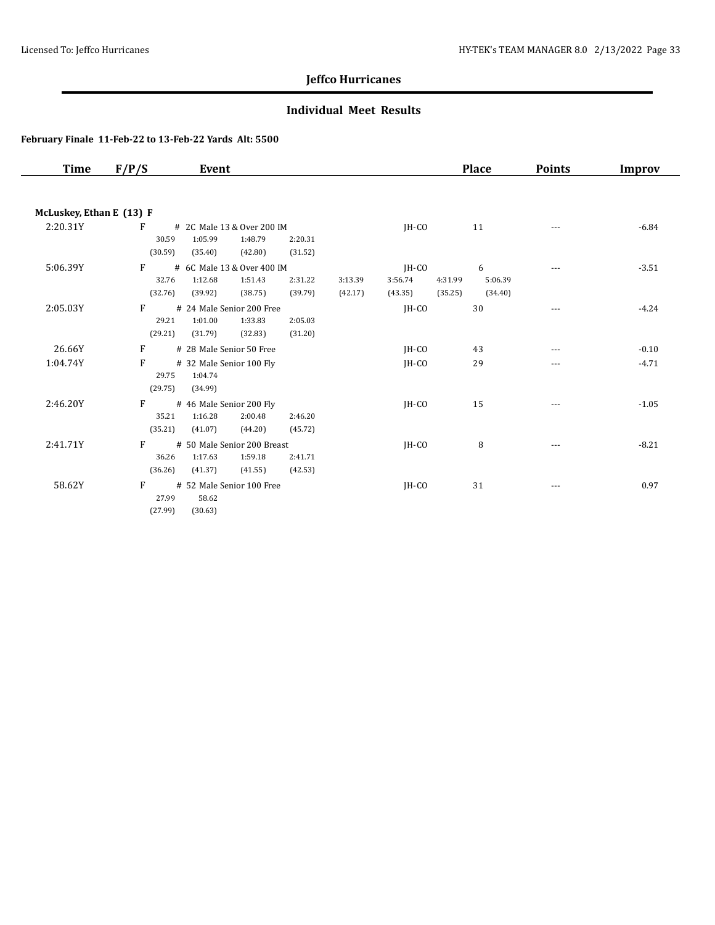### **Individual Meet Results**

| Time                     | F/P/S   | Event                       |         |         |         |         | <b>Place</b> | <b>Points</b> | Improv  |
|--------------------------|---------|-----------------------------|---------|---------|---------|---------|--------------|---------------|---------|
|                          |         |                             |         |         |         |         |              |               |         |
| McLuskey, Ethan E (13) F |         |                             |         |         |         |         |              |               |         |
| 2:20.31Y                 | F       | # 2C Male 13 & Over 200 IM  |         |         | $IH-CO$ |         | 11           |               | $-6.84$ |
|                          | 30.59   | 1:05.99<br>1:48.79          | 2:20.31 |         |         |         |              |               |         |
|                          | (30.59) | (35.40)<br>(42.80)          | (31.52) |         |         |         |              |               |         |
| 5:06.39Y                 | F       | # 6C Male 13 & Over 400 IM  |         |         | $IH-CO$ |         | 6            | ---           | $-3.51$ |
|                          | 32.76   | 1:12.68<br>1:51.43          | 2:31.22 | 3:13.39 | 3:56.74 | 4:31.99 | 5:06.39      |               |         |
|                          | (32.76) | (39.92)<br>(38.75)          | (39.79) | (42.17) | (43.35) | (35.25) | (34.40)      |               |         |
| 2:05.03Y                 | F       | # 24 Male Senior 200 Free   |         |         | IH-CO   |         | 30           |               | $-4.24$ |
|                          | 29.21   | 1:01.00<br>1:33.83          | 2:05.03 |         |         |         |              |               |         |
|                          | (29.21) | (31.79)<br>(32.83)          | (31.20) |         |         |         |              |               |         |
| 26.66Y                   | F       | # 28 Male Senior 50 Free    |         |         | $IH-CO$ |         | 43           | ---           | $-0.10$ |
| 1:04.74Y                 | F       | # 32 Male Senior 100 Fly    |         |         | $IH-CO$ |         | 29           | ---           | $-4.71$ |
|                          | 29.75   | 1:04.74                     |         |         |         |         |              |               |         |
|                          | (29.75) | (34.99)                     |         |         |         |         |              |               |         |
| 2:46.20Y                 | F       | # 46 Male Senior 200 Fly    |         |         | JH-CO   |         | 15           | ---           | $-1.05$ |
|                          | 35.21   | 1:16.28<br>2:00.48          | 2:46.20 |         |         |         |              |               |         |
|                          | (35.21) | (41.07)<br>(44.20)          | (45.72) |         |         |         |              |               |         |
| 2:41.71Y                 | F       | # 50 Male Senior 200 Breast |         |         | JH-CO   |         | 8            |               | $-8.21$ |
|                          | 36.26   | 1:17.63<br>1:59.18          | 2:41.71 |         |         |         |              |               |         |
|                          | (36.26) | (41.37)<br>(41.55)          | (42.53) |         |         |         |              |               |         |
| 58.62Y                   | F       | # 52 Male Senior 100 Free   |         |         | IH-CO   |         | 31           | $---$         | 0.97    |
|                          | 27.99   | 58.62                       |         |         |         |         |              |               |         |
|                          | (27.99) | (30.63)                     |         |         |         |         |              |               |         |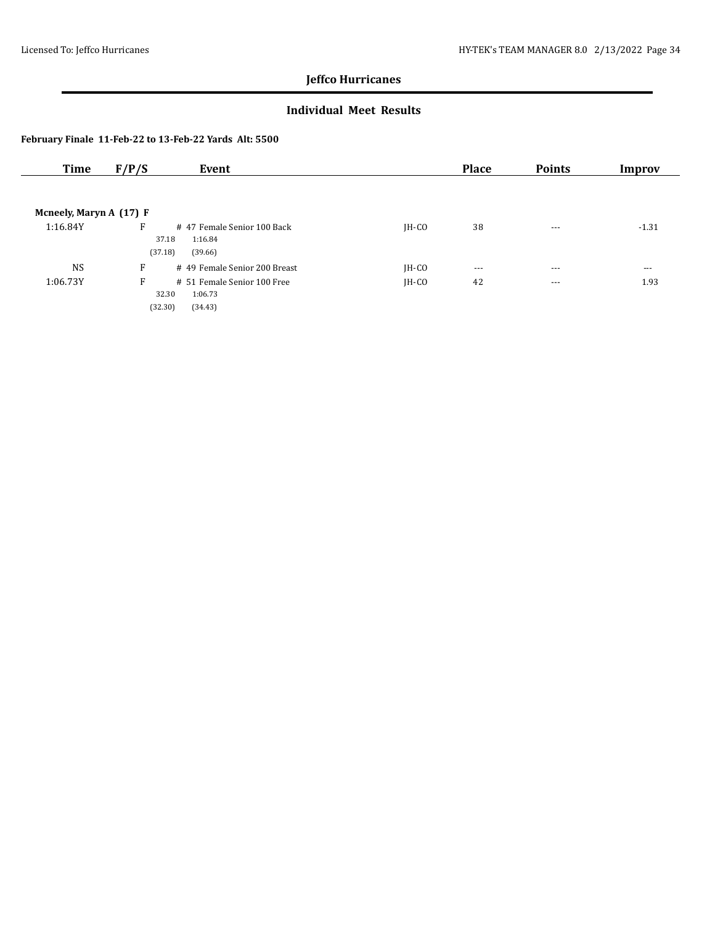### **Individual Meet Results**

| Time                    | F/P/S                 | Event                                            |         | <b>Place</b> | <b>Points</b> | Improv   |
|-------------------------|-----------------------|--------------------------------------------------|---------|--------------|---------------|----------|
|                         |                       |                                                  |         |              |               |          |
| Mcneely, Maryn A (17) F |                       |                                                  |         |              |               |          |
| 1:16.84Y                | F<br>37.18<br>(37.18) | #47 Female Senior 100 Back<br>1:16.84<br>(39.66) | $IH-CO$ | 38           | $\cdots$      | $-1.31$  |
| <b>NS</b>               | F                     | # 49 Female Senior 200 Breast                    | $IH-CO$ | $--$         | $\cdots$      | $\cdots$ |
| 1:06.73Y                | F                     | # 51 Female Senior 100 Free<br>32.30<br>1:06.73  | $IH-CO$ | 42           | $\cdots$      | 1.93     |
|                         | (32.30)               | (34.43)                                          |         |              |               |          |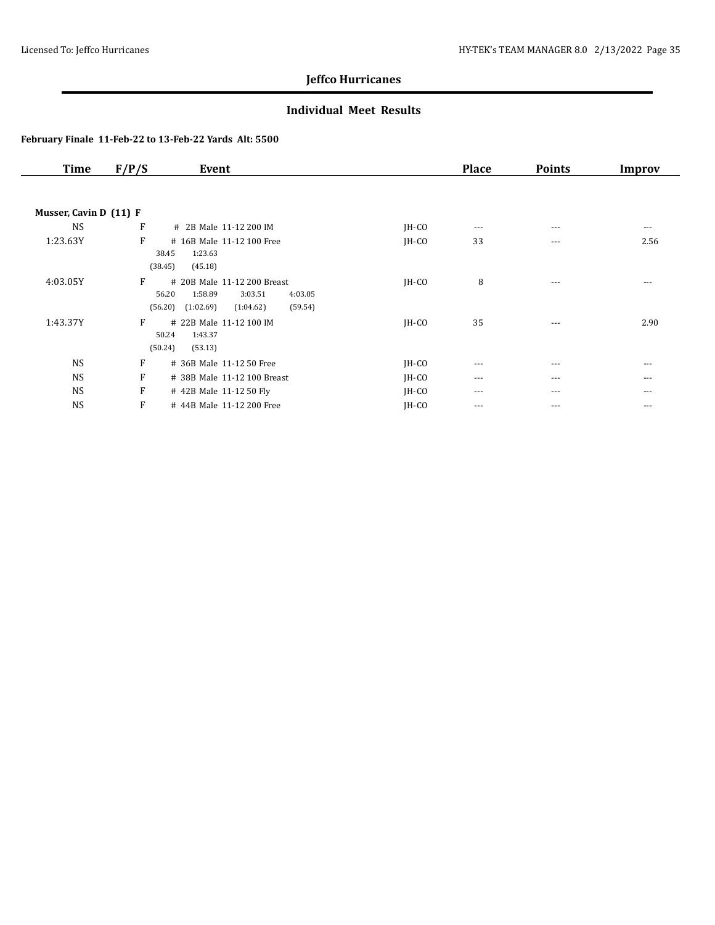### **Individual Meet Results**

| <b>Time</b>            | F/P/S | Event                                                                                                                 |         | <b>Place</b> | <b>Points</b> | Improv   |
|------------------------|-------|-----------------------------------------------------------------------------------------------------------------------|---------|--------------|---------------|----------|
|                        |       |                                                                                                                       |         |              |               |          |
| Musser, Cavin D (11) F |       |                                                                                                                       |         |              |               |          |
| <b>NS</b>              | F     | # 2B Male 11-12 200 IM                                                                                                | $IH-CO$ | $\cdots$     | $--$          | $\cdots$ |
| 1:23.63Y               | F     | # 16B Male 11-12 100 Free<br>1:23.63<br>38.45<br>(38.45)<br>(45.18)                                                   | $IH-CO$ | 33           | $\cdots$      | 2.56     |
| 4:03.05Y               | F     | # 20B Male 11-12 200 Breast<br>56.20<br>1:58.89<br>3:03.51<br>4:03.05<br>(59.54)<br>(56.20)<br>(1:02.69)<br>(1:04.62) | $IH-CO$ | 8            | $\cdots$      | $- - -$  |
| 1:43.37Y               | F     | # 22B Male 11-12 100 IM<br>1:43.37<br>50.24<br>(50.24)<br>(53.13)                                                     | $IH-CO$ | 35           | $\cdots$      | 2.90     |
| <b>NS</b>              | F     | # 36B Male 11-12 50 Free                                                                                              | $IH-CO$ | $\cdots$     | $\cdots$      | $---$    |
| <b>NS</b>              | F     | # 38B Male 11-12 100 Breast                                                                                           | $IH-CO$ | ---          | $\cdots$      | $---$    |
| <b>NS</b>              | F     | #42B Male 11-12 50 Fly                                                                                                | JH-CO   | $\cdots$     | $\cdots$      | $---$    |
| <b>NS</b>              | F     | # 44B Male 11-12 200 Free                                                                                             | JH-CO   | $\cdots$     | $\cdots$      | $\cdots$ |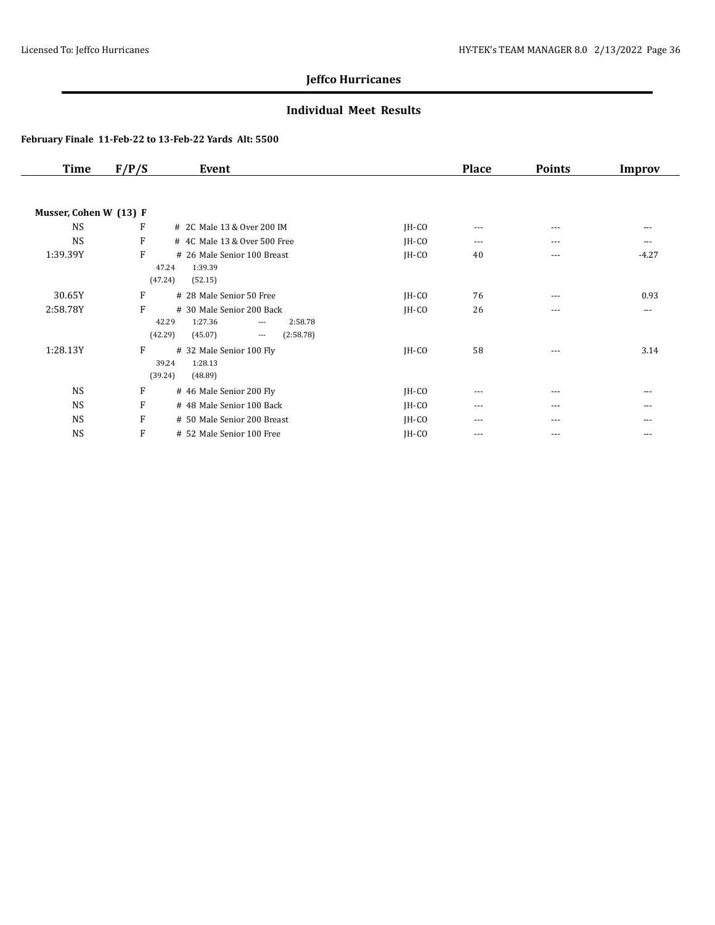### **Individual Meet Results**

| <b>Time</b>            | F/P/S | Event                                                                                                               |         | <b>Place</b> | <b>Points</b> | <b>Improv</b> |
|------------------------|-------|---------------------------------------------------------------------------------------------------------------------|---------|--------------|---------------|---------------|
| Musser, Cohen W (13) F |       |                                                                                                                     |         |              |               |               |
| <b>NS</b>              | F     | # 2C Male 13 & Over 200 IM                                                                                          | $IH-CO$ | $---$        | $\cdots$      | $\cdots$      |
| <b>NS</b>              | F     | # 4C Male 13 & Over 500 Free                                                                                        | JH-CO   | $---$        | $---$         | $---$         |
| 1:39.39Y               | F     | # 26 Male Senior 100 Breast<br>47.24<br>1:39.39<br>(47.24)<br>(52.15)                                               | $IH-CO$ | 40           | $\cdots$      | $-4.27$       |
| 30.65Y                 | F     | # 28 Male Senior 50 Free                                                                                            | $IH-CO$ | 76           | $\cdots$      | 0.93          |
| 2:58.78Y               | F     | # 30 Male Senior 200 Back<br>42.29<br>1:27.36<br>2:58.78<br>$\cdots$<br>(42.29)<br>(45.07)<br>(2:58.78)<br>$\cdots$ | JH-CO   | 26           | $---$         | $---$         |
| 1:28.13Y               | F     | # 32 Male Senior 100 Fly<br>39.24<br>1:28.13<br>(39.24)<br>(48.89)                                                  | $IH-CO$ | 58           | $---$         | 3.14          |
| <b>NS</b>              | F     | # 46 Male Senior 200 Fly                                                                                            | JH-CO   | ---          | $--$          | $- - -$       |
| <b>NS</b>              | F     | # 48 Male Senior 100 Back                                                                                           | JH-CO   | ---          | $\cdots$      | $\cdots$      |
| <b>NS</b>              | F     | # 50 Male Senior 200 Breast                                                                                         | JH-CO   | ---          | ---           | ---           |
| <b>NS</b>              | F     | # 52 Male Senior 100 Free                                                                                           | IH-CO   | $\cdots$     | $\cdots$      | $---$         |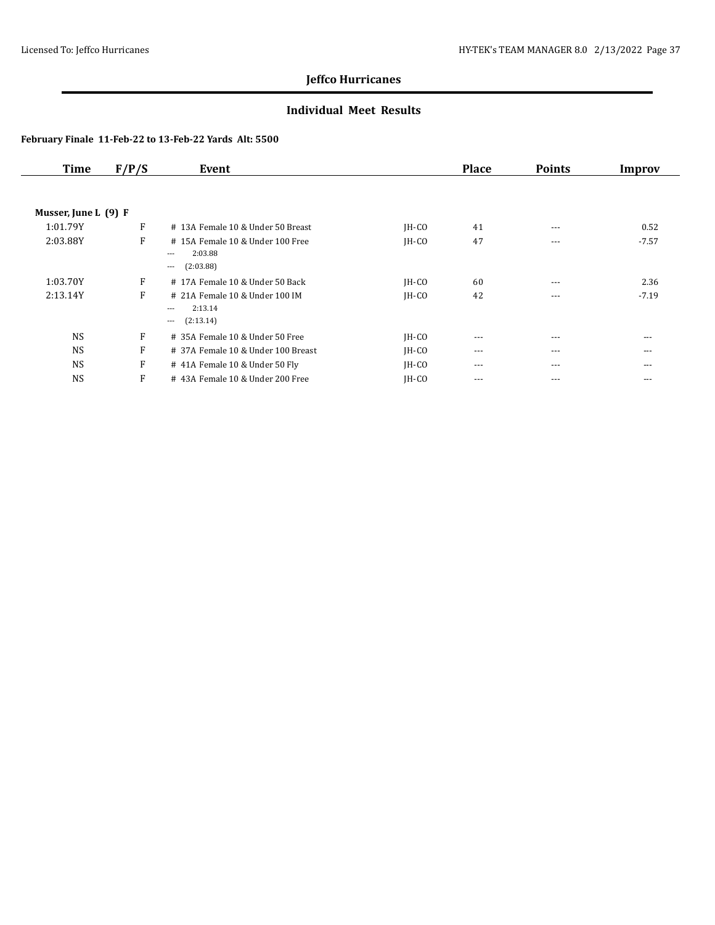### **Individual Meet Results**

| <b>Time</b>          | F/P/S | Event                                                                       |         | <b>Place</b> | <b>Points</b> | Improv   |  |
|----------------------|-------|-----------------------------------------------------------------------------|---------|--------------|---------------|----------|--|
|                      |       |                                                                             |         |              |               |          |  |
| Musser, June L (9) F |       |                                                                             |         |              |               |          |  |
| 1:01.79Y             | F     | # 13A Female 10 & Under 50 Breast                                           | $IH-CO$ | 41           | $---$         | 0.52     |  |
| 2:03.88Y             | F     | #15A Female 10 & Under 100 Free<br>2:03.88<br>$---$<br>(2:03.88)<br>$---$   | $IH-CO$ | 47           | $---$         | $-7.57$  |  |
| 1:03.70Y             | F     | #17A Female 10 & Under 50 Back                                              | $IH-CO$ | 60           | $---$         | 2.36     |  |
| 2:13.14Y             | F     | # 21A Female 10 & Under 100 IM<br>2:13.14<br>$\cdots$<br>(2:13.14)<br>$---$ | $IH-CO$ | 42           | $---$         | $-7.19$  |  |
| <b>NS</b>            | F     | # 35A Female 10 & Under 50 Free                                             | $IH-CO$ | $---$        | $---$         | $- - -$  |  |
| <b>NS</b>            | F     | # 37A Female 10 & Under 100 Breast                                          | $IH-CO$ | $\cdots$     | $---$         | $- - -$  |  |
| <b>NS</b>            | F     | #41A Female 10 & Under 50 Fly                                               | $IH-CO$ | $\cdots$     | $\cdots$      | $\cdots$ |  |
| <b>NS</b>            | F     | #43A Female 10 & Under 200 Free                                             | $IH-CO$ | ---          | $- - -$       | $- - -$  |  |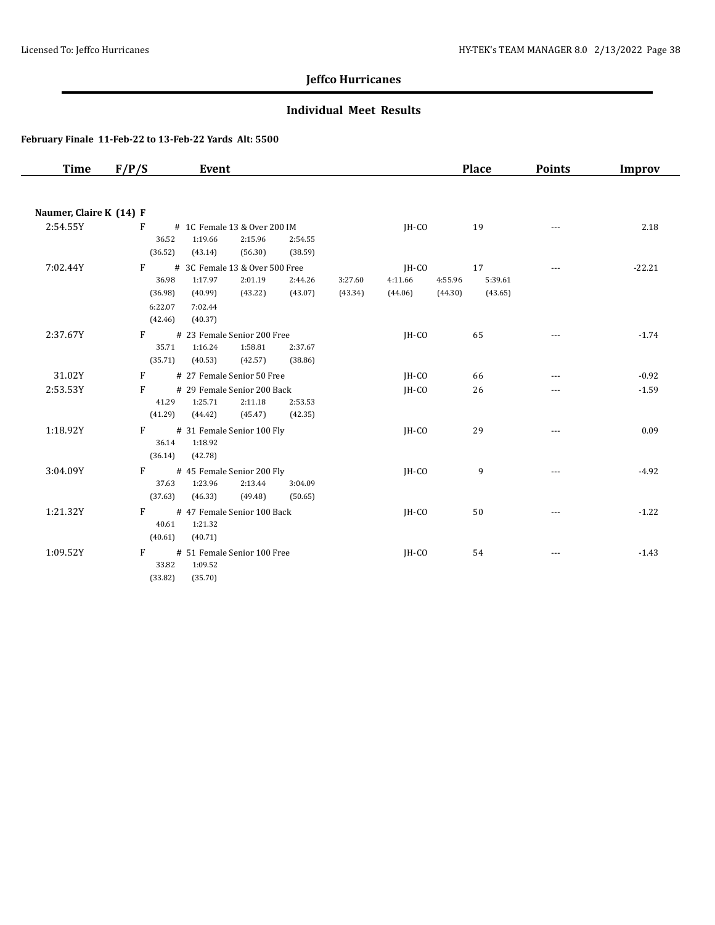### **Individual Meet Results**

| Time                    | F/P/S                                                  | Event                                                                                            |                    |                    |                             | <b>Place</b>                                   | <b>Points</b> | <b>Improv</b> |
|-------------------------|--------------------------------------------------------|--------------------------------------------------------------------------------------------------|--------------------|--------------------|-----------------------------|------------------------------------------------|---------------|---------------|
|                         |                                                        |                                                                                                  |                    |                    |                             |                                                |               |               |
| Naumer, Claire K (14) F |                                                        |                                                                                                  |                    |                    |                             |                                                |               |               |
| 2:54.55Y                | F<br>36.52<br>(36.52)                                  | # 1C Female 13 & Over 200 IM<br>1:19.66<br>2:15.96<br>(43.14)<br>(56.30)                         | 2:54.55<br>(38.59) |                    | IH-CO                       | 19                                             | $---$         | 2.18          |
| 7:02.44Y                | $\mathbf{F}$<br>36.98<br>(36.98)<br>6:22.07<br>(42.46) | # 3C Female 13 & Over 500 Free<br>1:17.97<br>2:01.19<br>(43.22)<br>(40.99)<br>7:02.44<br>(40.37) | 2:44.26<br>(43.07) | 3:27.60<br>(43.34) | JH-CO<br>4:11.66<br>(44.06) | 17<br>4:55.96<br>5:39.61<br>(44.30)<br>(43.65) |               | $-22.21$      |
| 2:37.67Y                | F<br>35.71<br>(35.71)                                  | # 23 Female Senior 200 Free<br>1:16.24<br>1:58.81<br>(40.53)<br>(42.57)                          | 2:37.67<br>(38.86) |                    | $IH-CO$                     | 65                                             | $---$         | $-1.74$       |
| 31.02Y                  | $\mathbf{F}$                                           | # 27 Female Senior 50 Free                                                                       |                    |                    | $IH-CO$                     | 66                                             | ---           | $-0.92$       |
| 2:53.53Y                | F<br>41.29<br>(41.29)                                  | # 29 Female Senior 200 Back<br>1:25.71<br>2:11.18<br>(45.47)<br>(44.42)                          | 2:53.53<br>(42.35) |                    | $IH-CO$                     | 26                                             | ---           | $-1.59$       |
| 1:18.92Y                | F<br>36.14<br>(36.14)                                  | # 31 Female Senior 100 Fly<br>1:18.92<br>(42.78)                                                 |                    |                    | $IH-CO$                     | 29                                             | $\cdots$      | 0.09          |
| 3:04.09Y                | $F \sim$<br>37.63<br>(37.63)                           | # 45 Female Senior 200 Fly<br>1:23.96<br>2:13.44<br>(46.33)<br>(49.48)                           | 3:04.09<br>(50.65) |                    | IH-CO                       | 9                                              | $- - -$       | $-4.92$       |
| 1:21.32Y                | F<br>40.61<br>(40.61)                                  | # 47 Female Senior 100 Back<br>1:21.32<br>(40.71)                                                |                    |                    | IH-CO                       | 50                                             | ---           | $-1.22$       |
| 1:09.52Y                | F<br>33.82<br>(33.82)                                  | # 51 Female Senior 100 Free<br>1:09.52<br>(35.70)                                                |                    |                    | IH-CO                       | 54                                             | ---           | $-1.43$       |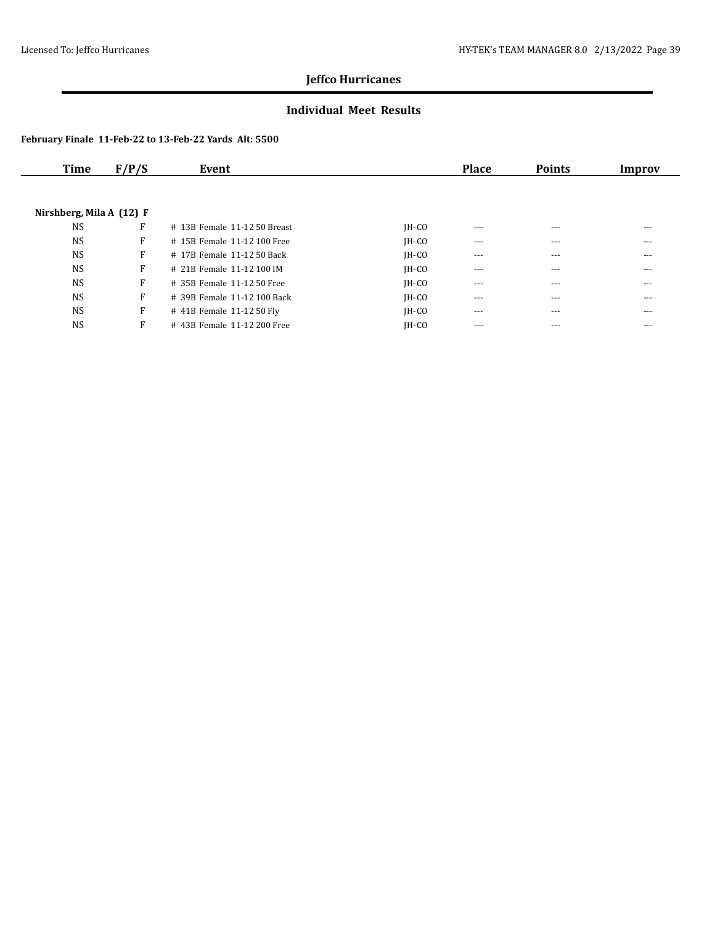### **Individual Meet Results**

| Time                     | F/P/S | Event                        |         | <b>Place</b> | <b>Points</b> | Improv |
|--------------------------|-------|------------------------------|---------|--------------|---------------|--------|
|                          |       |                              |         |              |               |        |
| Nirshberg, Mila A (12) F |       |                              |         |              |               |        |
| <b>NS</b>                | F     | # 13B Female 11-12 50 Breast | $IH-CO$ | $- - -$      | $---$         | ---    |
| <b>NS</b>                | F     | # 15B Female 11-12 100 Free  | $IH-CO$ | $---$        | ---           | ---    |
| <b>NS</b>                | F     | # 17B Female 11-12 50 Back   | $IH-CO$ | $---$        | $- - -$       | ---    |
| <b>NS</b>                | F     | # 21B Female 11-12 100 IM    | $IH-CO$ | $---$        | $---$         | ---    |
| <b>NS</b>                | F     | # 35B Female 11-12 50 Free   | $IH-CO$ | $\cdots$     | $---$         | ---    |
| <b>NS</b>                | F     | # 39B Female 11-12 100 Back  | $IH-CO$ | ---          | ---           | ---    |
| <b>NS</b>                | F     | # 41B Female 11-12 50 Fly    | $IH-CO$ | $---$        | $- - -$       | ---    |
| <b>NS</b>                | F     | #43B Female 11-12 200 Free   | $IH-CO$ | $- - -$      | ---           | ---    |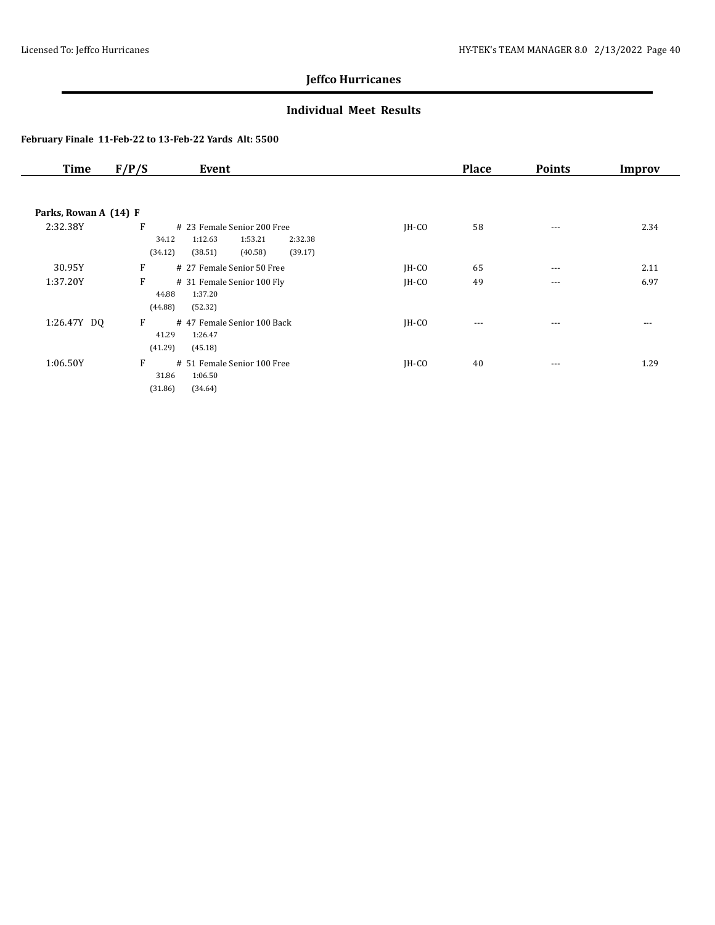### **Individual Meet Results**

| Time                  | F/P/S<br>Event                                                                                                         |         | <b>Place</b> | <b>Points</b> | Improv |
|-----------------------|------------------------------------------------------------------------------------------------------------------------|---------|--------------|---------------|--------|
| Parks, Rowan A (14) F |                                                                                                                        |         |              |               |        |
| 2:32.38Y              | F<br># 23 Female Senior 200 Free<br>1:12.63<br>1:53.21<br>2:32.38<br>34.12<br>(34.12)<br>(39.17)<br>(38.51)<br>(40.58) | $IH-CO$ | 58           | ---           | 2.34   |
| 30.95Y                | F<br># 27 Female Senior 50 Free                                                                                        | $IH-CO$ | 65           | $\cdots$      | 2.11   |
| 1:37.20Y              | F<br># 31 Female Senior 100 Fly<br>44.88<br>1:37.20<br>(44.88)<br>(52.32)                                              | $IH-CO$ | 49           | $- - -$       | 6.97   |
| 1:26.47Y DQ           | F<br>#47 Female Senior 100 Back<br>41.29<br>1:26.47<br>(41.29)<br>(45.18)                                              | $IH-CO$ | $---$        | $---$         | $---$  |
| 1:06.50Y              | F<br># 51 Female Senior 100 Free<br>1:06.50<br>31.86<br>(31.86)<br>(34.64)                                             | $IH-CO$ | 40           | $- - -$       | 1.29   |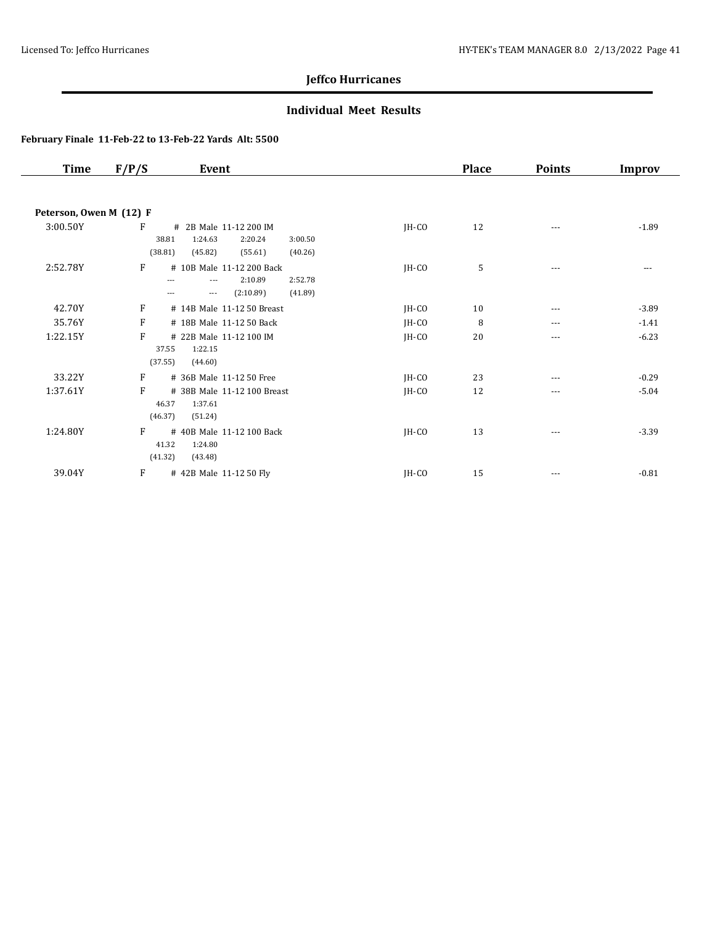### **Individual Meet Results**

| <b>Place</b> | <b>Points</b> | Improv  |
|--------------|---------------|---------|
|              |               |         |
|              |               |         |
| 12           | $\cdots$      | $-1.89$ |
|              |               |         |
|              |               |         |
| 5            | $\cdots$      | ---     |
|              |               |         |
|              |               |         |
| 10           | $---$         | $-3.89$ |
| 8            | $---$         | $-1.41$ |
| 20           | $\cdots$      | $-6.23$ |
|              |               |         |
|              |               |         |
| 23           | $---$         | $-0.29$ |
| 12           | ---           | $-5.04$ |
|              |               |         |
|              |               |         |
| 13           | $---$         | $-3.39$ |
|              |               |         |
|              |               |         |
| 15           | $---$         | $-0.81$ |
|              |               |         |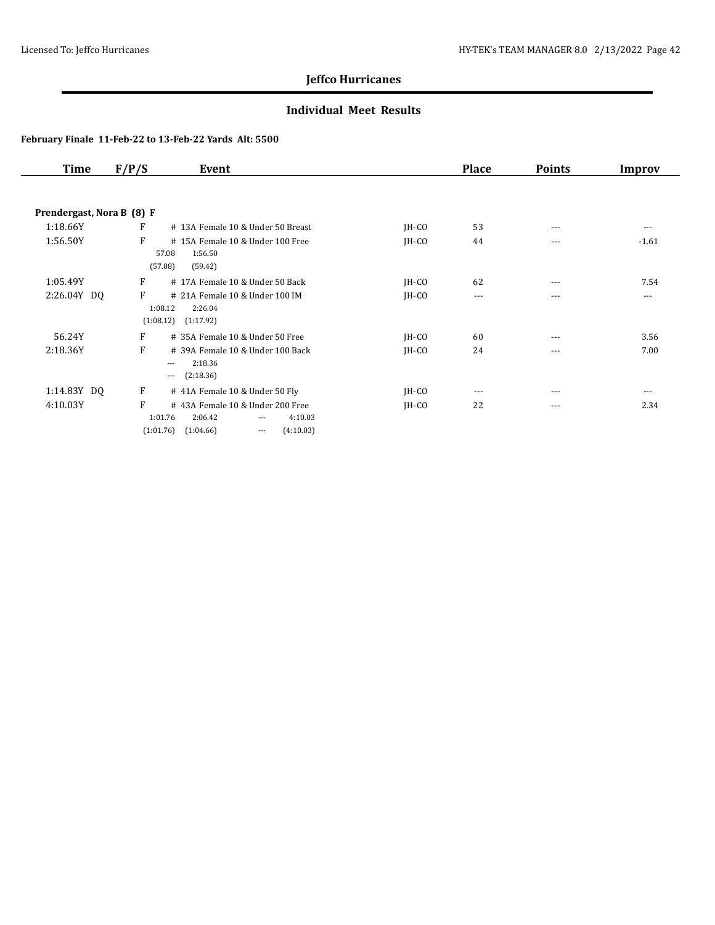### **Individual Meet Results**

| Time                      | F/P/S | Event                                           |         | <b>Place</b> | <b>Points</b> | Improv   |
|---------------------------|-------|-------------------------------------------------|---------|--------------|---------------|----------|
|                           |       |                                                 |         |              |               |          |
| Prendergast, Nora B (8) F |       |                                                 |         |              |               |          |
| 1:18.66Y                  | F     | # 13A Female 10 & Under 50 Breast               | $IH-CO$ | 53           | $---$         | $---$    |
| 1:56.50Y                  | F     | #15A Female 10 & Under 100 Free                 | $IH-CO$ | 44           | $---$         | $-1.61$  |
|                           |       | 1:56.50<br>57.08                                |         |              |               |          |
|                           |       | (57.08)<br>(59.42)                              |         |              |               |          |
| 1:05.49Y                  | F     | # 17A Female 10 & Under 50 Back                 | $IH-CO$ | 62           | $---$         | 7.54     |
| 2:26.04Y DQ               | F     | # 21A Female 10 & Under 100 IM                  | IH-CO   | $\cdots$     | $- - -$       | $\cdots$ |
|                           |       | 1:08.12<br>2:26.04                              |         |              |               |          |
|                           |       | (1:08.12)<br>(1:17.92)                          |         |              |               |          |
| 56.24Y                    | F     | # 35A Female 10 & Under 50 Free                 | $IH-CO$ | 60           | $---$         | 3.56     |
| 2:18.36Y                  | F     | # 39A Female 10 & Under 100 Back                | $IH-CO$ | 24           | $---$         | 7.00     |
|                           |       | 2:18.36<br>$---$                                |         |              |               |          |
|                           |       | (2:18.36)<br>$---$                              |         |              |               |          |
| 1:14.83Y DQ               | F     | # 41A Female 10 & Under 50 Fly                  | $IH-CO$ | $---$        | $- - -$       | $\cdots$ |
| 4:10.03Y                  | F     | #43A Female 10 & Under 200 Free                 | IH-CO   | 22           | $\cdots$      | 2.34     |
|                           |       | 1:01.76<br>2:06.42<br>4:10.03<br>$\cdots$       |         |              |               |          |
|                           |       | (4:10.03)<br>(1:01.76)<br>(1:04.66)<br>$\cdots$ |         |              |               |          |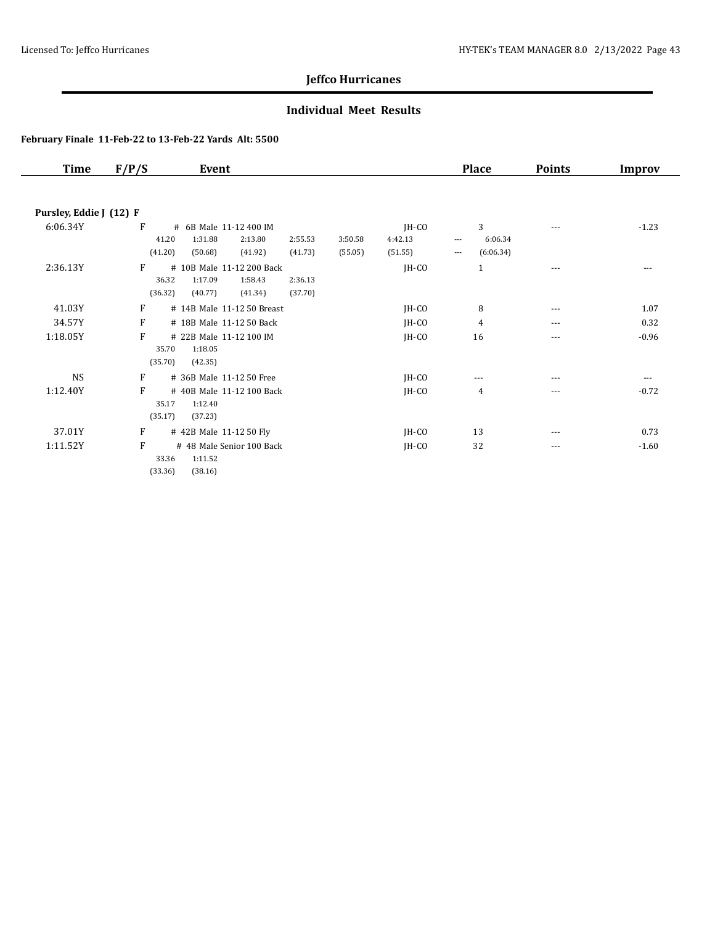### **Individual Meet Results**

| <b>Time</b>             | F/P/S   | Event                      |         |         |         |         | <b>Place</b>                     | <b>Points</b> | Improv  |
|-------------------------|---------|----------------------------|---------|---------|---------|---------|----------------------------------|---------------|---------|
|                         |         |                            |         |         |         |         |                                  |               |         |
| Pursley, Eddie J (12) F |         |                            |         |         |         |         |                                  |               |         |
| 6:06.34Y                | F       | # 6B Male 11-12 400 IM     |         |         |         | $IH-CO$ | 3                                | ---           | $-1.23$ |
|                         |         | 1:31.88<br>41.20           | 2:13.80 | 2:55.53 | 3:50.58 | 4:42.13 | 6:06.34<br>$\cdots$              |               |         |
|                         | (41.20) | (50.68)                    | (41.92) | (41.73) | (55.05) | (51.55) | (6:06.34)<br>$\qquad \qquad - -$ |               |         |
| 2:36.13Y                | F       | # 10B Male 11-12 200 Back  |         |         |         | JH-CO   | $\mathbf{1}$                     | $---$         | $---$   |
|                         |         | 36.32<br>1:17.09           | 1:58.43 | 2:36.13 |         |         |                                  |               |         |
|                         | (36.32) | (40.77)                    | (41.34) | (37.70) |         |         |                                  |               |         |
| 41.03Y                  | F       | # 14B Male 11-12 50 Breast |         |         |         | $IH-CO$ | 8                                | $---$         | 1.07    |
| 34.57Y                  | F       | # 18B Male 11-12 50 Back   |         |         |         | JH-CO   | 4                                | $---$         | 0.32    |
| 1:18.05Y                | F       | # 22B Male 11-12 100 IM    |         |         |         | JH-CO   | 16                               | ---           | $-0.96$ |
|                         |         | 1:18.05<br>35.70           |         |         |         |         |                                  |               |         |
|                         | (35.70) | (42.35)                    |         |         |         |         |                                  |               |         |
| <b>NS</b>               | F       | # 36B Male 11-12 50 Free   |         |         |         | JH-CO   | ---                              | ---           | $---$   |
| 1:12.40Y                | F       | #40B Male 11-12 100 Back   |         |         |         | JH-CO   | 4                                | $---$         | $-0.72$ |
|                         |         | 35.17<br>1:12.40           |         |         |         |         |                                  |               |         |
|                         | (35.17) | (37.23)                    |         |         |         |         |                                  |               |         |
| 37.01Y                  | F       | # 42B Male 11-12 50 Fly    |         |         |         | $IH-CO$ | 13                               | ---           | 0.73    |
| 1:11.52Y                | F       | # 48 Male Senior 100 Back  |         |         |         | JH-CO   | 32                               | $---$         | $-1.60$ |
|                         |         | 33.36<br>1:11.52           |         |         |         |         |                                  |               |         |
|                         | (33.36) | (38.16)                    |         |         |         |         |                                  |               |         |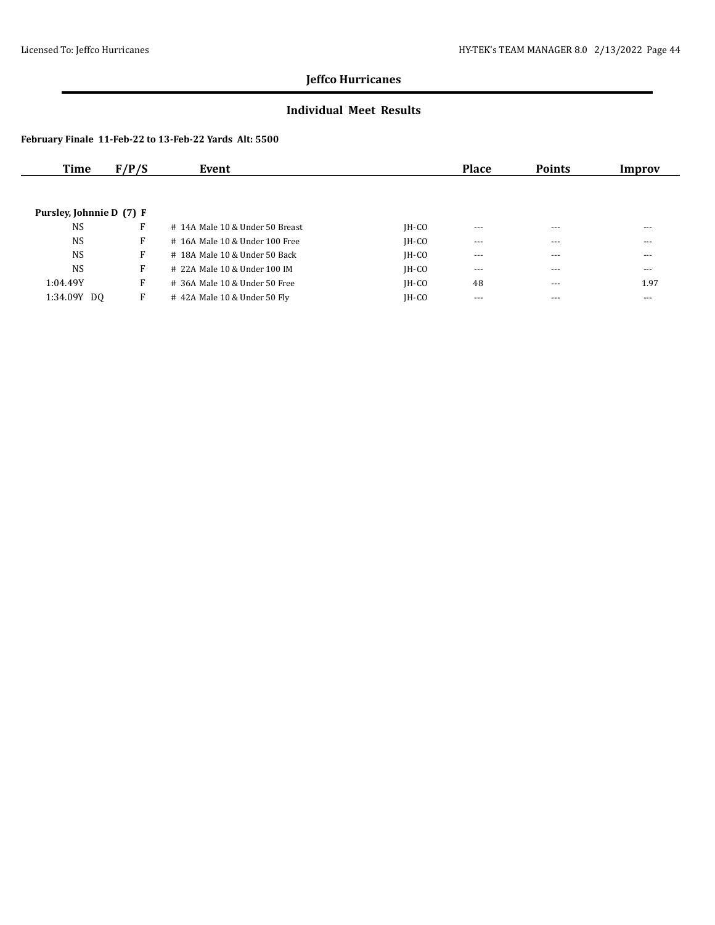### **Individual Meet Results**

| Time                     | F/P/S | Event                           |         | <b>Place</b> | <b>Points</b> | Improv   |
|--------------------------|-------|---------------------------------|---------|--------------|---------------|----------|
|                          |       |                                 |         |              |               |          |
| Pursley, Johnnie D (7) F |       |                                 |         |              |               |          |
| <b>NS</b>                | F     | # 14A Male 10 & Under 50 Breast | $IH-CO$ | $- - -$      | $---$         | $---$    |
| <b>NS</b>                | F     | # 16A Male 10 & Under 100 Free  | $IH-CO$ | $\cdots$     | $- - -$       | $\cdots$ |
| <b>NS</b>                | F     | # 18A Male 10 & Under 50 Back   | $IH-CO$ | $- - -$      | $- - -$       | $---$    |
| <b>NS</b>                | F     | # 22A Male 10 & Under 100 IM    | $IH-CO$ | $---$        | $- - -$       | ---      |
| 1:04.49Y                 | F     | # 36A Male 10 & Under 50 Free   | $IH-CO$ | 48           | $\cdots$      | 1.97     |
| 1:34.09Y DO              | F     | #42A Male 10 & Under 50 Fly     | $IH-CO$ | $- - -$      | $- - -$       | $---$    |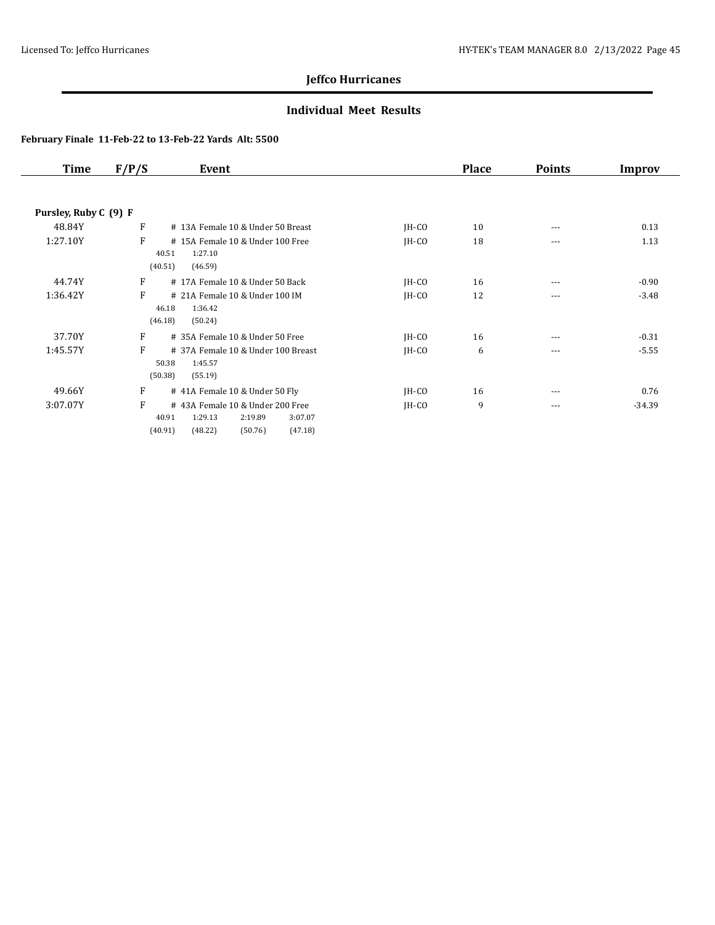### **Individual Meet Results**

| Time                  | F/P/S        | Event                                                                                                      |         | <b>Place</b> | <b>Points</b> | Improv   |
|-----------------------|--------------|------------------------------------------------------------------------------------------------------------|---------|--------------|---------------|----------|
|                       |              |                                                                                                            |         |              |               |          |
| Pursley, Ruby C (9) F |              |                                                                                                            |         |              |               |          |
| 48.84Y                | F            | # 13A Female 10 & Under 50 Breast                                                                          | $IH-CO$ | 10           | ---           | 0.13     |
| 1:27.10Y              | F<br>(40.51) | #15A Female 10 & Under 100 Free<br>40.51<br>1:27.10<br>(46.59)                                             | $IH-CO$ | 18           | ---           | 1.13     |
| 44.74Y                | F            | #17A Female 10 & Under 50 Back                                                                             | $IH-CO$ | 16           | ---           | $-0.90$  |
| 1:36.42Y              | F<br>(46.18) | # 21A Female 10 & Under 100 IM<br>1:36.42<br>46.18<br>(50.24)                                              | $IH-CO$ | 12           | ---           | $-3.48$  |
| 37.70Y                | F            | # 35A Female 10 & Under 50 Free                                                                            | $IH-CO$ | 16           | ---           | $-0.31$  |
| 1:45.57Y              | F<br>(50.38) | # 37A Female 10 & Under 100 Breast<br>50.38<br>1:45.57<br>(55.19)                                          | $IH-CO$ | 6            | ---           | $-5.55$  |
| 49.66Y                | F            | # 41A Female 10 & Under 50 Fly                                                                             | $IH-CO$ | 16           | $\cdots$      | 0.76     |
| 3:07.07Y              | F<br>(40.91) | #43A Female 10 & Under 200 Free<br>40.91<br>1:29.13<br>2:19.89<br>3:07.07<br>(50.76)<br>(47.18)<br>(48.22) | $IH-CO$ | 9            | $\frac{1}{2}$ | $-34.39$ |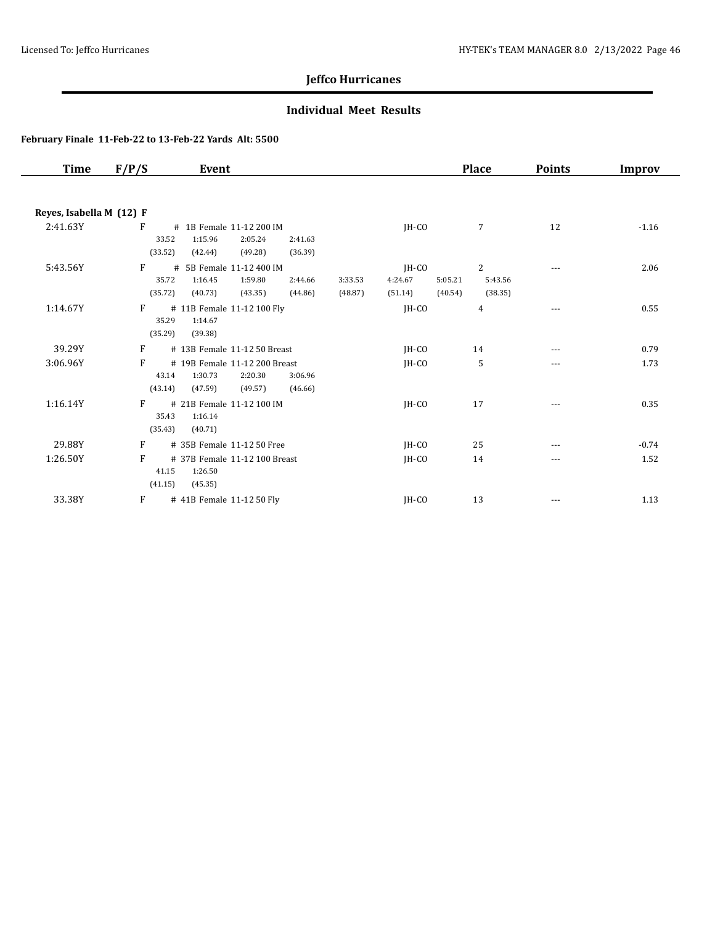### **Individual Meet Results**

| Time                     | F/P/S   | Event                                                     |                    | <b>Place</b>       | <b>Points</b> | <b>Improv</b> |
|--------------------------|---------|-----------------------------------------------------------|--------------------|--------------------|---------------|---------------|
| Reyes, Isabella M (12) F |         |                                                           |                    |                    |               |               |
|                          | F       |                                                           |                    |                    |               |               |
| 2:41.63Y                 | 33.52   | # 1B Female 11-12 200 IM<br>1:15.96<br>2:05.24<br>2:41.63 | $IH-CO$            | $\overline{7}$     | 12            | $-1.16$       |
|                          | (33.52) | (49.28)<br>(36.39)<br>(42.44)                             |                    |                    |               |               |
|                          |         |                                                           |                    |                    |               |               |
| 5:43.56Y                 | F       | 5B Female 11-12 400 IM<br>#                               | $IH-CO$            | 2                  | $---$         | 2.06          |
|                          | 35.72   | 1:16.45<br>1:59.80<br>2:44.66                             | 4:24.67<br>3:33.53 | 5:05.21<br>5:43.56 |               |               |
|                          | (35.72) | (43.35)<br>(44.86)<br>(40.73)                             | (48.87)<br>(51.14) | (40.54)<br>(38.35) |               |               |
| 1:14.67Y                 | F       | # 11B Female 11-12 100 Fly                                | $IH-CO$            | 4                  | $---$         | 0.55          |
|                          | 35.29   | 1:14.67                                                   |                    |                    |               |               |
|                          | (35.29) | (39.38)                                                   |                    |                    |               |               |
| 39.29Y                   | F       | # 13B Female 11-12 50 Breast                              | IH-CO              | 14                 | $---$         | 0.79          |
| 3:06.96Y                 | F       | # 19B Female 11-12 200 Breast                             | $IH-CO$            | 5                  | ---           | 1.73          |
|                          | 43.14   | 1:30.73<br>2:20.30<br>3:06.96                             |                    |                    |               |               |
|                          | (43.14) | (49.57)<br>(47.59)<br>(46.66)                             |                    |                    |               |               |
| 1:16.14Y                 | F       | # 21B Female 11-12 100 IM                                 | IH-CO              | 17                 | $---$         | 0.35          |
|                          | 35.43   | 1:16.14                                                   |                    |                    |               |               |
|                          | (35.43) | (40.71)                                                   |                    |                    |               |               |
| 29.88Y                   | F       | # 35B Female 11-12 50 Free                                | $IH-CO$            | 25                 | ---           | $-0.74$       |
| 1:26.50Y                 | F       | # 37B Female 11-12 100 Breast                             | $IH-CO$            | 14                 | ---           | 1.52          |
|                          | 41.15   | 1:26.50                                                   |                    |                    |               |               |
|                          | (41.15) | (45.35)                                                   |                    |                    |               |               |
| 33.38Y                   | F       | # 41B Female 11-12 50 Fly                                 | JH-CO              | 13                 | $---$         | 1.13          |
|                          |         |                                                           |                    |                    |               |               |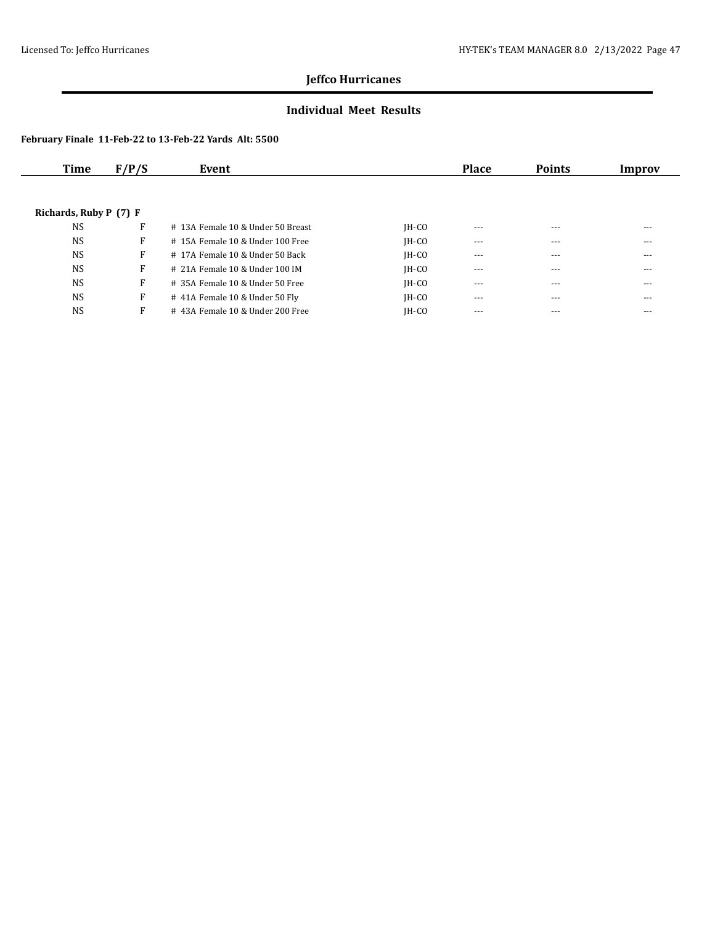### **Individual Meet Results**

| Time                   | F/P/S | Event                              |         | <b>Place</b> | <b>Points</b> | Improv |
|------------------------|-------|------------------------------------|---------|--------------|---------------|--------|
|                        |       |                                    |         |              |               |        |
| Richards, Ruby P (7) F |       |                                    |         |              |               |        |
| <b>NS</b>              | F     | # 13A Female 10 & Under 50 Breast  | $IH-CO$ | $---$        | $---$         | ---    |
| <b>NS</b>              | F     | $#$ 15A Female 10 & Under 100 Free | $IH-CO$ | ---          | $- - -$       | ---    |
| <b>NS</b>              | F     | # 17A Female 10 & Under 50 Back    | $IH-CO$ | $\cdots$     | $---$         | ---    |
| <b>NS</b>              | F     | # 21A Female 10 & Under 100 IM     | $IH-CO$ | $---$        | $---$         | ---    |
| <b>NS</b>              | F     | # 35A Female 10 & Under 50 Free    | $IH-CO$ | $\cdots$     | $---$         | ---    |
| <b>NS</b>              | F     | # 41A Female 10 & Under 50 Fly     | $IH-CO$ | $---$        | $---$         | ---    |
| <b>NS</b>              | F     | #43A Female 10 & Under 200 Free    | $IH-CO$ | $---$        | $---$         | ---    |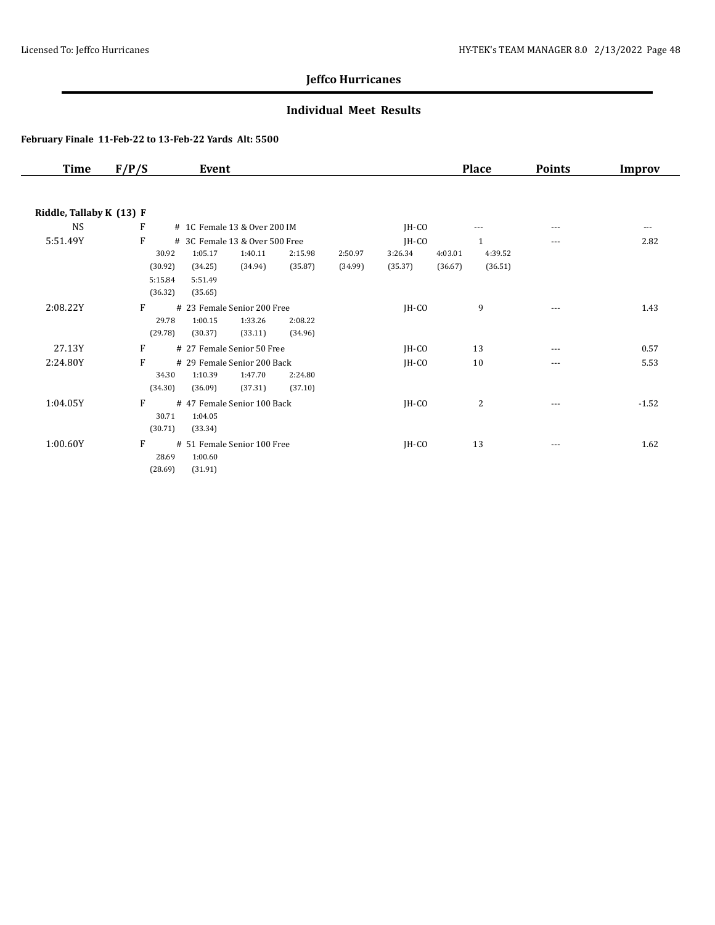### **Individual Meet Results**

| Time                     | F/P/S   | Event                          |         |         |         |         |         | <b>Place</b> | <b>Points</b> | <b>Improv</b> |
|--------------------------|---------|--------------------------------|---------|---------|---------|---------|---------|--------------|---------------|---------------|
|                          |         |                                |         |         |         |         |         |              |               |               |
| Riddle, Tallaby K (13) F |         |                                |         |         |         |         |         |              |               |               |
| NS                       | F       | # 1C Female 13 & Over 200 IM   |         |         |         | JH-CO   |         | $---$        |               | $\cdots$      |
| 5:51.49Y                 | F       | # 3C Female 13 & Over 500 Free |         |         |         | $IH-CO$ |         | $\mathbf{1}$ | $---$         | 2.82          |
|                          | 30.92   | 1:05.17                        | 1:40.11 | 2:15.98 | 2:50.97 | 3:26.34 | 4:03.01 | 4:39.52      |               |               |
|                          | (30.92) | (34.25)                        | (34.94) | (35.87) | (34.99) | (35.37) | (36.67) | (36.51)      |               |               |
|                          | 5:15.84 | 5:51.49                        |         |         |         |         |         |              |               |               |
|                          | (36.32) | (35.65)                        |         |         |         |         |         |              |               |               |
| 2:08.22Y                 | F       | # 23 Female Senior 200 Free    |         |         |         | JH-CO   |         | 9            | $---$         | 1.43          |
|                          | 29.78   | 1:00.15                        | 1:33.26 | 2:08.22 |         |         |         |              |               |               |
|                          | (29.78) | (30.37)                        | (33.11) | (34.96) |         |         |         |              |               |               |
| 27.13Y                   | F       | # 27 Female Senior 50 Free     |         |         |         | $IH-CO$ |         | 13           | $---$         | 0.57          |
| 2:24.80Y                 | F       | # 29 Female Senior 200 Back    |         |         |         | JH-CO   |         | 10           | $\cdots$      | 5.53          |
|                          | 34.30   | 1:10.39                        | 1:47.70 | 2:24.80 |         |         |         |              |               |               |
|                          | (34.30) | (36.09)                        | (37.31) | (37.10) |         |         |         |              |               |               |
| 1:04.05Y                 | F       | #47 Female Senior 100 Back     |         |         |         | JH-CO   |         | 2            | $---$         | $-1.52$       |
|                          | 30.71   | 1:04.05                        |         |         |         |         |         |              |               |               |
|                          | (30.71) | (33.34)                        |         |         |         |         |         |              |               |               |
| 1:00.60Y                 | F       | # 51 Female Senior 100 Free    |         |         |         | JH-CO   |         | 13           | $- - -$       | 1.62          |
|                          | 28.69   | 1:00.60                        |         |         |         |         |         |              |               |               |
|                          | (28.69) | (31.91)                        |         |         |         |         |         |              |               |               |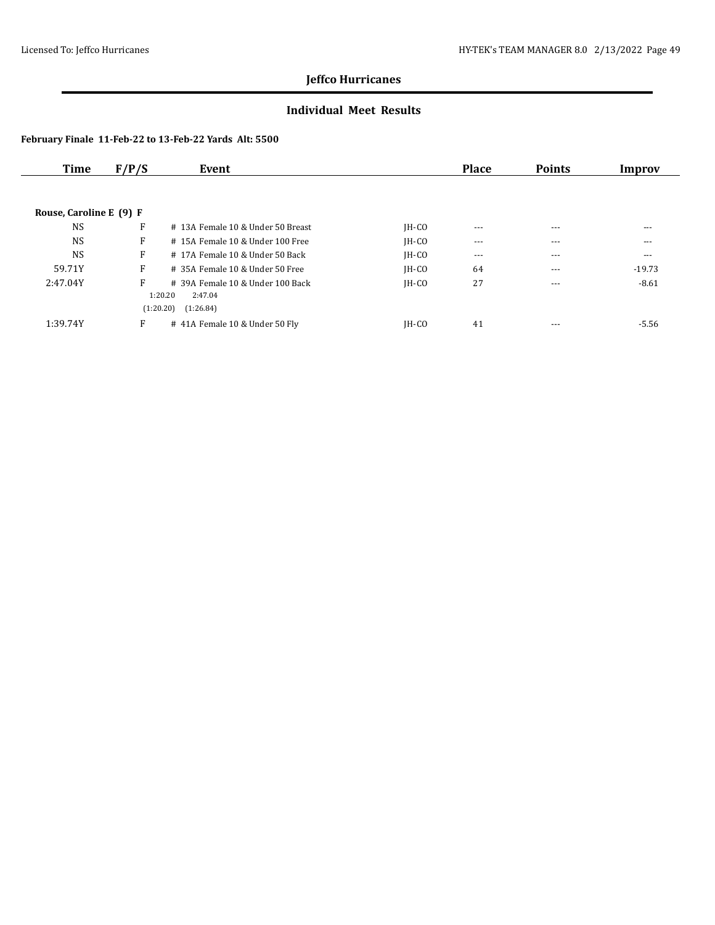### **Individual Meet Results**

| <b>Time</b>             | F/P/S | Event                                                                               |         | <b>Place</b> | <b>Points</b> | Improv   |
|-------------------------|-------|-------------------------------------------------------------------------------------|---------|--------------|---------------|----------|
|                         |       |                                                                                     |         |              |               |          |
| Rouse, Caroline E (9) F |       |                                                                                     |         |              |               |          |
| <b>NS</b>               | F     | # 13A Female 10 & Under 50 Breast                                                   | $IH-CO$ | $---$        | $---$         | ---      |
| <b>NS</b>               | F     | # 15A Female 10 & Under 100 Free                                                    | $IH-CO$ | $\cdots$     | $---$         | $---$    |
| <b>NS</b>               | F     | # 17A Female 10 & Under 50 Back                                                     | $IH-CO$ | $---$        | $---$         | ---      |
| 59.71Y                  | F     | # 35A Female 10 & Under 50 Free                                                     | $IH-CO$ | 64           | $---$         | $-19.73$ |
| 2:47.04Y                | F     | $\#$ 39A Female 10 & Under 100 Back<br>2:47.04<br>1:20.20<br>(1:20.20)<br>(1:26.84) | $IH-CO$ | 27           | $---$         | $-8.61$  |
| 1:39.74Y                | F     | # 41A Female 10 & Under 50 Fly                                                      | $IH-CO$ | 41           | $---$         | -5.56    |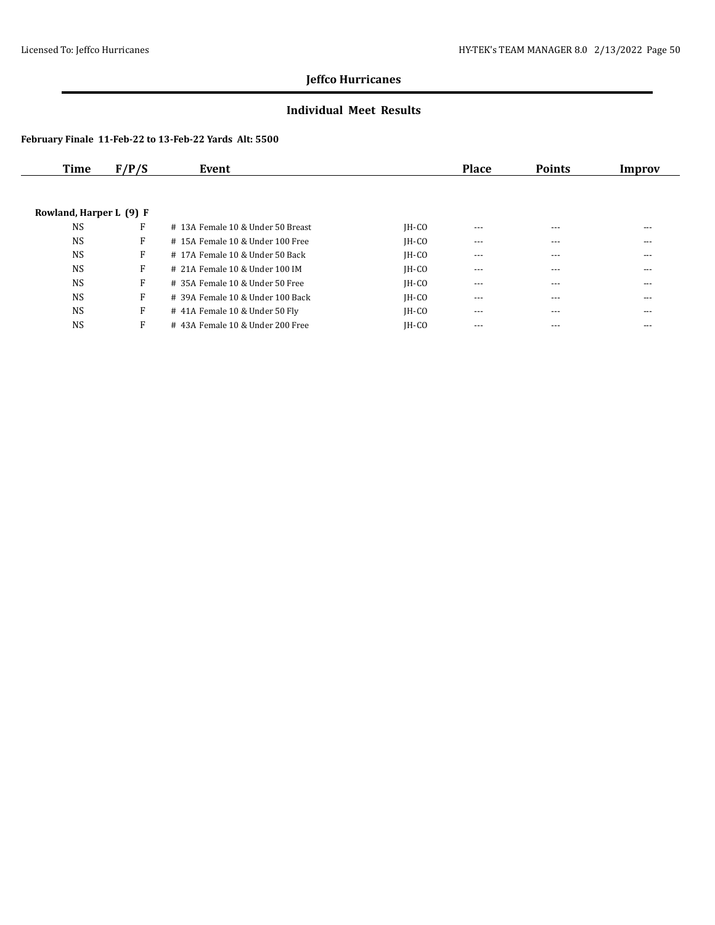### **Individual Meet Results**

| Time                    | F/P/S | Event                              |         | <b>Place</b> | <b>Points</b> | Improv |
|-------------------------|-------|------------------------------------|---------|--------------|---------------|--------|
|                         |       |                                    |         |              |               |        |
| Rowland, Harper L (9) F |       |                                    |         |              |               |        |
| <b>NS</b>               | F     | # 13A Female 10 & Under 50 Breast  | $IH-CO$ | $---$        | $---$         | ---    |
| <b>NS</b>               | F     | # 15A Female 10 & Under 100 Free   | $IH-CO$ | $---$        | $---$         | ---    |
| <b>NS</b>               | F     | #17A Female 10 & Under 50 Back     | $IH-CO$ | $- - -$      | $---$         | ---    |
| <b>NS</b>               | F     | # 21A Female 10 & Under 100 IM     | $IH-CO$ | $---$        | $---$         | ---    |
| <b>NS</b>               | F     | # 35A Female 10 & Under 50 Free    | $IH-CO$ | $- - -$      | $---$         | ---    |
| <b>NS</b>               | F     | $#$ 39A Female 10 & Under 100 Back | $IH-CO$ | $\cdots$     | $---$         | ---    |
| <b>NS</b>               | F     | # 41A Female 10 & Under 50 Fly     | $IH-CO$ | $---$        | $---$         | ---    |
| <b>NS</b>               | F     | #43A Female 10 & Under 200 Free    | $IH-CO$ | $---$        | $---$         | ---    |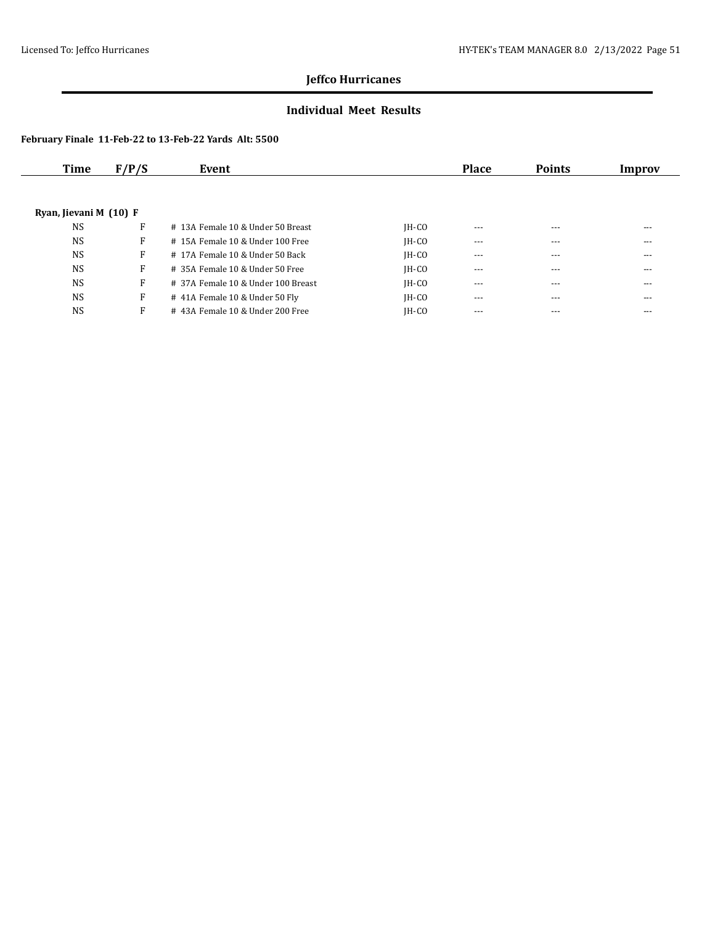### **Individual Meet Results**

| Time                   | F/P/S | Event                              |         | <b>Place</b> | <b>Points</b> | Improv |
|------------------------|-------|------------------------------------|---------|--------------|---------------|--------|
|                        |       |                                    |         |              |               |        |
| Ryan, Jievani M (10) F |       |                                    |         |              |               |        |
| <b>NS</b>              | F     | # 13A Female 10 & Under 50 Breast  | $IH-CO$ | $---$        | $---$         | ---    |
| <b>NS</b>              | F     | # 15A Female 10 & Under 100 Free   | $IH-CO$ | $---$        | ---           | ---    |
| <b>NS</b>              | F     | # 17A Female 10 & Under 50 Back    | $IH-CO$ | $---$        | $---$         | ---    |
| <b>NS</b>              | F     | # 35A Female 10 & Under 50 Free    | $IH-CO$ | $- - -$      | $---$         | ---    |
| <b>NS</b>              | F     | # 37A Female 10 & Under 100 Breast | $IH-CO$ | $\cdots$     | ---           | ---    |
| <b>NS</b>              | F     | # 41A Female 10 & Under 50 Fly     | $IH-CO$ | $- - -$      | $---$         | ---    |
| <b>NS</b>              | F     | #43A Female 10 & Under 200 Free    | $IH-CO$ | $---$        | $---$         | ---    |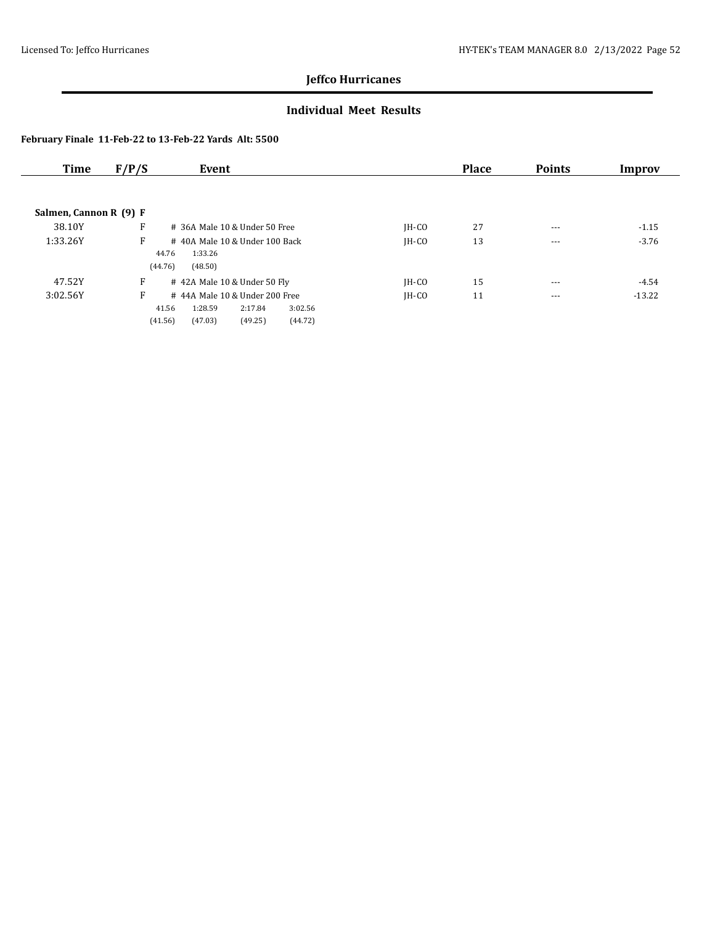### **Individual Meet Results**

| Time                   | F/P/S   | Event                           |                    |         | <b>Place</b> | <b>Points</b> | Improv   |
|------------------------|---------|---------------------------------|--------------------|---------|--------------|---------------|----------|
|                        |         |                                 |                    |         |              |               |          |
| Salmen, Cannon R (9) F |         |                                 |                    |         |              |               |          |
| 38.10Y                 | F       | $#$ 36A Male 10 & Under 50 Free |                    | $IH-CO$ | 27           | $\cdots$      | $-1.15$  |
| 1:33.26Y               | F       | #40A Male 10 & Under 100 Back   |                    | $IH-CO$ | 13           | $---$         | $-3.76$  |
|                        | 44.76   | 1:33.26                         |                    |         |              |               |          |
|                        | (44.76) | (48.50)                         |                    |         |              |               |          |
| 47.52Y                 | F       | #42A Male 10 & Under 50 Fly     |                    | $IH-CO$ | 15           | $---$         | -4.54    |
| 3:02.56Y               | F       | #44A Male 10 & Under 200 Free   |                    | $IH-CO$ | 11           | $- - -$       | $-13.22$ |
|                        | 41.56   | 1:28.59                         | 3:02.56<br>2:17.84 |         |              |               |          |
|                        | (41.56) | (47.03)                         | (44.72)<br>(49.25) |         |              |               |          |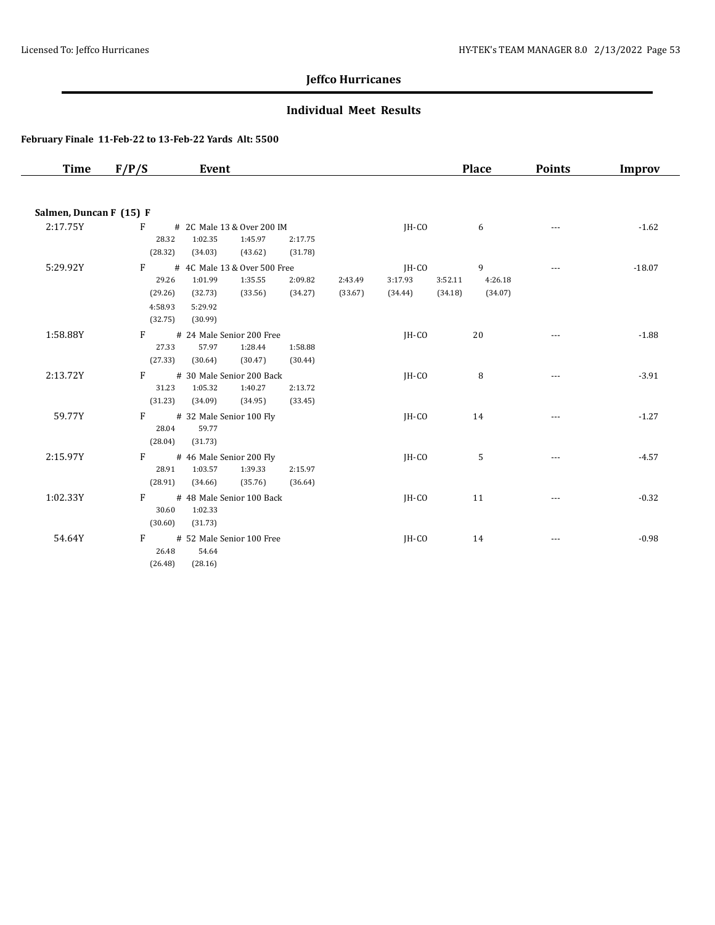### **Individual Meet Results**

| <b>Time</b>             | F/P/S                                  | Event                                                                  |                    |                    |                    |                    | <b>Place</b>       | <b>Points</b> | <b>Improv</b> |
|-------------------------|----------------------------------------|------------------------------------------------------------------------|--------------------|--------------------|--------------------|--------------------|--------------------|---------------|---------------|
|                         |                                        |                                                                        |                    |                    |                    |                    |                    |               |               |
| Salmen, Duncan F (15) F |                                        |                                                                        |                    |                    |                    |                    |                    |               |               |
| 2:17.75Y                | F<br>28.32<br>(28.32)                  | # 2C Male 13 & Over 200 IM<br>1:02.35<br>1:45.97<br>(34.03)<br>(43.62) | 2:17.75<br>(31.78) |                    | JH-CO              |                    | 6                  |               | $-1.62$       |
| 5:29.92Y                | F                                      | # 4C Male 13 & Over 500 Free                                           |                    |                    | $IH-CO$            |                    | 9                  | $\cdots$      | $-18.07$      |
|                         | 29.26<br>(29.26)<br>4:58.93<br>(32.75) | 1:01.99<br>1:35.55<br>(32.73)<br>(33.56)<br>5:29.92<br>(30.99)         | 2:09.82<br>(34.27) | 2:43.49<br>(33.67) | 3:17.93<br>(34.44) | 3:52.11<br>(34.18) | 4:26.18<br>(34.07) |               |               |
| 1:58.88Y                | $F =$<br>27.33<br>(27.33)              | # 24 Male Senior 200 Free<br>57.97<br>1:28.44<br>(30.64)<br>(30.47)    | 1:58.88<br>(30.44) |                    | IH-CO              |                    | 20                 |               | $-1.88$       |
| 2:13.72Y                | $F =$<br>31.23<br>(31.23)              | # 30 Male Senior 200 Back<br>1:05.32<br>1:40.27<br>(34.09)<br>(34.95)  | 2:13.72<br>(33.45) |                    | $IH-CO$            |                    | 8                  |               | $-3.91$       |
| 59.77Y                  | $F \sim$<br>28.04<br>(28.04)           | # 32 Male Senior 100 Fly<br>59.77<br>(31.73)                           |                    |                    | JH-CO              |                    | 14                 |               | $-1.27$       |
| 2:15.97Y                | $F =$<br>28.91<br>(28.91)              | # 46 Male Senior 200 Fly<br>1:03.57<br>1:39.33<br>(35.76)<br>(34.66)   | 2:15.97<br>(36.64) |                    | $IH-CO$            |                    | 5                  |               | $-4.57$       |
| 1:02.33Y                | F<br>30.60<br>(30.60)                  | # 48 Male Senior 100 Back<br>1:02.33<br>(31.73)                        |                    |                    | JH-CO              |                    | 11                 |               | $-0.32$       |
| 54.64Y                  | F<br>26.48<br>(26.48)                  | # 52 Male Senior 100 Free<br>54.64<br>(28.16)                          |                    |                    | JH-CO              |                    | 14                 |               | $-0.98$       |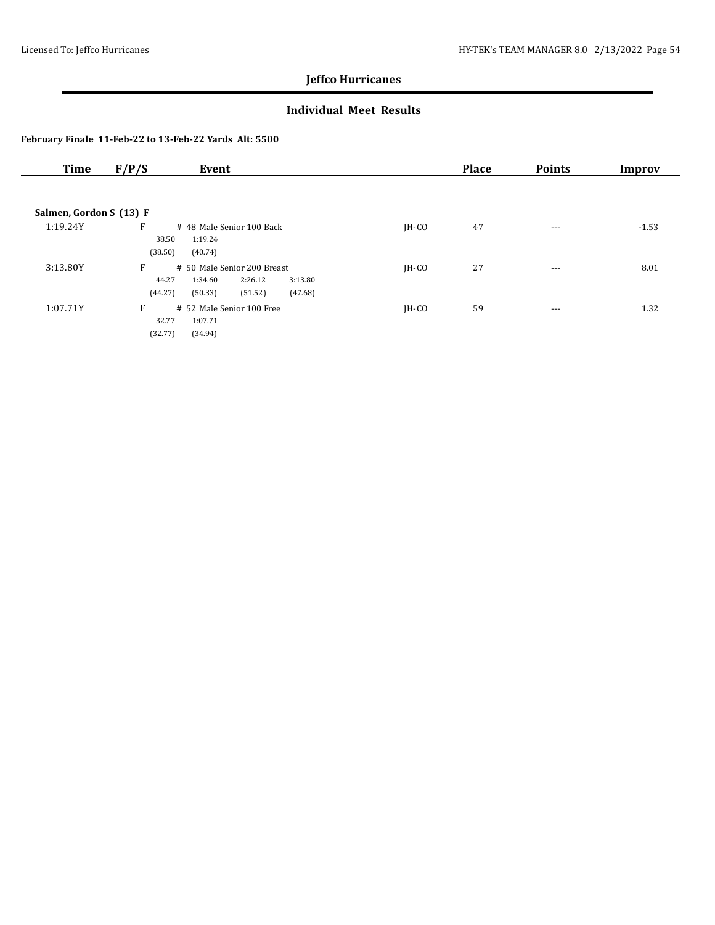### **Individual Meet Results**

| <b>Time</b>             | F/P/S                 | Event                                                                                         |         | <b>Place</b> | <b>Points</b> | Improv  |
|-------------------------|-----------------------|-----------------------------------------------------------------------------------------------|---------|--------------|---------------|---------|
|                         |                       |                                                                                               |         |              |               |         |
| Salmen, Gordon S (13) F |                       |                                                                                               |         |              |               |         |
| 1:19.24Y                | F<br>38.50<br>(38.50) | # 48 Male Senior 100 Back<br>1:19.24<br>(40.74)                                               | $IH-CO$ | 47           | $\cdots$      | $-1.53$ |
| 3:13.80Y                | F<br>44.27<br>(44.27) | # 50 Male Senior 200 Breast<br>2:26.12<br>3:13.80<br>1:34.60<br>(47.68)<br>(50.33)<br>(51.52) | $IH-CO$ | 27           | $\cdots$      | 8.01    |
| 1:07.71Y                | F<br>32.77<br>(32.77) | # 52 Male Senior 100 Free<br>1:07.71<br>(34.94)                                               | $IH-CO$ | 59           | $\cdots$      | 1.32    |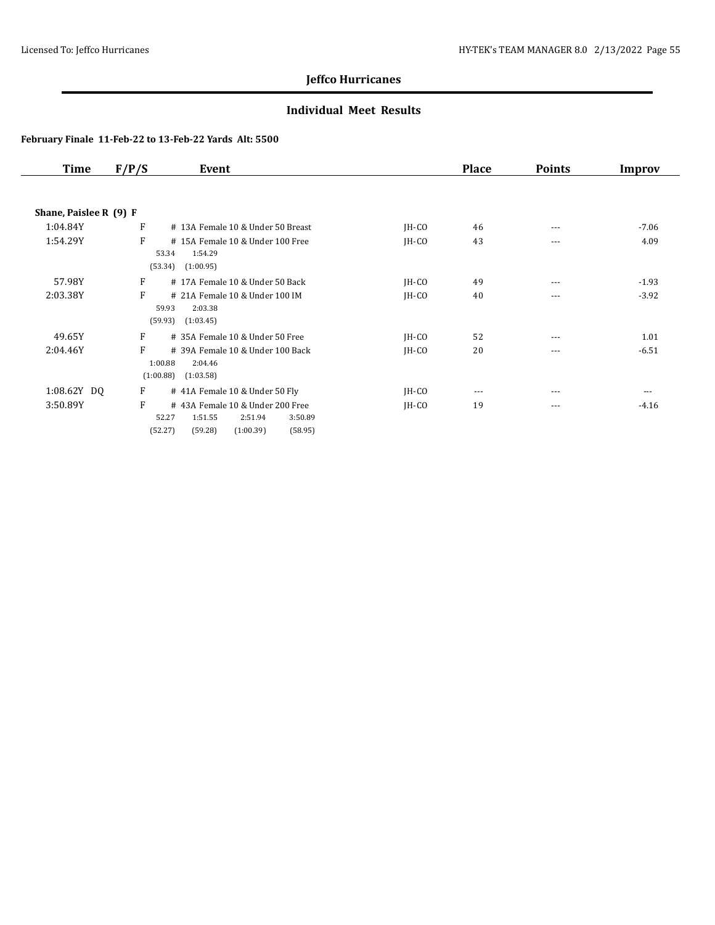### **Individual Meet Results**

| Time                   | F/P/S     | Event                                                                                                                   |         | <b>Place</b> | <b>Points</b> | Improv  |
|------------------------|-----------|-------------------------------------------------------------------------------------------------------------------------|---------|--------------|---------------|---------|
|                        |           |                                                                                                                         |         |              |               |         |
| Shane, Paislee R (9) F |           |                                                                                                                         |         |              |               |         |
| 1:04.84Y               | F         | # 13A Female 10 & Under 50 Breast                                                                                       | $IH-CO$ | 46           | ---           | $-7.06$ |
| 1:54.29Y               | F         | #15A Female 10 & Under 100 Free<br>1:54.29<br>53.34                                                                     | $IH-CO$ | 43           | $---$         | 4.09    |
|                        |           | (53.34)<br>(1:00.95)                                                                                                    |         |              |               |         |
| 57.98Y                 | F         | #17A Female 10 & Under 50 Back                                                                                          | $IH-CO$ | 49           | ---           | $-1.93$ |
| 2:03.38Y               | F         | # 21A Female 10 & Under 100 IM<br>59.93<br>2:03.38                                                                      | $IH-CO$ | 40           | ---           | $-3.92$ |
|                        |           | (59.93)<br>(1:03.45)                                                                                                    |         |              |               |         |
| 49.65Y                 | F         | # 35A Female 10 & Under 50 Free                                                                                         | $IH-CO$ | 52           | $---$         | 1.01    |
| 2:04.46Y               | F         | # 39A Female 10 & Under 100 Back<br>1:00.88<br>2:04.46                                                                  | $IH-CO$ | 20           | ---           | $-6.51$ |
|                        | (1:00.88) | (1:03.58)                                                                                                               |         |              |               |         |
| 1:08.62Y DQ            | F         | # 41A Female 10 & Under 50 Fly                                                                                          | $IH-CO$ | $---$        |               |         |
| 3:50.89Y               | F         | #43A Female 10 & Under 200 Free<br>52.27<br>1:51.55<br>2:51.94<br>3:50.89<br>(1:00.39)<br>(58.95)<br>(52.27)<br>(59.28) | $IH-CO$ | 19           | $---$         | $-4.16$ |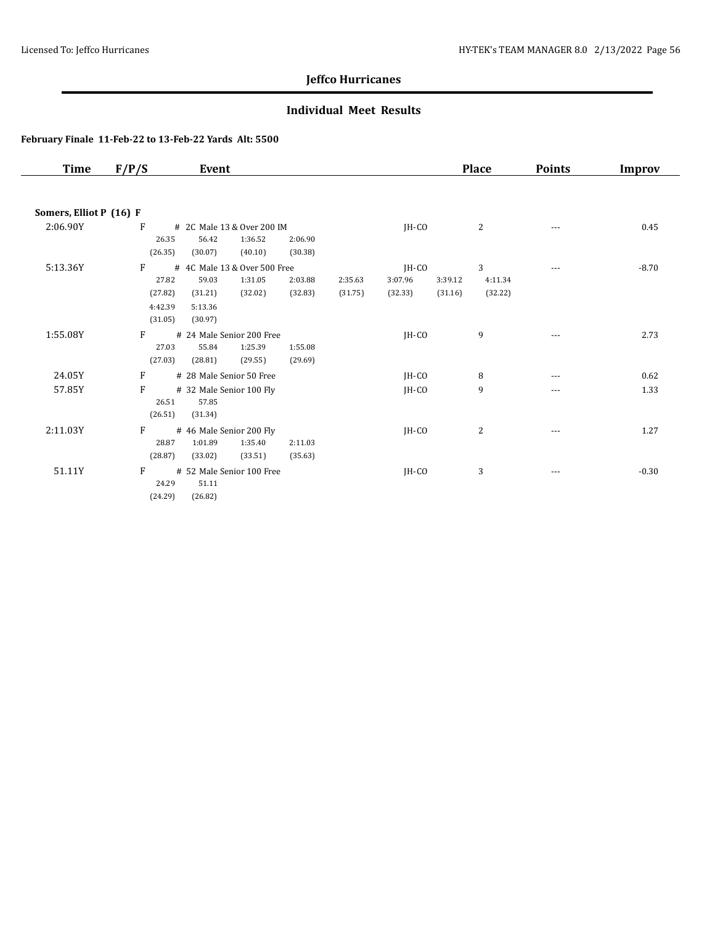### **Individual Meet Results**

| Time                    | F/P/S   | Event                        |         |         |         |         | <b>Place</b> | <b>Points</b>        | Improv  |
|-------------------------|---------|------------------------------|---------|---------|---------|---------|--------------|----------------------|---------|
|                         |         |                              |         |         |         |         |              |                      |         |
| Somers, Elliot P (16) F |         |                              |         |         |         |         |              |                      |         |
| 2:06.90Y                | F       | # 2C Male 13 & Over 200 IM   |         |         | $IH-CO$ |         | 2            | $\sim$ $\sim$ $\sim$ | 0.45    |
|                         | 26.35   | 56.42<br>1:36.52             | 2:06.90 |         |         |         |              |                      |         |
|                         | (26.35) | (40.10)<br>(30.07)           | (30.38) |         |         |         |              |                      |         |
| 5:13.36Y                | F       | # 4C Male 13 & Over 500 Free |         |         | JH-CO   |         | 3            | $---$                | $-8.70$ |
|                         | 27.82   | 1:31.05<br>59.03             | 2:03.88 | 2:35.63 | 3:07.96 | 3:39.12 | 4:11.34      |                      |         |
|                         | (27.82) | (32.02)<br>(31.21)           | (32.83) | (31.75) | (32.33) | (31.16) | (32.22)      |                      |         |
|                         | 4:42.39 | 5:13.36                      |         |         |         |         |              |                      |         |
|                         | (31.05) | (30.97)                      |         |         |         |         |              |                      |         |
| 1:55.08Y                | F       | # 24 Male Senior 200 Free    |         |         | $IH-CO$ |         | 9            | ---                  | 2.73    |
|                         | 27.03   | 1:25.39<br>55.84             | 1:55.08 |         |         |         |              |                      |         |
|                         | (27.03) | (28.81)<br>(29.55)           | (29.69) |         |         |         |              |                      |         |
| 24.05Y                  | F       | # 28 Male Senior 50 Free     |         |         | $IH-CO$ |         | 8            | $---$                | 0.62    |
| 57.85Y                  | F       | # 32 Male Senior 100 Fly     |         |         | $IH-CO$ |         | 9            | ---                  | 1.33    |
|                         | 26.51   | 57.85                        |         |         |         |         |              |                      |         |
|                         | (26.51) | (31.34)                      |         |         |         |         |              |                      |         |
| 2:11.03Y                | F       | # 46 Male Senior 200 Fly     |         |         | $IH-CO$ |         | 2            | $---$                | 1.27    |
|                         | 28.87   | 1:01.89<br>1:35.40           | 2:11.03 |         |         |         |              |                      |         |
|                         | (28.87) | (33.02)<br>(33.51)           | (35.63) |         |         |         |              |                      |         |
| 51.11Y                  | F       | # 52 Male Senior 100 Free    |         |         | JH-CO   |         | 3            | ---                  | $-0.30$ |
|                         | 24.29   | 51.11                        |         |         |         |         |              |                      |         |
|                         | (24.29) | (26.82)                      |         |         |         |         |              |                      |         |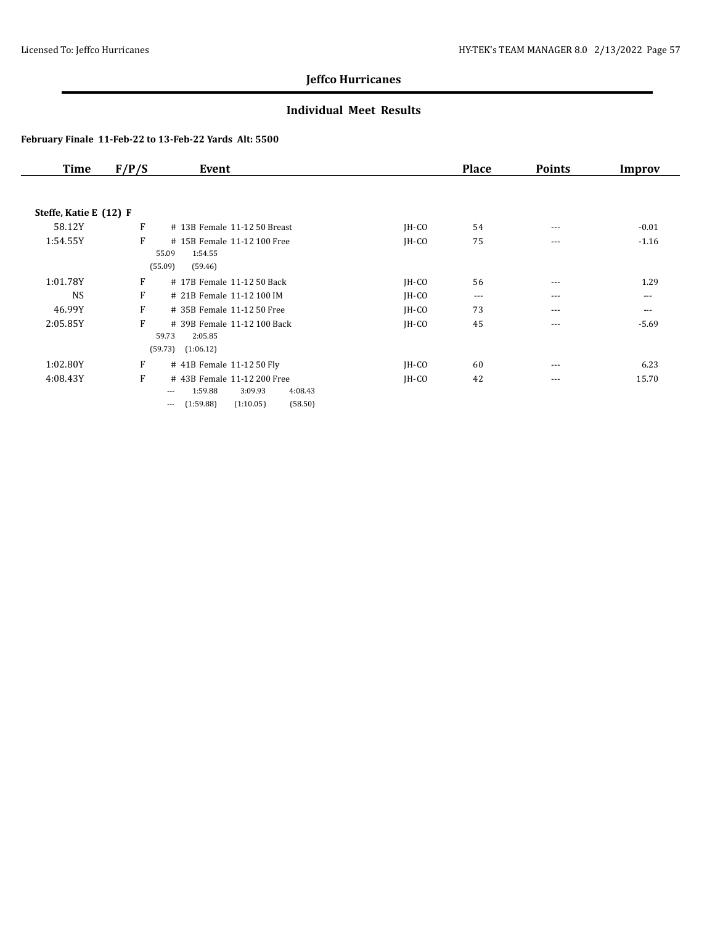### **Individual Meet Results**

| Time                   | F/P/S | Event                                                                                                           |         | <b>Place</b> | <b>Points</b> | Improv  |
|------------------------|-------|-----------------------------------------------------------------------------------------------------------------|---------|--------------|---------------|---------|
|                        |       |                                                                                                                 |         |              |               |         |
| Steffe, Katie E (12) F |       |                                                                                                                 |         |              |               |         |
| 58.12Y                 | F     | # 13B Female 11-12 50 Breast                                                                                    | JH-CO   | 54           | $---$         | $-0.01$ |
| 1:54.55Y               | F     | # 15B Female 11-12 100 Free<br>1:54.55<br>55.09<br>(55.09)<br>(59.46)                                           | $IH-CO$ | 75           | $\cdots$      | $-1.16$ |
| 1:01.78Y               | F     | # 17B Female 11-12 50 Back                                                                                      | $IH-CO$ | 56           | $\cdots$      | 1.29    |
| <b>NS</b>              | F     | # 21B Female 11-12 100 IM                                                                                       | $IH-CO$ | $\cdots$     | $\cdots$      | $---$   |
| 46.99Y                 | F     | # 35B Female 11-12 50 Free                                                                                      | $IH-CO$ | 73           | $\cdots$      | $---$   |
| 2:05.85Y               | F     | # 39B Female 11-12 100 Back<br>59.73<br>2:05.85<br>(59.73)<br>(1:06.12)                                         | $IH-CO$ | 45           | $---$         | $-5.69$ |
| 1:02.80Y               | F     | # 41B Female 11-12 50 Fly                                                                                       | $IH-CO$ | 60           | $---$         | 6.23    |
| 4:08.43Y               | F     | # 43B Female 11-12 200 Free<br>1:59.88<br>3:09.93<br>4:08.43<br>---<br>(58.50)<br>(1:59.88)<br>(1:10.05)<br>--- | $IH-CO$ | 42           | $- - -$       | 15.70   |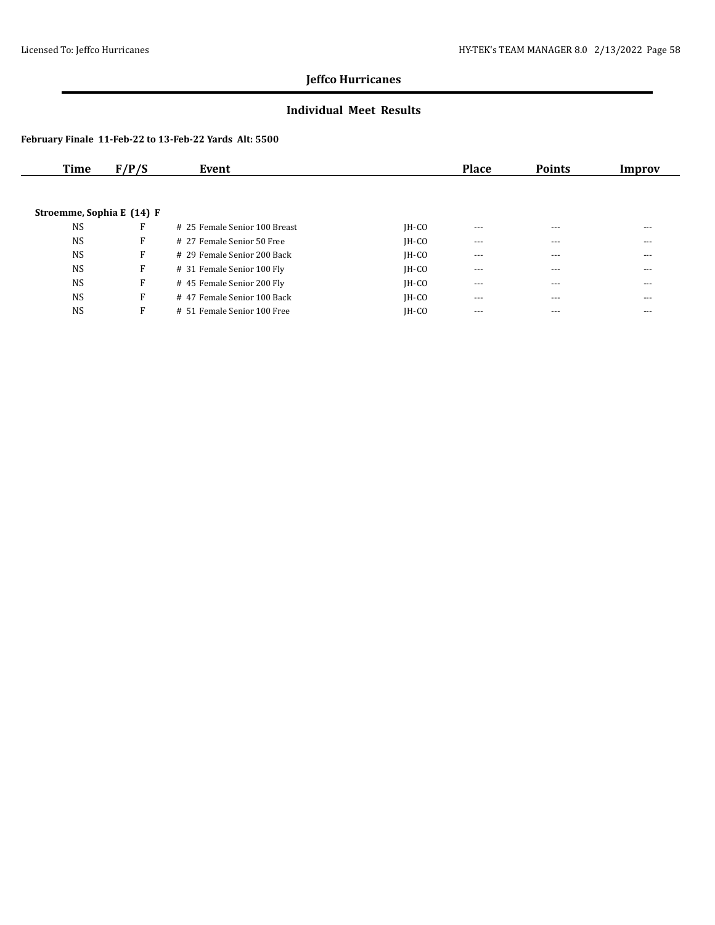### **Individual Meet Results**

| Time                      | F/P/S | Event                         |         | <b>Place</b> | <b>Points</b> | Improv |
|---------------------------|-------|-------------------------------|---------|--------------|---------------|--------|
|                           |       |                               |         |              |               |        |
|                           |       |                               |         |              |               |        |
| Stroemme, Sophia E (14) F |       |                               |         |              |               |        |
| <b>NS</b>                 | F     | # 25 Female Senior 100 Breast | $IH-CO$ | $- - -$      | $---$         | ---    |
| <b>NS</b>                 | F     | # 27 Female Senior 50 Free    | $IH-CO$ | $---$        | ---           | ---    |
| <b>NS</b>                 | F     | # 29 Female Senior 200 Back   | $IH-CO$ | $---$        | $---$         | ---    |
| <b>NS</b>                 | F     | # 31 Female Senior 100 Fly    | $IH-CO$ | $---$        | $---$         | ---    |
| <b>NS</b>                 | F     | #45 Female Senior 200 Fly     | $IH-CO$ | $---$        | $---$         | ---    |
| <b>NS</b>                 | F     | # 47 Female Senior 100 Back   | $IH-CO$ | $---$        | $---$         | ---    |
| <b>NS</b>                 | F     | # 51 Female Senior 100 Free   | $IH-CO$ | $- - -$      | $---$         | ---    |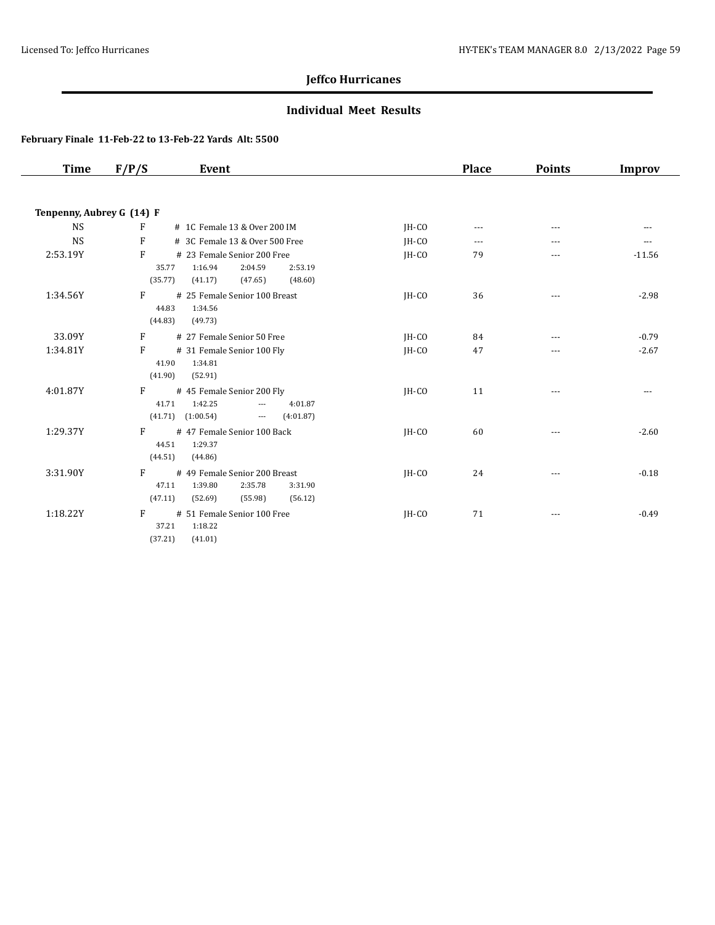### **Individual Meet Results**

| <b>Time</b>               | F/P/S<br>Event                                                                                 |         | <b>Place</b> | <b>Points</b> | Improv        |
|---------------------------|------------------------------------------------------------------------------------------------|---------|--------------|---------------|---------------|
|                           |                                                                                                |         |              |               |               |
| Tenpenny, Aubrey G (14) F |                                                                                                |         |              |               |               |
| <b>NS</b>                 | F<br># 1C Female 13 & Over 200 IM                                                              | IH-CO   | $---$        | $- - -$       | $- - -$       |
| <b>NS</b>                 | F<br># 3C Female 13 & Over 500 Free                                                            | $IH-CO$ | $---$        | ---           | $\frac{1}{2}$ |
| 2:53.19Y                  | F<br># 23 Female Senior 200 Free<br>1:16.94<br>2:04.59<br>2:53.19<br>35.77                     | $IH-CO$ | 79           | ---           | $-11.56$      |
|                           | (35.77)<br>(41.17)<br>(47.65)<br>(48.60)                                                       |         |              |               |               |
| 1:34.56Y                  | F<br># 25 Female Senior 100 Breast                                                             | IH-CO   | 36           | ---           | $-2.98$       |
|                           | 44.83<br>1:34.56<br>(44.83)<br>(49.73)                                                         |         |              |               |               |
| 33.09Y                    | F<br># 27 Female Senior 50 Free                                                                | $IH-CO$ | 84           | ---           | $-0.79$       |
| 1:34.81Y                  | F<br># 31 Female Senior 100 Fly                                                                | IH-CO   | 47           | ---           | $-2.67$       |
|                           | 41.90<br>1:34.81<br>(41.90)<br>(52.91)                                                         |         |              |               |               |
| 4:01.87Y                  | F<br># 45 Female Senior 200 Fly                                                                | $IH-CO$ | 11           | ---           | $- - -$       |
|                           | 1:42.25<br>41.71<br>4:01.87<br>$\overline{a}$<br>(41.71)<br>(1:00.54)<br>(4.01.87)<br>$\cdots$ |         |              |               |               |
| 1:29.37Y                  | F<br># 47 Female Senior 100 Back                                                               | IH-CO   | 60           | ---           | $-2.60$       |
|                           | 44.51<br>1:29.37                                                                               |         |              |               |               |
|                           | (44.51)<br>(44.86)                                                                             |         |              |               |               |
| 3:31.90Y                  | # 49 Female Senior 200 Breast<br>F<br>47.11<br>1:39.80<br>2:35.78<br>3:31.90                   | JH-CO   | 24           | $\cdots$      | $-0.18$       |
|                           | (47.11)<br>(52.69)<br>(55.98)<br>(56.12)                                                       |         |              |               |               |
| 1:18.22Y                  | F<br># 51 Female Senior 100 Free                                                               | IH-CO   | 71           | $- - -$       | $-0.49$       |
|                           | 37.21<br>1:18.22<br>(37.21)<br>(41.01)                                                         |         |              |               |               |
|                           |                                                                                                |         |              |               |               |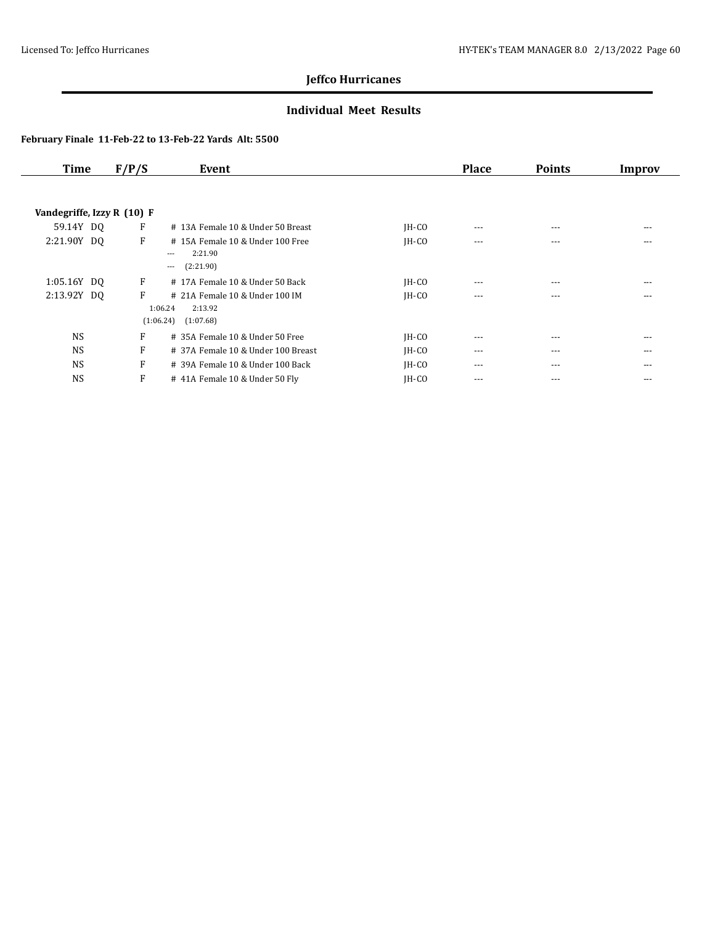### **Individual Meet Results**

| <b>Time</b>                | F/P/S | Event                                                                     |         | <b>Place</b> | <b>Points</b> | Improv |
|----------------------------|-------|---------------------------------------------------------------------------|---------|--------------|---------------|--------|
|                            |       |                                                                           |         |              |               |        |
| Vandegriffe, Izzy R (10) F |       |                                                                           |         |              |               |        |
| 59.14Y DO                  | F     | # 13A Female 10 & Under 50 Breast                                         | $IH-CO$ | $\cdots$     | ---           | ---    |
| 2:21.90Y DO                | F     | #15A Female 10 & Under 100 Free<br>2:21.90<br>$---$<br>(2:21.90)<br>$---$ | $IH-CO$ | $- - -$      | ---           | ---    |
| 1:05.16Y DQ                | F     | #17A Female 10 & Under 50 Back                                            | $IH-CO$ | $---$        | $---$         | $---$  |
| 2:13.92Y DQ                | F     | # 21A Female 10 & Under 100 IM<br>1:06.24<br>2:13.92                      | $IH-CO$ | $---$        | ---           | ---    |
|                            |       | (1:06.24)<br>(1:07.68)                                                    |         |              |               |        |
| <b>NS</b>                  | F     | # 35A Female 10 & Under 50 Free                                           | $IH-CO$ | $- - -$      | $- - -$       | ---    |
| <b>NS</b>                  | F     | # 37A Female 10 & Under 100 Breast                                        | $IH-CO$ | $\cdots$     | $\cdots$      | ---    |
| <b>NS</b>                  | F     | $\#$ 39A Female 10 & Under 100 Back                                       | $IH-CO$ | $---$        | ---           | ---    |
| <b>NS</b>                  | F     | #41A Female 10 & Under 50 Fly                                             | $IH-CO$ | ---          | ---           | ---    |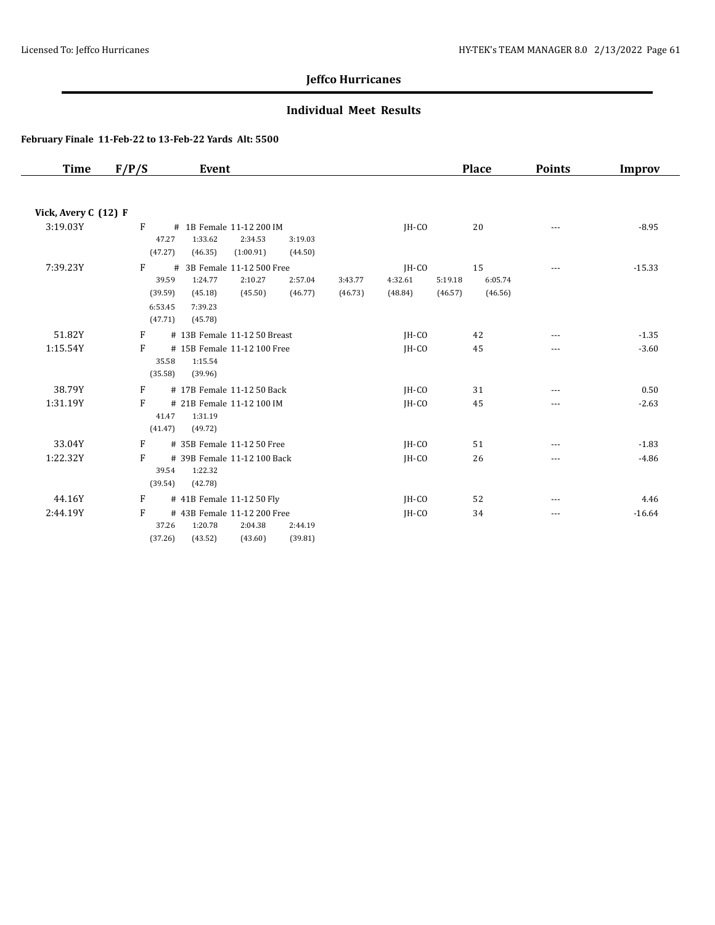### **Individual Meet Results**

| Time                 | F/P/S                                                  | Event                                                                                                                 |                    |                             |                    | <b>Place</b>             | <b>Points</b> | Improv   |
|----------------------|--------------------------------------------------------|-----------------------------------------------------------------------------------------------------------------------|--------------------|-----------------------------|--------------------|--------------------------|---------------|----------|
|                      |                                                        |                                                                                                                       |                    |                             |                    |                          |               |          |
| Vick, Avery C (12) F |                                                        |                                                                                                                       |                    |                             |                    |                          |               |          |
| 3:19.03Y             | F<br>47.27<br>(47.27)                                  | # 1B Female 11-12 200 IM<br>1:33.62<br>2:34.53<br>3:19.03<br>(46.35)<br>(1:00.91)<br>(44.50)                          |                    | $IH-CO$                     |                    | 20                       | $\frac{1}{2}$ | $-8.95$  |
| 7:39.23Y             | $\mathbf{F}$<br>39.59<br>(39.59)<br>6:53.45<br>(47.71) | 3B Female 11-12 500 Free<br>#<br>2:10.27<br>1:24.77<br>2:57.04<br>(46.77)<br>(45.18)<br>(45.50)<br>7:39.23<br>(45.78) | 3:43.77<br>(46.73) | JH-CO<br>4:32.61<br>(48.84) | 5:19.18<br>(46.57) | 15<br>6:05.74<br>(46.56) | $---$         | $-15.33$ |
| 51.82Y               | F                                                      | # 13B Female 11-12 50 Breast                                                                                          |                    | JH-CO                       |                    | 42                       | ---           | $-1.35$  |
| 1:15.54Y             | F<br>35.58<br>(35.58)                                  | # 15B Female 11-12 100 Free<br>1:15.54<br>(39.96)                                                                     |                    | $IH-CO$                     |                    | 45                       | $\cdots$      | $-3.60$  |
| 38.79Y               | F                                                      | # 17B Female 11-12 50 Back                                                                                            |                    | $IH-CO$                     |                    | 31                       | $\cdots$      | 0.50     |
| 1:31.19Y             | F<br>41.47<br>(41.47)                                  | # 21B Female 11-12 100 IM<br>1:31.19<br>(49.72)                                                                       |                    | $IH-CO$                     |                    | 45                       | ---           | $-2.63$  |
| 33.04Y               | F                                                      | # 35B Female 11-12 50 Free                                                                                            |                    | $IH-CO$                     |                    | 51                       | $---$         | $-1.83$  |
| 1:22.32Y             | F<br>39.54<br>(39.54)                                  | # 39B Female 11-12 100 Back<br>1:22.32<br>(42.78)                                                                     |                    | $IH-CO$                     |                    | 26                       | ---           | $-4.86$  |
| 44.16Y               | F                                                      | # 41B Female 11-12 50 Fly                                                                                             |                    | $IH-CO$                     |                    | 52                       |               | 4.46     |
| 2:44.19Y             | F<br>37.26<br>(37.26)                                  | # 43B Female 11-12 200 Free<br>1:20.78<br>2:04.38<br>2:44.19<br>(43.60)<br>(39.81)<br>(43.52)                         |                    | $IH-CO$                     |                    | 34                       | $\cdots$      | $-16.64$ |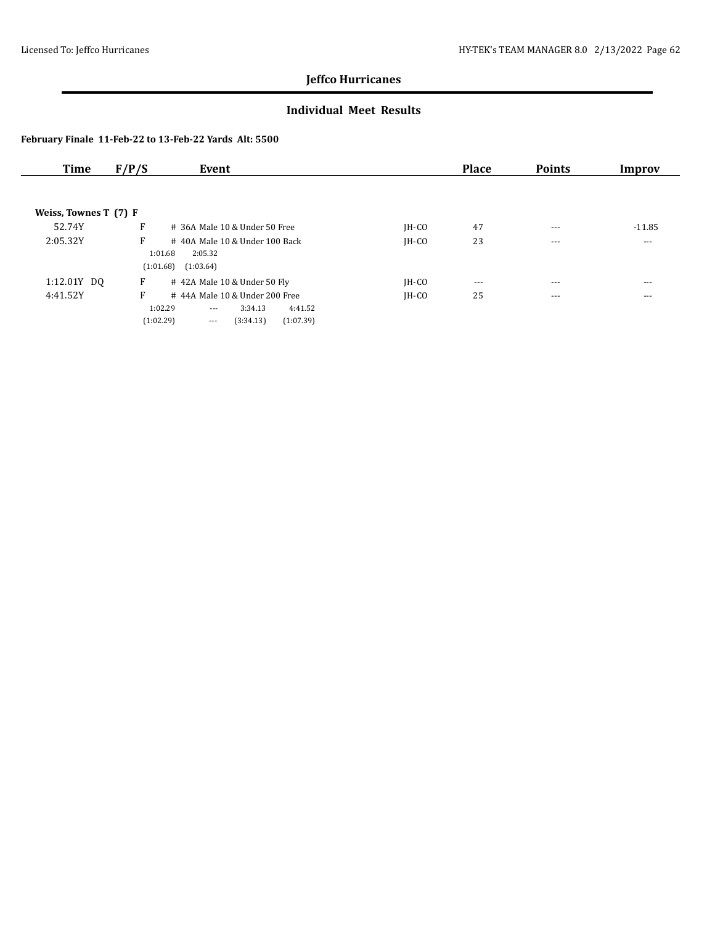### **Individual Meet Results**

| Time                  | F/P/S<br>Event                                                                                                                     |         | <b>Place</b> | <b>Points</b> | Improv   |
|-----------------------|------------------------------------------------------------------------------------------------------------------------------------|---------|--------------|---------------|----------|
|                       |                                                                                                                                    |         |              |               |          |
| Weiss, Townes T (7) F |                                                                                                                                    |         |              |               |          |
| 52.74Y                | F<br>$#$ 36A Male 10 & Under 50 Free                                                                                               | $IH-CO$ | 47           | $- - -$       | $-11.85$ |
| 2:05.32Y              | F<br>#40A Male 10 & Under 100 Back<br>1:01.68<br>2:05.32                                                                           | $IH-CO$ | 23           | $- - -$       | $\cdots$ |
|                       | (1:01.68)<br>(1:03.64)                                                                                                             |         |              |               |          |
| 1:12.01Y DQ           | F<br>#42A Male 10 & Under 50 Fly                                                                                                   | $IH-CO$ | $\cdots$     | $- - -$       | $- - -$  |
| 4:41.52Y              | F<br>#44A Male 10 & Under 200 Free<br>1:02.29<br>3:34.13<br>4:41.52<br>$\cdots$<br>(1:02.29)<br>(3:34.13)<br>(1:07.39)<br>$\cdots$ | $IH-CO$ | 25           | $---$         | $---$    |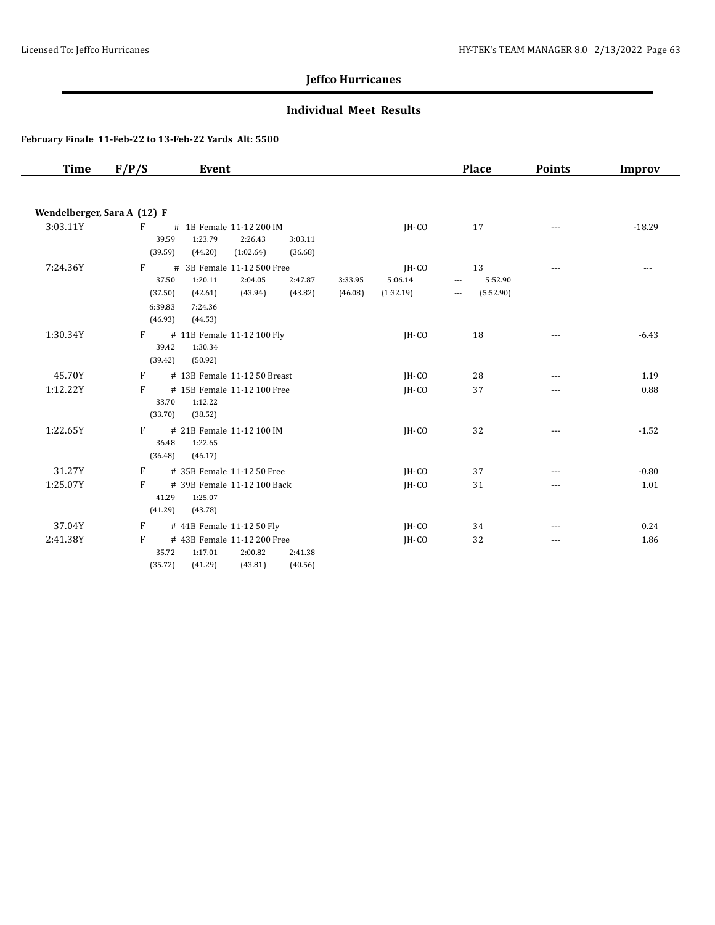### **Individual Meet Results**

| <b>Time</b>                 | F/P/S                                       | Event                                                                                        |                                          |                               | <b>Place</b>                                                                       | <b>Points</b> | <b>Improv</b> |
|-----------------------------|---------------------------------------------|----------------------------------------------------------------------------------------------|------------------------------------------|-------------------------------|------------------------------------------------------------------------------------|---------------|---------------|
|                             |                                             |                                                                                              |                                          |                               |                                                                                    |               |               |
| Wendelberger, Sara A (12) F |                                             |                                                                                              |                                          |                               |                                                                                    |               |               |
| 3:03.11Y                    | F<br>39.59<br>(39.59)                       | # 1B Female 11-12 200 IM<br>1:23.79<br>2:26.43<br>(44.20)<br>(1:02.64)                       | 3:03.11<br>(36.68)                       | JH-CO                         | 17                                                                                 |               | $-18.29$      |
| 7:24.36Y                    | F<br>37.50<br>(37.50)<br>6:39.83<br>(46.93) | # 3B Female 11-12 500 Free<br>1:20.11<br>2:04.05<br>(42.61)<br>(43.94)<br>7:24.36<br>(44.53) | 2:47.87<br>3:33.95<br>(43.82)<br>(46.08) | JH-CO<br>5:06.14<br>(1:32.19) | 13<br>5:52.90<br>$\overline{\phantom{a}}$<br>(5:52.90)<br>$\overline{\phantom{a}}$ | $- - -$       | $- - -$       |
| 1:30.34Y                    | F<br>39.42<br>(39.42)                       | # 11B Female 11-12 100 Fly<br>1:30.34<br>(50.92)                                             |                                          | JH-CO                         | 18                                                                                 |               | $-6.43$       |
| 45.70Y                      | F                                           | # 13B Female 11-12 50 Breast                                                                 |                                          | JH-CO                         | 28                                                                                 | $- - -$       | 1.19          |
| 1:12.22Y                    | F<br>33.70<br>(33.70)                       | # 15B Female 11-12 100 Free<br>1:12.22<br>(38.52)                                            |                                          | IH-CO                         | 37                                                                                 | ---           | 0.88          |
| 1:22.65Y                    | F<br>36.48<br>(36.48)                       | # 21B Female 11-12 100 IM<br>1:22.65<br>(46.17)                                              |                                          | JH-CO                         | 32                                                                                 | $- - -$       | $-1.52$       |
| 31.27Y                      | F                                           | # 35B Female 11-12 50 Free                                                                   |                                          | IH-CO                         | 37                                                                                 | $---$         | $-0.80$       |
| 1:25.07Y                    | F<br>41.29<br>(41.29)                       | # 39B Female 11-12 100 Back<br>1:25.07<br>(43.78)                                            |                                          | IH-CO                         | 31                                                                                 | ---           | 1.01          |
| 37.04Y                      | F                                           | # 41B Female 11-12 50 Fly                                                                    |                                          | JH-CO                         | 34                                                                                 | $---$         | 0.24          |
| 2:41.38Y                    | F<br>35.72<br>(35.72)                       | # 43B Female 11-12 200 Free<br>1:17.01<br>2:00.82<br>(41.29)<br>(43.81)                      | 2:41.38<br>(40.56)                       | JH-CO                         | 32                                                                                 | ---           | 1.86          |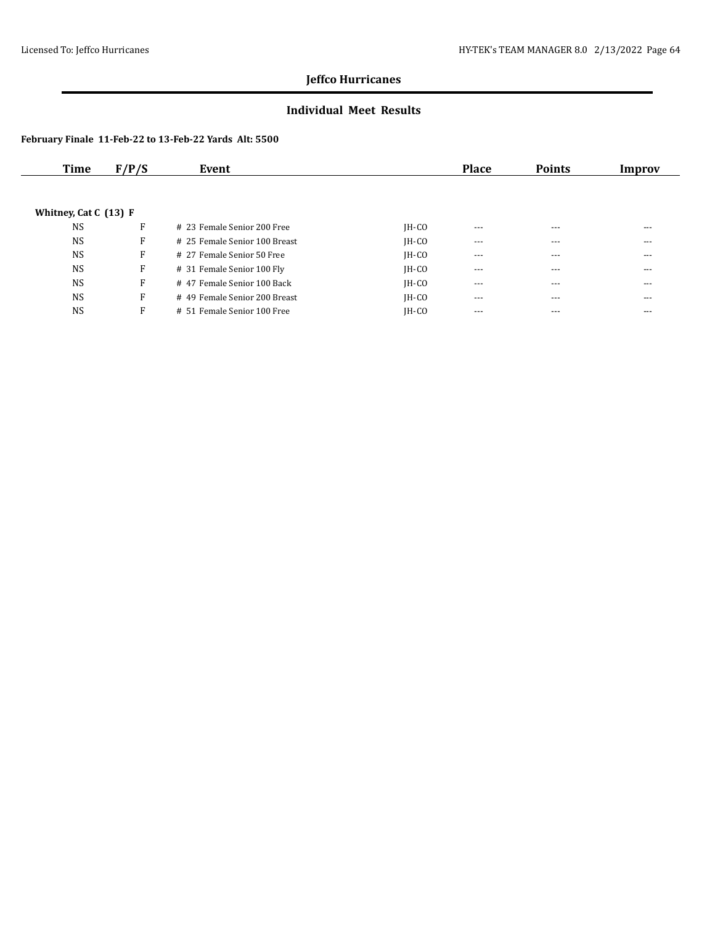### **Individual Meet Results**

| Time                    | F/P/S | Event                         |         | <b>Place</b> | <b>Points</b> | Improv |
|-------------------------|-------|-------------------------------|---------|--------------|---------------|--------|
|                         |       |                               |         |              |               |        |
|                         |       |                               |         |              |               |        |
| Whitney, Cat C $(13)$ F |       |                               |         |              |               |        |
| <b>NS</b>               | F     | # 23 Female Senior 200 Free   | $IH-CO$ | $- - -$      | $---$         | $---$  |
| <b>NS</b>               | F     | # 25 Female Senior 100 Breast | $IH-CO$ | $---$        | ---           | ---    |
| <b>NS</b>               | F     | # 27 Female Senior 50 Free    | $IH-CO$ | $- - -$      | $---$         | $---$  |
| <b>NS</b>               | F     | # 31 Female Senior 100 Fly    | $IH-CO$ | $- - -$      | $---$         | $---$  |
| <b>NS</b>               | F     | #47 Female Senior 100 Back    | $IH-CO$ | $\cdots$     | $---$         | ---    |
| <b>NS</b>               | F     | # 49 Female Senior 200 Breast | $IH-CO$ | $- - -$      | $---$         | $---$  |
| <b>NS</b>               | F     | # 51 Female Senior 100 Free   | $IH-CO$ | $- - -$      | $---$         | $---$  |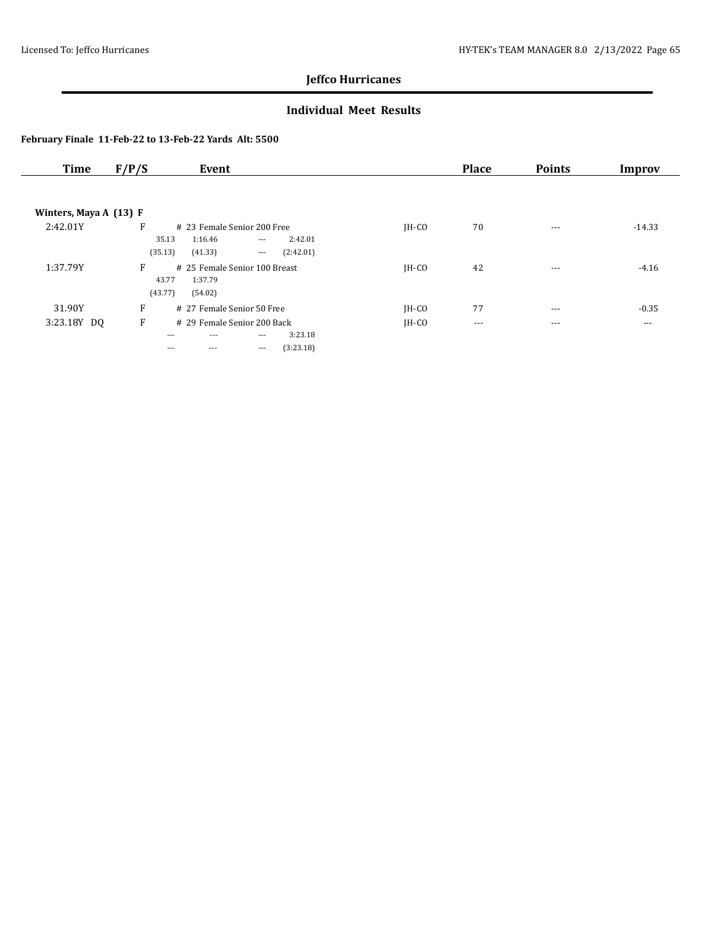### **Individual Meet Results**

| <b>Time</b>              | F/P/S<br>Event                                                                                                                         |         | <b>Place</b> | <b>Points</b> | Improv   |
|--------------------------|----------------------------------------------------------------------------------------------------------------------------------------|---------|--------------|---------------|----------|
|                          |                                                                                                                                        |         |              |               |          |
| Winters, Maya A $(13)$ F |                                                                                                                                        |         |              |               |          |
| 2:42.01Y                 | F<br># 23 Female Senior 200 Free<br>1:16.46<br>2:42.01<br>35.13<br>$\cdots$<br>(35.13)<br>(41.33)<br>(2:42.01)<br>$\scriptstyle\cdots$ | IH-CO   | 70           | $\cdots$      | $-14.33$ |
| 1:37.79Y                 | F<br># 25 Female Senior 100 Breast<br>43.77<br>1:37.79<br>(43.77)<br>(54.02)                                                           | $IH-CO$ | 42           | $- - -$       | $-4.16$  |
| 31.90Y                   | F<br># 27 Female Senior 50 Free                                                                                                        | $IH-CO$ | 77           | $- - -$       | $-0.35$  |
| 3:23.18Y DQ              | F<br># 29 Female Senior 200 Back<br>3:23.18<br>$\cdots$<br>$---$<br>$---$<br>(3:23.18)<br>$\cdots$<br>$---$<br>$---$                   | $IH-CO$ | $\cdots$     | $\cdots$      | $\cdots$ |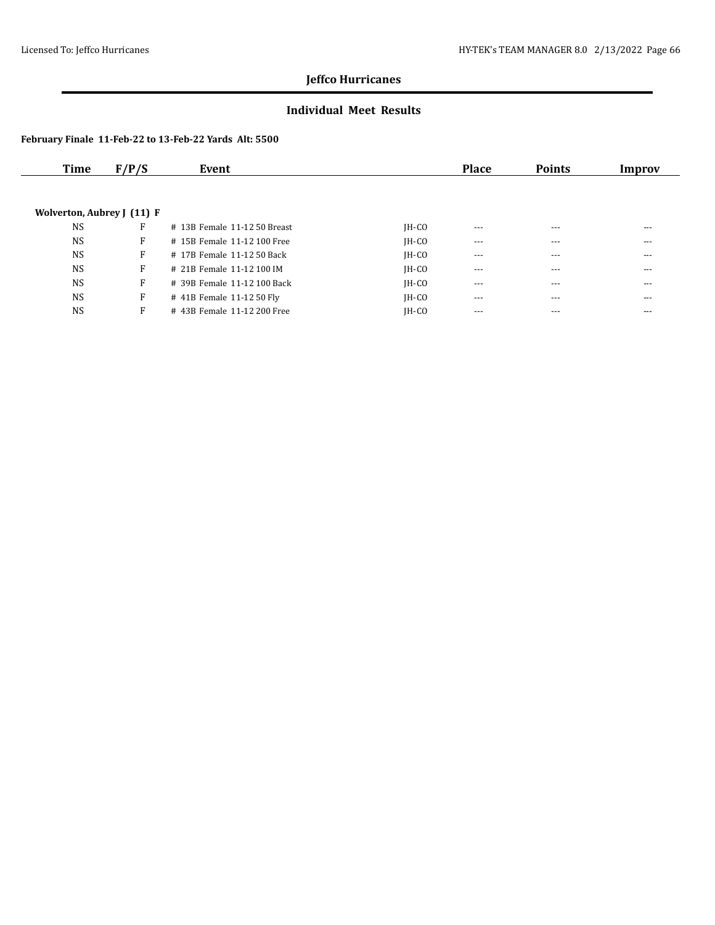### **Individual Meet Results**

| Time                       | F/P/S | Event                        |         | <b>Place</b> | <b>Points</b> | Improv |
|----------------------------|-------|------------------------------|---------|--------------|---------------|--------|
|                            |       |                              |         |              |               |        |
| Wolverton, Aubrey J (11) F |       |                              |         |              |               |        |
| <b>NS</b>                  | F     | # 13B Female 11-12 50 Breast | $IH-CO$ | $---$        | $---$         | ---    |
| <b>NS</b>                  | F     | # 15B Female 11-12 100 Free  | $IH-CO$ | $---$        | ---           | ---    |
| <b>NS</b>                  | F     | # 17B Female 11-12 50 Back   | $IH-CO$ | $---$        | $---$         | ---    |
| <b>NS</b>                  | F     | # 21B Female 11-12 100 IM    | $IH-CO$ | $- - -$      | $---$         | ---    |
| <b>NS</b>                  | F     | # 39B Female 11-12 100 Back  | $IH-CO$ | $\cdots$     | $\cdots$      | ---    |
| <b>NS</b>                  | F     | # 41B Female 11-12 50 Fly    | $IH-CO$ | $---$        | $---$         | ---    |
| <b>NS</b>                  | F     | # 43B Female 11-12 200 Free  | $IH-CO$ | $---$        | $---$         | ---    |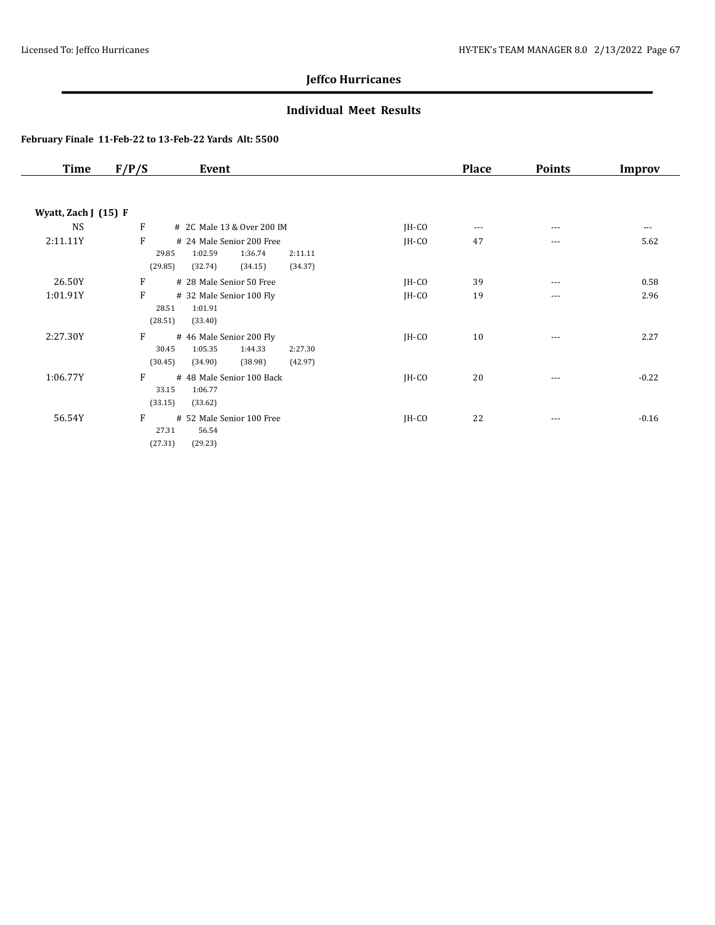### **Individual Meet Results**

| <b>Time</b>          | F/P/S   | Event                         |         | <b>Place</b> | <b>Points</b> | Improv  |
|----------------------|---------|-------------------------------|---------|--------------|---------------|---------|
|                      |         |                               |         |              |               |         |
| Wyatt, Zach J (15) F |         |                               |         |              |               |         |
| <b>NS</b>            | F       | # 2C Male 13 & Over 200 IM    | JH-CO   | $---$        | $---$         | ---     |
| 2:11.11Y             | F       | # 24 Male Senior 200 Free     | $IH-CO$ | 47           | $- - -$       | 5.62    |
|                      | 29.85   | 1:02.59<br>1:36.74<br>2:11.11 |         |              |               |         |
|                      | (29.85) | (34.37)<br>(32.74)<br>(34.15) |         |              |               |         |
| 26.50Y               | F       | # 28 Male Senior 50 Free      | $IH-CO$ | 39           | $- - -$       | 0.58    |
| 1:01.91Y             | F       | # 32 Male Senior 100 Fly      | $IH-CO$ | 19           | ---           | 2.96    |
|                      | 28.51   | 1:01.91                       |         |              |               |         |
|                      | (28.51) | (33.40)                       |         |              |               |         |
| 2:27.30Y             | F       | # 46 Male Senior 200 Fly      | JH-CO   | 10           | ---           | 2.27    |
|                      | 30.45   | 1:05.35<br>1:44.33<br>2:27.30 |         |              |               |         |
|                      | (30.45) | (34.90)<br>(38.98)<br>(42.97) |         |              |               |         |
| 1:06.77Y             | F       | # 48 Male Senior 100 Back     | $IH-CO$ | 20           | $---$         | $-0.22$ |
|                      | 33.15   | 1:06.77                       |         |              |               |         |
|                      | (33.15) | (33.62)                       |         |              |               |         |
| 56.54Y               | F       | # 52 Male Senior 100 Free     | JH-CO   | 22           | $---$         | $-0.16$ |
|                      | 27.31   | 56.54                         |         |              |               |         |
|                      | (27.31) | (29.23)                       |         |              |               |         |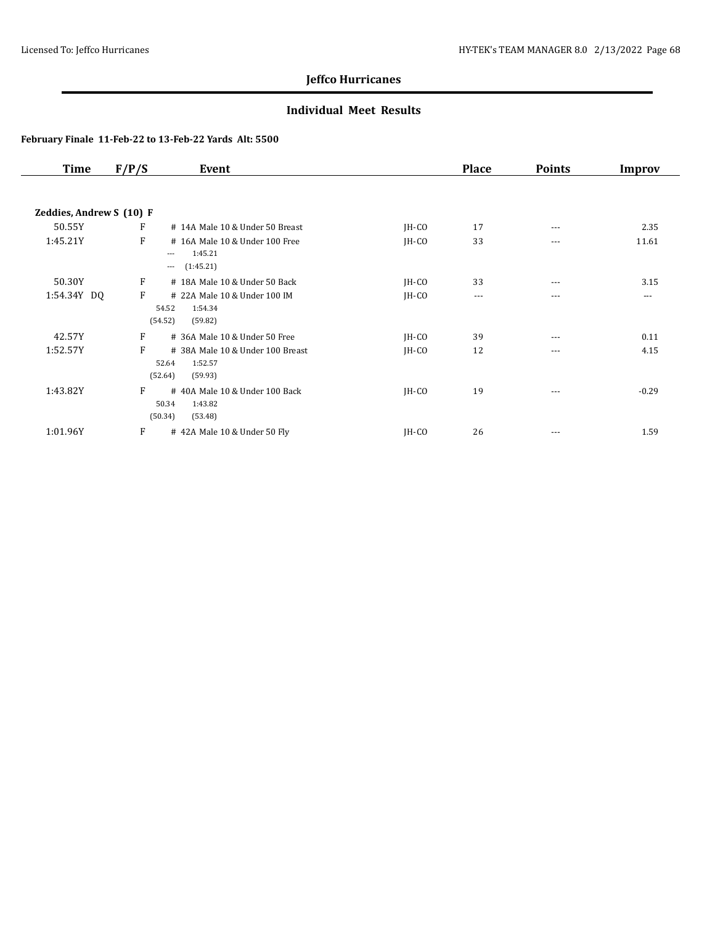### **Individual Meet Results**

| <b>Time</b>              | F/P/S | Event                            |         | <b>Place</b> | <b>Points</b> | Improv  |
|--------------------------|-------|----------------------------------|---------|--------------|---------------|---------|
|                          |       |                                  |         |              |               |         |
| Zeddies, Andrew S (10) F |       |                                  |         |              |               |         |
| 50.55Y                   | F     | # 14A Male 10 & Under 50 Breast  | $IH-CO$ | 17           | ---           | 2.35    |
| 1:45.21Y                 | F     | # 16A Male 10 & Under 100 Free   | $IH-CO$ | 33           | ---           | 11.61   |
|                          |       | 1:45.21<br>$---$                 |         |              |               |         |
|                          |       | (1:45.21)<br>$\cdots$            |         |              |               |         |
| 50.30Y                   | F     | # 18A Male 10 & Under 50 Back    | $IH-CO$ | 33           | ---           | 3.15    |
| 1:54.34Y DQ              | F     | # 22A Male 10 & Under 100 IM     | JH-CO   | $\cdots$     | ---           | ---     |
|                          |       | 54.52<br>1:54.34                 |         |              |               |         |
|                          |       | (54.52)<br>(59.82)               |         |              |               |         |
| 42.57Y                   | F     | # 36A Male 10 & Under 50 Free    | $IH-CO$ | 39           | ---           | 0.11    |
| 1:52.57Y                 | F     | # 38A Male 10 & Under 100 Breast | $IH-CO$ | 12           | $\cdots$      | 4.15    |
|                          |       | 1:52.57<br>52.64                 |         |              |               |         |
|                          |       | (52.64)<br>(59.93)               |         |              |               |         |
| 1:43.82Y                 | F     | #40A Male 10 & Under 100 Back    | $IH-CO$ | 19           | $\cdots$      | $-0.29$ |
|                          |       | 50.34<br>1:43.82                 |         |              |               |         |
|                          |       | (50.34)<br>(53.48)               |         |              |               |         |
| 1:01.96Y                 | F     | #42A Male 10 & Under 50 Fly      | JH-CO   | 26           | $\cdots$      | 1.59    |